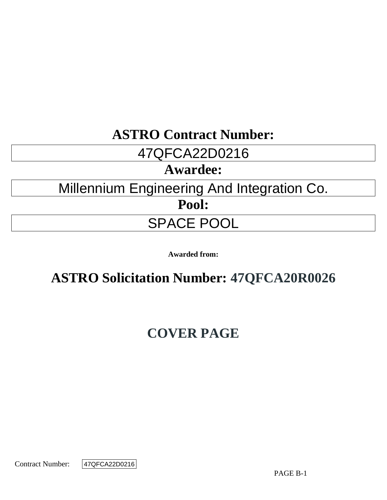## **ASTRO Contract Number:**

## 47QFCA22D0216

## **Awardee:**

# Millennium Engineering And Integration Co.

**Pool:**

## SPACE POOL

**Awarded from:**

## **ASTRO Solicitation Number: 47QFCA20R0026**

## **COVER PAGE**

Contract Number:

47QFCA22D0216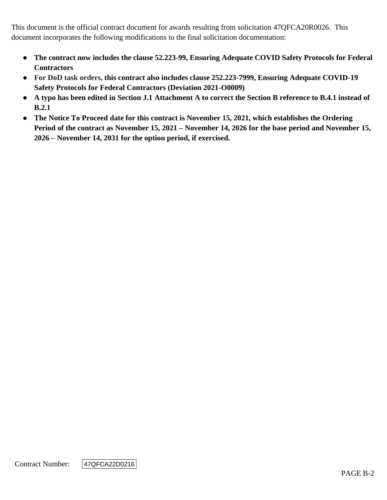This document is the official contract document for awards resulting from solicitation 47QFCA20R0026. This document incorporates the following modifications to the final solicitation documentation:

- **The contract now includes the clause 52.223-99, Ensuring Adequate COVID Safety Protocols for Federal Contractors**
- **For DoD task orders, this contract also includes clause 252.223-7999, Ensuring Adequate COVID-19 Safety Protocols for Federal Contractors (Deviation 2021-O0009)**
- **A typo has been edited in Section J.1 Attachment A to correct the Section B reference to B.4.1 instead of B.2.1**
- **The Notice To Proceed date for this contract is November 15, 2021, which establishes the Ordering Period of the contract as November 15, 2021 – November 14, 2026 for the base period and November 15, 2026 – November 14, 2031 for the option period, if exercised.**

Contract Number:

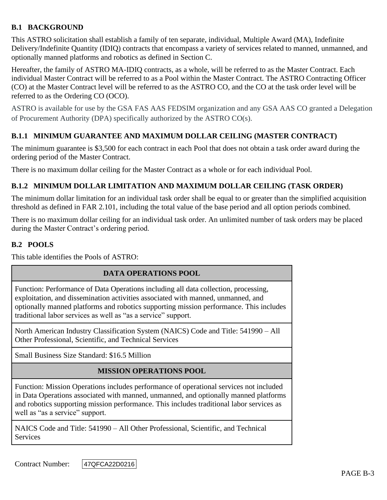## **B.1 BACKGROUND**

This ASTRO solicitation shall establish a family of ten separate, individual, Multiple Award (MA), Indefinite Delivery/Indefinite Quantity (IDIQ) contracts that encompass a variety of services related to manned, unmanned, and optionally manned platforms and robotics as defined in Section C.

Hereafter, the family of ASTRO MA-IDIQ contracts, as a whole, will be referred to as the Master Contract. Each individual Master Contract will be referred to as a Pool within the Master Contract. The ASTRO Contracting Officer (CO) at the Master Contract level will be referred to as the ASTRO CO, and the CO at the task order level will be referred to as the Ordering CO (OCO).

ASTRO is available for use by the GSA FAS AAS FEDSIM organization and any GSA AAS CO granted a Delegation of Procurement Authority (DPA) specifically authorized by the ASTRO CO(s).

## **B.1.1 MINIMUM GUARANTEE AND MAXIMUM DOLLAR CEILING (MASTER CONTRACT)**

The minimum guarantee is \$3,500 for each contract in each Pool that does not obtain a task order award during the ordering period of the Master Contract.

There is no maximum dollar ceiling for the Master Contract as a whole or for each individual Pool.

## **B.1.2 MINIMUM DOLLAR LIMITATION AND MAXIMUM DOLLAR CEILING (TASK ORDER)**

The minimum dollar limitation for an individual task order shall be equal to or greater than the simplified acquisition threshold as defined in FAR 2.101, including the total value of the base period and all option periods combined.

There is no maximum dollar ceiling for an individual task order. An unlimited number of task orders may be placed during the Master Contract's ordering period.

## **B.2 POOLS**

This table identifies the Pools of ASTRO:

#### **DATA OPERATIONS POOL**

Function: Performance of Data Operations including all data collection, processing, exploitation, and dissemination activities associated with manned, unmanned, and optionally manned platforms and robotics supporting mission performance. This includes traditional labor services as well as "as a service" support.

North American Industry Classification System (NAICS) Code and Title: 541990 – All Other Professional, Scientific, and Technical Services

Small Business Size Standard: \$16.5 Million

#### **MISSION OPERATIONS POOL**

Function: Mission Operations includes performance of operational services not included in Data Operations associated with manned, unmanned, and optionally manned platforms and robotics supporting mission performance. This includes traditional labor services as well as "as a service" support.

NAICS Code and Title: 541990 – All Other Professional, Scientific, and Technical **Services** 

Contract Number: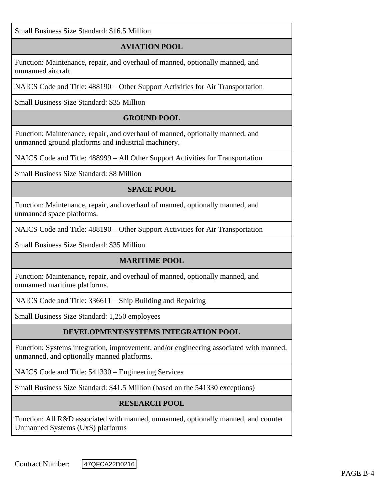Small Business Size Standard: \$16.5 Million

## **AVIATION POOL**

Function: Maintenance, repair, and overhaul of manned, optionally manned, and unmanned aircraft.

NAICS Code and Title: 488190 – Other Support Activities for Air Transportation

Small Business Size Standard: \$35 Million

## **GROUND POOL**

Function: Maintenance, repair, and overhaul of manned, optionally manned, and unmanned ground platforms and industrial machinery.

NAICS Code and Title: 488999 – All Other Support Activities for Transportation

Small Business Size Standard: \$8 Million

## **SPACE POOL**

Function: Maintenance, repair, and overhaul of manned, optionally manned, and unmanned space platforms.

NAICS Code and Title: 488190 – Other Support Activities for Air Transportation

Small Business Size Standard: \$35 Million

#### **MARITIME POOL**

Function: Maintenance, repair, and overhaul of manned, optionally manned, and unmanned maritime platforms.

NAICS Code and Title: 336611 – Ship Building and Repairing

Small Business Size Standard: 1,250 employees

## **DEVELOPMENT/SYSTEMS INTEGRATION POOL**

Function: Systems integration, improvement, and/or engineering associated with manned, unmanned, and optionally manned platforms.

NAICS Code and Title: 541330 – Engineering Services

Small Business Size Standard: \$41.5 Million (based on the 541330 exceptions)

#### **RESEARCH POOL**

Function: All R&D associated with manned, unmanned, optionally manned, and counter Unmanned Systems (UxS) platforms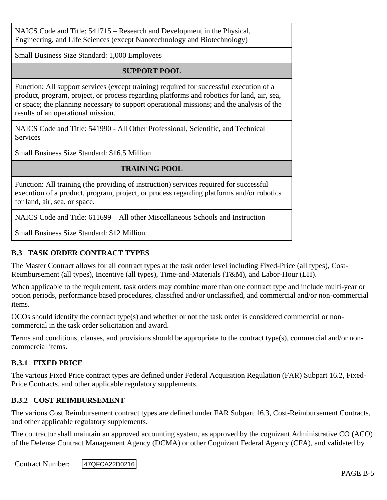NAICS Code and Title: 541715 – Research and Development in the Physical, Engineering, and Life Sciences (except Nanotechnology and Biotechnology)

Small Business Size Standard: 1,000 Employees

## **SUPPORT POOL**

Function: All support services (except training) required for successful execution of a product, program, project, or process regarding platforms and robotics for land, air, sea, or space; the planning necessary to support operational missions; and the analysis of the results of an operational mission.

NAICS Code and Title: 541990 - All Other Professional, Scientific, and Technical **Services** 

Small Business Size Standard: \$16.5 Million

## **TRAINING POOL**

Function: All training (the providing of instruction) services required for successful execution of a product, program, project, or process regarding platforms and/or robotics for land, air, sea, or space.

NAICS Code and Title: 611699 – All other Miscellaneous Schools and Instruction

Small Business Size Standard: \$12 Million

## **B.3 TASK ORDER CONTRACT TYPES**

The Master Contract allows for all contract types at the task order level including Fixed-Price (all types), Cost-Reimbursement (all types), Incentive (all types), Time-and-Materials (T&M), and Labor-Hour (LH).

When applicable to the requirement, task orders may combine more than one contract type and include multi-year or option periods, performance based procedures, classified and/or unclassified, and commercial and/or non-commercial items.

OCOs should identify the contract type(s) and whether or not the task order is considered commercial or noncommercial in the task order solicitation and award.

Terms and conditions, clauses, and provisions should be appropriate to the contract type(s), commercial and/or noncommercial items.

#### **B.3.1 FIXED PRICE**

The various Fixed Price contract types are defined under Federal Acquisition Regulation (FAR) Subpart 16.2, Fixed-Price Contracts, and other applicable regulatory supplements.

#### **B.3.2 COST REIMBURSEMENT**

The various Cost Reimbursement contract types are defined under FAR Subpart 16.3, Cost-Reimbursement Contracts, and other applicable regulatory supplements.

The contractor shall maintain an approved accounting system, as approved by the cognizant Administrative CO (ACO) of the Defense Contract Management Agency (DCMA) or other Cognizant Federal Agency (CFA), and validated by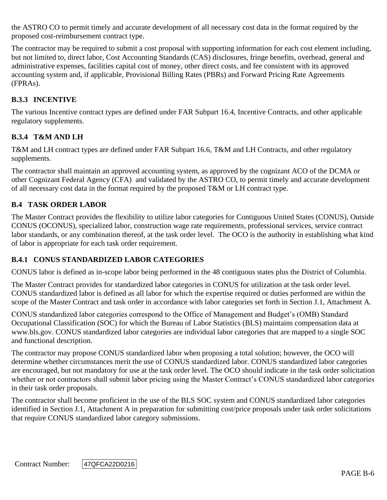the ASTRO CO to permit timely and accurate development of all necessary cost data in the format required by the proposed cost-reimbursement contract type.

The contractor may be required to submit a cost proposal with supporting information for each cost element including, but not limited to, direct labor, Cost Accounting Standards (CAS) disclosures, fringe benefits, overhead, general and administrative expenses, facilities capital cost of money, other direct costs, and fee consistent with its approved accounting system and, if applicable, Provisional Billing Rates (PBRs) and Forward Pricing Rate Agreements (FPRAs).

## **B.3.3 INCENTIVE**

The various Incentive contract types are defined under FAR Subpart 16.4, Incentive Contracts, and other applicable regulatory supplements.

## **B.3.4 T&M AND LH**

T&M and LH contract types are defined under FAR Subpart 16.6, T&M and LH Contracts, and other regulatory supplements.

The contractor shall maintain an approved accounting system, as approved by the cognizant ACO of the DCMA or other Cognizant Federal Agency (CFA) and validated by the ASTRO CO, to permit timely and accurate development of all necessary cost data in the format required by the proposed T&M or LH contract type.

## **B.4 TASK ORDER LABOR**

The Master Contract provides the flexibility to utilize labor categories for Contiguous United States (CONUS), Outside CONUS (OCONUS), specialized labor, construction wage rate requirements, professional services, service contract labor standards, or any combination thereof, at the task order level. The OCO is the authority in establishing what kind of labor is appropriate for each task order requirement.

#### **B.4.1 CONUS STANDARDIZED LABOR CATEGORIES**

CONUS labor is defined as in-scope labor being performed in the 48 contiguous states plus the District of Columbia.

The Master Contract provides for standardized labor categories in CONUS for utilization at the task order level. CONUS standardized labor is defined as all labor for which the expertise required or duties performed are within the scope of the Master Contract and task order in accordance with labor categories set forth in Section J.1, Attachment A.

CONUS standardized labor categories correspond to the Office of Management and Budget's (OMB) Standard Occupational Classification (SOC) for which the Bureau of Labor Statistics (BLS) maintains compensation data at www.bls.gov. CONUS standardized labor categories are individual labor categories that are mapped to a single SOC and functional description.

The contractor may propose CONUS standardized labor when proposing a total solution; however, the OCO will determine whether circumstances merit the use of CONUS standardized labor. CONUS standardized labor categories are encouraged, but not mandatory for use at the task order level. The OCO should indicate in the task order solicitation whether or not contractors shall submit labor pricing using the Master Contract's CONUS standardized labor categories in their task order proposals.

The contractor shall become proficient in the use of the BLS SOC system and CONUS standardized labor categories identified in Section J.1, Attachment A in preparation for submitting cost/price proposals under task order solicitations that require CONUS standardized labor category submissions.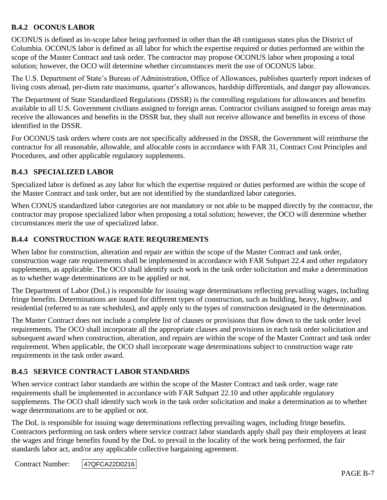## **B.4.2 OCONUS LABOR**

OCONUS is defined as in-scope labor being performed in other than the 48 contiguous states plus the District of Columbia. OCONUS labor is defined as all labor for which the expertise required or duties performed are within the scope of the Master Contract and task order. The contractor may propose OCONUS labor when proposing a total solution; however, the OCO will determine whether circumstances merit the use of OCONUS labor.

The U.S. Department of State's Bureau of Administration, Office of Allowances, publishes quarterly report indexes of living costs abroad, per-diem rate maximums, quarter's allowances, hardship differentials, and danger pay allowances.

The Department of State Standardized Regulations (DSSR) is the controlling regulations for allowances and benefits available to all U.S. Government civilians assigned to foreign areas. Contractor civilians assigned to foreign areas may receive the allowances and benefits in the DSSR but, they shall not receive allowance and benefits in excess of those identified in the DSSR.

For OCONUS task orders where costs are not specifically addressed in the DSSR, the Government will reimburse the contractor for all reasonable, allowable, and allocable costs in accordance with FAR 31, Contract Cost Principles and Procedures, and other applicable regulatory supplements.

## **B.4.3 SPECIALIZED LABOR**

Specialized labor is defined as any labor for which the expertise required or duties performed are within the scope of the Master Contract and task order, but are not identified by the standardized labor categories.

When CONUS standardized labor categories are not mandatory or not able to be mapped directly by the contractor, the contractor may propose specialized labor when proposing a total solution; however, the OCO will determine whether circumstances merit the use of specialized labor.

## **B.4.4 CONSTRUCTION WAGE RATE REQUIREMENTS**

When labor for construction, alteration and repair are within the scope of the Master Contract and task order, construction wage rate requirements shall be implemented in accordance with FAR Subpart 22.4 and other regulatory supplements, as applicable. The OCO shall identify such work in the task order solicitation and make a determination as to whether wage determinations are to be applied or not.

The Department of Labor (DoL) is responsible for issuing wage determinations reflecting prevailing wages, including fringe benefits. Determinations are issued for different types of construction, such as building, heavy, highway, and residential (referred to as rate schedules), and apply only to the types of construction designated in the determination.

The Master Contract does not include a complete list of clauses or provisions that flow down to the task order level requirements. The OCO shall incorporate all the appropriate clauses and provisions in each task order solicitation and subsequent award when construction, alteration, and repairs are within the scope of the Master Contract and task order requirement. When applicable, the OCO shall incorporate wage determinations subject to construction wage rate requirements in the task order award.

## **B.4.5 SERVICE CONTRACT LABOR STANDARDS**

When service contract labor standards are within the scope of the Master Contract and task order, wage rate requirements shall be implemented in accordance with FAR Subpart 22.10 and other applicable regulatory supplements. The OCO shall identify such work in the task order solicitation and make a determination as to whether wage determinations are to be applied or not.

The DoL is responsible for issuing wage determinations reflecting prevailing wages, including fringe benefits. Contractors performing on task orders where service contract labor standards apply shall pay their employees at least the wages and fringe benefits found by the DoL to prevail in the locality of the work being performed, the fair standards labor act, and/or any applicable collective bargaining agreement.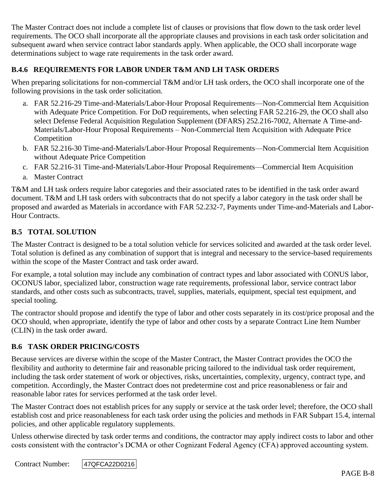The Master Contract does not include a complete list of clauses or provisions that flow down to the task order level requirements. The OCO shall incorporate all the appropriate clauses and provisions in each task order solicitation and subsequent award when service contract labor standards apply. When applicable, the OCO shall incorporate wage determinations subject to wage rate requirements in the task order award.

## **B.4.6 REQUIREMENTS FOR LABOR UNDER T&M AND LH TASK ORDERS**

When preparing solicitations for non-commercial T&M and/or LH task orders, the OCO shall incorporate one of the following provisions in the task order solicitation.

- a. FAR 52.216-29 Time-and-Materials/Labor-Hour Proposal Requirements—Non-Commercial Item Acquisition with Adequate Price Competition. For DoD requirements, when selecting FAR 52.216-29, the OCO shall also select Defense Federal Acquisition Regulation Supplement (DFARS) 252.216-7002, Alternate A Time-and-Materials/Labor-Hour Proposal Requirements – Non-Commercial Item Acquisition with Adequate Price Competition
- b. FAR 52.216-30 Time-and-Materials/Labor-Hour Proposal Requirements—Non-Commercial Item Acquisition without Adequate Price Competition
- c. FAR 52.216-31 Time-and-Materials/Labor-Hour Proposal Requirements—Commercial Item Acquisition
- a. Master Contract

T&M and LH task orders require labor categories and their associated rates to be identified in the task order award document. T&M and LH task orders with subcontracts that do not specify a labor category in the task order shall be proposed and awarded as Materials in accordance with FAR 52.232-7, Payments under Time-and-Materials and Labor-Hour Contracts.

## **B.5 TOTAL SOLUTION**

The Master Contract is designed to be a total solution vehicle for services solicited and awarded at the task order level. Total solution is defined as any combination of support that is integral and necessary to the service-based requirements within the scope of the Master Contract and task order award.

For example, a total solution may include any combination of contract types and labor associated with CONUS labor, OCONUS labor, specialized labor, construction wage rate requirements, professional labor, service contract labor standards, and other costs such as subcontracts, travel, supplies, materials, equipment, special test equipment, and special tooling.

The contractor should propose and identify the type of labor and other costs separately in its cost/price proposal and the OCO should, when appropriate, identify the type of labor and other costs by a separate Contract Line Item Number (CLIN) in the task order award.

#### **B.6 TASK ORDER PRICING/COSTS**

Because services are diverse within the scope of the Master Contract, the Master Contract provides the OCO the flexibility and authority to determine fair and reasonable pricing tailored to the individual task order requirement, including the task order statement of work or objectives, risks, uncertainties, complexity, urgency, contract type, and competition. Accordingly, the Master Contract does not predetermine cost and price reasonableness or fair and reasonable labor rates for services performed at the task order level.

The Master Contract does not establish prices for any supply or service at the task order level; therefore, the OCO shall establish cost and price reasonableness for each task order using the policies and methods in FAR Subpart 15.4, internal policies, and other applicable regulatory supplements.

Unless otherwise directed by task order terms and conditions, the contractor may apply indirect costs to labor and other costs consistent with the contractor's DCMA or other Cognizant Federal Agency (CFA) approved accounting system.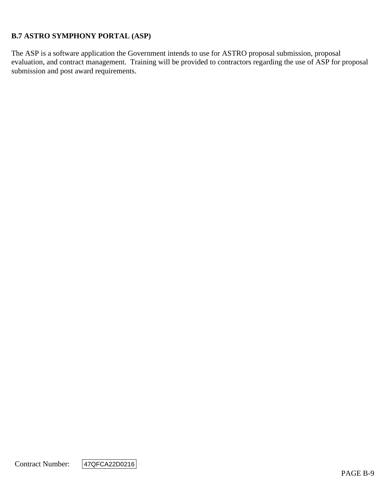## **B.7 ASTRO SYMPHONY PORTAL (ASP)**

The ASP is a software application the Government intends to use for ASTRO proposal submission, proposal evaluation, and contract management. Training will be provided to contractors regarding the use of ASP for proposal submission and post award requirements.

Contract Number:

47QFCA22D0216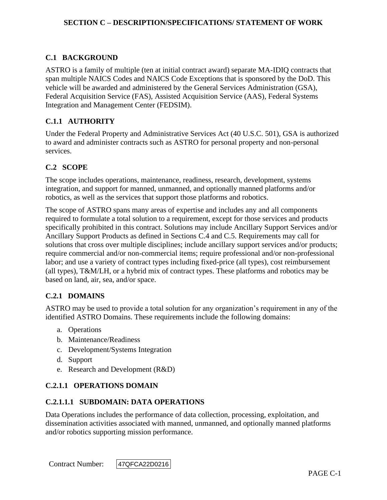## **C.1 BACKGROUND**

ASTRO is a family of multiple (ten at initial contract award) separate MA-IDIQ contracts that span multiple NAICS Codes and NAICS Code Exceptions that is sponsored by the DoD. This vehicle will be awarded and administered by the General Services Administration (GSA), Federal Acquisition Service (FAS), Assisted Acquisition Service (AAS), Federal Systems Integration and Management Center (FEDSIM).

### **C.1.1 AUTHORITY**

Under the Federal Property and Administrative Services Act (40 U.S.C. 501), GSA is authorized to award and administer contracts such as ASTRO for personal property and non-personal services.

#### **C.2 SCOPE**

The scope includes operations, maintenance, readiness, research, development, systems integration, and support for manned, unmanned, and optionally manned platforms and/or robotics, as well as the services that support those platforms and robotics.

The scope of ASTRO spans many areas of expertise and includes any and all components required to formulate a total solution to a requirement, except for those services and products specifically prohibited in this contract. Solutions may include Ancillary Support Services and/or Ancillary Support Products as defined in Sections C.4 and C.5. Requirements may call for solutions that cross over multiple disciplines; include ancillary support services and/or products; require commercial and/or non-commercial items; require professional and/or non-professional labor; and use a variety of contract types including fixed-price (all types), cost reimbursement (all types), T&M/LH, or a hybrid mix of contract types. These platforms and robotics may be based on land, air, sea, and/or space.

#### **C.2.1 DOMAINS**

ASTRO may be used to provide a total solution for any organization's requirement in any of the identified ASTRO Domains. These requirements include the following domains:

- a. Operations
- b. Maintenance/Readiness
- c. Development/Systems Integration
- d. Support
- e. Research and Development (R&D)

#### **C.2.1.1 OPERATIONS DOMAIN**

#### **C.2.1.1.1 SUBDOMAIN: DATA OPERATIONS**

Data Operations includes the performance of data collection, processing, exploitation, and dissemination activities associated with manned, unmanned, and optionally manned platforms and/or robotics supporting mission performance.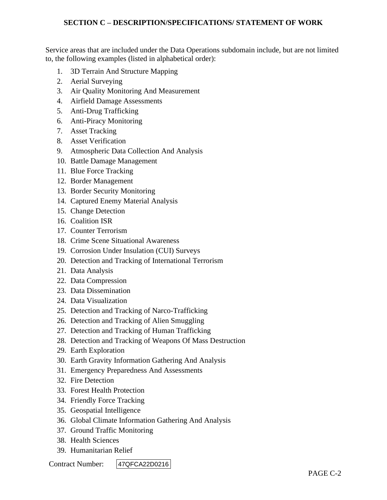Service areas that are included under the Data Operations subdomain include, but are not limited to, the following examples (listed in alphabetical order):

- 1. 3D Terrain And Structure Mapping
- 2. Aerial Surveying
- 3. Air Quality Monitoring And Measurement
- 4. Airfield Damage Assessments
- 5. Anti-Drug Trafficking
- 6. Anti-Piracy Monitoring
- 7. Asset Tracking
- 8. Asset Verification
- 9. Atmospheric Data Collection And Analysis
- 10. Battle Damage Management
- 11. Blue Force Tracking
- 12. Border Management
- 13. Border Security Monitoring
- 14. Captured Enemy Material Analysis
- 15. Change Detection
- 16. Coalition ISR
- 17. Counter Terrorism
- 18. Crime Scene Situational Awareness
- 19. Corrosion Under Insulation (CUI) Surveys
- 20. Detection and Tracking of International Terrorism
- 21. Data Analysis
- 22. Data Compression
- 23. Data Dissemination
- 24. Data Visualization
- 25. Detection and Tracking of Narco-Trafficking
- 26. Detection and Tracking of Alien Smuggling
- 27. Detection and Tracking of Human Trafficking
- 28. Detection and Tracking of Weapons Of Mass Destruction
- 29. Earth Exploration
- 30. Earth Gravity Information Gathering And Analysis
- 31. Emergency Preparedness And Assessments
- 32. Fire Detection
- 33. Forest Health Protection
- 34. Friendly Force Tracking
- 35. Geospatial Intelligence
- 36. Global Climate Information Gathering And Analysis
- 37. Ground Traffic Monitoring
- 38. Health Sciences
- 39. Humanitarian Relief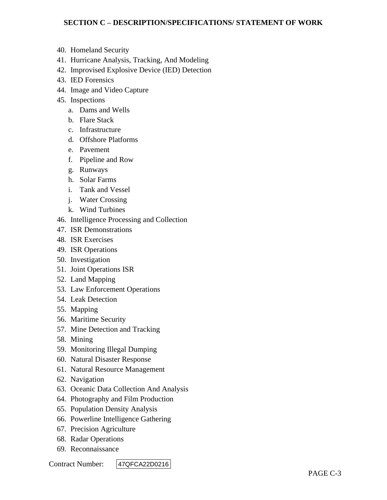- 40. Homeland Security
- 41. Hurricane Analysis, Tracking, And Modeling
- 42. Improvised Explosive Device (IED) Detection
- 43. IED Forensics
- 44. Image and Video Capture
- 45. Inspections
	- a. Dams and Wells
	- b. Flare Stack
	- c. Infrastructure
	- d. Offshore Platforms
	- e. Pavement
	- f. Pipeline and Row
	- g. Runways
	- h. Solar Farms
	- i. Tank and Vessel
	- j. Water Crossing
	- k. Wind Turbines
- 46. Intelligence Processing and Collection
- 47. ISR Demonstrations
- 48. ISR Exercises
- 49. ISR Operations
- 50. Investigation
- 51. Joint Operations ISR
- 52. Land Mapping
- 53. Law Enforcement Operations
- 54. Leak Detection
- 55. Mapping
- 56. Maritime Security
- 57. Mine Detection and Tracking
- 58. Mining
- 59. Monitoring Illegal Dumping
- 60. Natural Disaster Response
- 61. Natural Resource Management
- 62. Navigation
- 63. Oceanic Data Collection And Analysis
- 64. Photography and Film Production
- 65. Population Density Analysis
- 66. Powerline Intelligence Gathering
- 67. Precision Agriculture
- 68. Radar Operations
- 69. Reconnaissance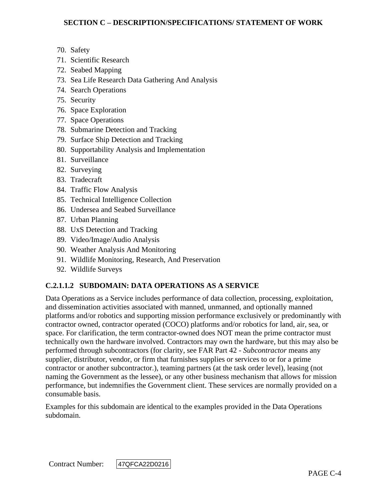- 70. Safety
- 71. Scientific Research
- 72. Seabed Mapping
- 73. Sea Life Research Data Gathering And Analysis
- 74. Search Operations
- 75. Security
- 76. Space Exploration
- 77. Space Operations
- 78. Submarine Detection and Tracking
- 79. Surface Ship Detection and Tracking
- 80. Supportability Analysis and Implementation
- 81. Surveillance
- 82. Surveying
- 83. Tradecraft
- 84. Traffic Flow Analysis
- 85. Technical Intelligence Collection
- 86. Undersea and Seabed Surveillance
- 87. Urban Planning
- 88. UxS Detection and Tracking
- 89. Video/Image/Audio Analysis
- 90. Weather Analysis And Monitoring
- 91. Wildlife Monitoring, Research, And Preservation
- 92. Wildlife Surveys

## **C.2.1.1.2 SUBDOMAIN: DATA OPERATIONS AS A SERVICE**

Data Operations as a Service includes performance of data collection, processing, exploitation, and dissemination activities associated with manned, unmanned, and optionally manned platforms and/or robotics and supporting mission performance exclusively or predominantly with contractor owned, contractor operated (COCO) platforms and/or robotics for land, air, sea, or space. For clarification, the term contractor-owned does NOT mean the prime contractor must technically own the hardware involved. Contractors may own the hardware, but this may also be performed through subcontractors (for clarity, see FAR Part 42 - *Subcontractor* means any supplier, distributor, vendor, or firm that furnishes supplies or services to or for a prime contractor or another subcontractor.), teaming partners (at the task order level), leasing (not naming the Government as the lessee), or any other business mechanism that allows for mission performance, but indemnifies the Government client. These services are normally provided on a consumable basis.

Examples for this subdomain are identical to the examples provided in the Data Operations subdomain.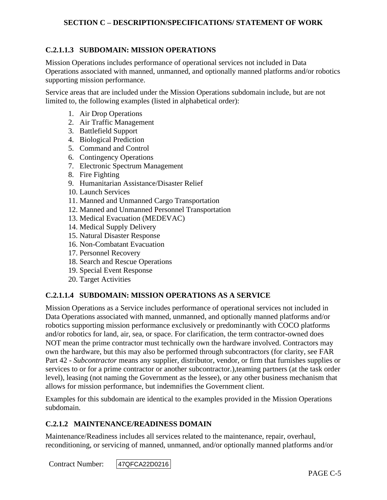## **C.2.1.1.3 SUBDOMAIN: MISSION OPERATIONS**

Mission Operations includes performance of operational services not included in Data Operations associated with manned, unmanned, and optionally manned platforms and/or robotics supporting mission performance.

Service areas that are included under the Mission Operations subdomain include, but are not limited to, the following examples (listed in alphabetical order):

- 1. Air Drop Operations
- 2. Air Traffic Management
- 3. Battlefield Support
- 4. Biological Prediction
- 5. Command and Control
- 6. Contingency Operations
- 7. Electronic Spectrum Management
- 8. Fire Fighting
- 9. Humanitarian Assistance/Disaster Relief
- 10. Launch Services
- 11. Manned and Unmanned Cargo Transportation
- 12. Manned and Unmanned Personnel Transportation
- 13. Medical Evacuation (MEDEVAC)
- 14. Medical Supply Delivery
- 15. Natural Disaster Response
- 16. Non-Combatant Evacuation
- 17. Personnel Recovery
- 18. Search and Rescue Operations
- 19. Special Event Response
- 20. Target Activities

#### **C.2.1.1.4 SUBDOMAIN: MISSION OPERATIONS AS A SERVICE**

Mission Operations as a Service includes performance of operational services not included in Data Operations associated with manned, unmanned, and optionally manned platforms and/or robotics supporting mission performance exclusively or predominantly with COCO platforms and/or robotics for land, air, sea, or space. For clarification, the term contractor-owned does NOT mean the prime contractor must technically own the hardware involved. Contractors may own the hardware, but this may also be performed through subcontractors (for clarity, see FAR Part 42 - *Subcontractor* means any supplier, distributor, vendor, or firm that furnishes supplies or services to or for a prime contractor or another subcontractor.),teaming partners (at the task order level), leasing (not naming the Government as the lessee), or any other business mechanism that allows for mission performance, but indemnifies the Government client.

Examples for this subdomain are identical to the examples provided in the Mission Operations subdomain.

#### **C.2.1.2 MAINTENANCE/READINESS DOMAIN**

Maintenance/Readiness includes all services related to the maintenance, repair, overhaul, reconditioning, or servicing of manned, unmanned, and/or optionally manned platforms and/or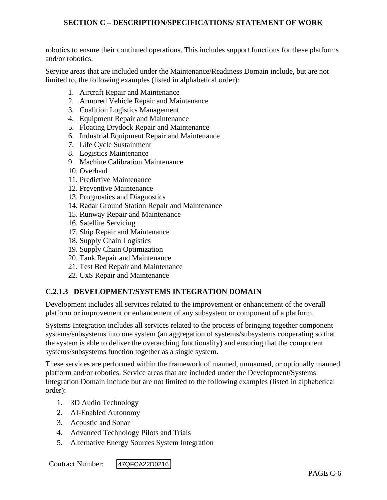robotics to ensure their continued operations. This includes support functions for these platforms and/or robotics.

Service areas that are included under the Maintenance/Readiness Domain include, but are not limited to, the following examples (listed in alphabetical order):

- 1. Aircraft Repair and Maintenance
- 2. Armored Vehicle Repair and Maintenance
- 3. Coalition Logistics Management
- 4. Equipment Repair and Maintenance
- 5. Floating Drydock Repair and Maintenance
- 6. Industrial Equipment Repair and Maintenance
- 7. Life Cycle Sustainment
- 8. Logistics Maintenance
- 9. Machine Calibration Maintenance
- 10. Overhaul
- 11. Predictive Maintenance
- 12. Preventive Maintenance
- 13. Prognostics and Diagnostics
- 14. Radar Ground Station Repair and Maintenance
- 15. Runway Repair and Maintenance
- 16. Satellite Servicing
- 17. Ship Repair and Maintenance
- 18. Supply Chain Logistics
- 19. Supply Chain Optimization
- 20. Tank Repair and Maintenance
- 21. Test Bed Repair and Maintenance
- 22. UxS Repair and Maintenance

#### **C.2.1.3 DEVELOPMENT/SYSTEMS INTEGRATION DOMAIN**

Development includes all services related to the improvement or enhancement of the overall platform or improvement or enhancement of any subsystem or component of a platform.

Systems Integration includes all services related to the process of bringing together component systems/subsystems into one system (an aggregation of systems/subsystems cooperating so that the system is able to deliver the overarching functionality) and ensuring that the component systems/subsystems function together as a single system.

These services are performed within the framework of manned, unmanned, or optionally manned platform and/or robotics. Service areas that are included under the Development/Systems Integration Domain include but are not limited to the following examples (listed in alphabetical order):

- 1. 3D Audio Technology
- 2. AI-Enabled Autonomy
- 3. Acoustic and Sonar
- 4. Advanced Technology Pilots and Trials
- 5. Alternative Energy Sources System Integration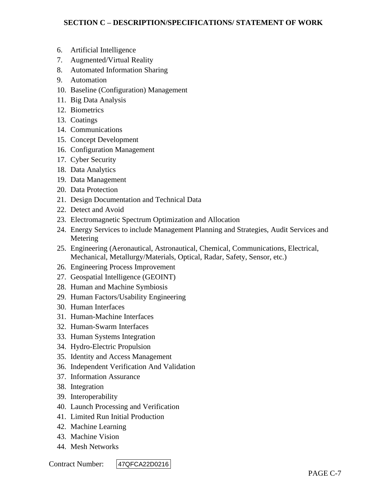- 6. Artificial Intelligence
- 7. Augmented/Virtual Reality
- 8. Automated Information Sharing
- 9. Automation
- 10. Baseline (Configuration) Management
- 11. Big Data Analysis
- 12. Biometrics
- 13. Coatings
- 14. Communications
- 15. Concept Development
- 16. Configuration Management
- 17. Cyber Security
- 18. Data Analytics
- 19. Data Management
- 20. Data Protection
- 21. Design Documentation and Technical Data
- 22. Detect and Avoid
- 23. Electromagnetic Spectrum Optimization and Allocation
- 24. Energy Services to include Management Planning and Strategies, Audit Services and Metering
- 25. Engineering (Aeronautical, Astronautical, Chemical, Communications, Electrical, Mechanical, Metallurgy/Materials, Optical, Radar, Safety, Sensor, etc.)
- 26. Engineering Process Improvement
- 27. Geospatial Intelligence (GEOINT)
- 28. Human and Machine Symbiosis
- 29. Human Factors/Usability Engineering
- 30. Human Interfaces
- 31. Human-Machine Interfaces
- 32. Human-Swarm Interfaces
- 33. Human Systems Integration
- 34. Hydro-Electric Propulsion
- 35. Identity and Access Management
- 36. Independent Verification And Validation
- 37. Information Assurance
- 38. Integration
- 39. Interoperability
- 40. Launch Processing and Verification
- 41. Limited Run Initial Production
- 42. Machine Learning
- 43. Machine Vision
- 44. Mesh Networks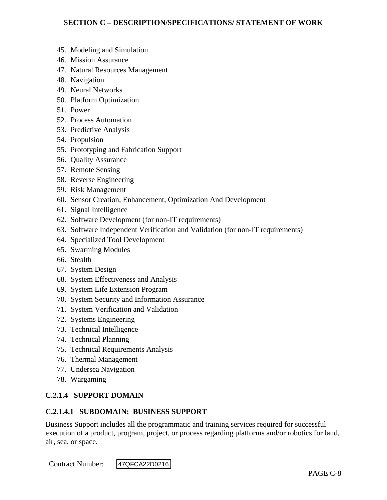- 45. Modeling and Simulation
- 46. Mission Assurance
- 47. Natural Resources Management
- 48. Navigation
- 49. Neural Networks
- 50. Platform Optimization
- 51. Power
- 52. Process Automation
- 53. Predictive Analysis
- 54. Propulsion
- 55. Prototyping and Fabrication Support
- 56. Quality Assurance
- 57. Remote Sensing
- 58. Reverse Engineering
- 59. Risk Management
- 60. Sensor Creation, Enhancement, Optimization And Development
- 61. Signal Intelligence
- 62. Software Development (for non-IT requirements)
- 63. Software Independent Verification and Validation (for non-IT requirements)
- 64. Specialized Tool Development
- 65. Swarming Modules
- 66. Stealth
- 67. System Design
- 68. System Effectiveness and Analysis
- 69. System Life Extension Program
- 70. System Security and Information Assurance
- 71. System Verification and Validation
- 72. Systems Engineering
- 73. Technical Intelligence
- 74. Technical Planning
- 75. Technical Requirements Analysis
- 76. Thermal Management
- 77. Undersea Navigation
- 78. Wargaming

#### **C.2.1.4 SUPPORT DOMAIN**

#### **C.2.1.4.1 SUBDOMAIN: BUSINESS SUPPORT**

Business Support includes all the programmatic and training services required for successful execution of a product, program, project, or process regarding platforms and/or robotics for land, air, sea, or space.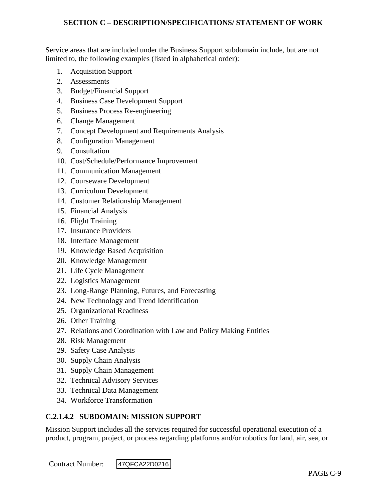Service areas that are included under the Business Support subdomain include, but are not limited to, the following examples (listed in alphabetical order):

- 1. Acquisition Support
- 2. Assessments
- 3. Budget/Financial Support
- 4. Business Case Development Support
- 5. Business Process Re-engineering
- 6. Change Management
- 7. Concept Development and Requirements Analysis
- 8. Configuration Management
- 9. Consultation
- 10. Cost/Schedule/Performance Improvement
- 11. Communication Management
- 12. Courseware Development
- 13. Curriculum Development
- 14. Customer Relationship Management
- 15. Financial Analysis
- 16. Flight Training
- 17. Insurance Providers
- 18. Interface Management
- 19. Knowledge Based Acquisition
- 20. Knowledge Management
- 21. Life Cycle Management
- 22. Logistics Management
- 23. Long-Range Planning, Futures, and Forecasting
- 24. New Technology and Trend Identification
- 25. Organizational Readiness
- 26. Other Training
- 27. Relations and Coordination with Law and Policy Making Entities
- 28. Risk Management
- 29. Safety Case Analysis
- 30. Supply Chain Analysis
- 31. Supply Chain Management
- 32. Technical Advisory Services
- 33. Technical Data Management
- 34. Workforce Transformation

## **C.2.1.4.2 SUBDOMAIN: MISSION SUPPORT**

Mission Support includes all the services required for successful operational execution of a product, program, project, or process regarding platforms and/or robotics for land, air, sea, or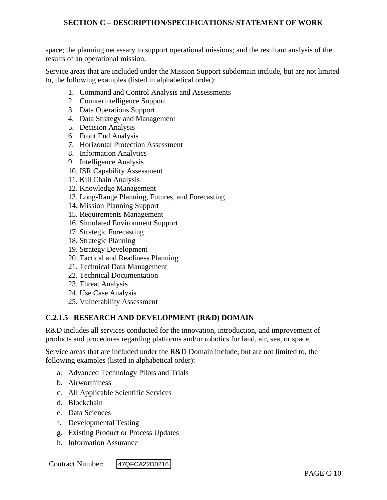space; the planning necessary to support operational missions; and the resultant analysis of the results of an operational mission.

Service areas that are included under the Mission Support subdomain include, but are not limited to, the following examples (listed in alphabetical order):

- 1. Command and Control Analysis and Assessments
- 2. Counterintelligence Support
- 3. Data Operations Support
- 4. Data Strategy and Management
- 5. Decision Analysis
- 6. Front End Analysis
- 7. Horizontal Protection Assessment
- 8. Information Analytics
- 9. Intelligence Analysis
- 10. ISR Capability Assessment
- 11. Kill Chain Analysis
- 12. Knowledge Management
- 13. Long-Range Planning, Futures, and Forecasting
- 14. Mission Planning Support
- 15. Requirements Management
- 16. Simulated Environment Support
- 17. Strategic Forecasting
- 18. Strategic Planning
- 19. Strategy Development
- 20. Tactical and Readiness Planning
- 21. Technical Data Management
- 22. Technical Documentation
- 23. Threat Analysis
- 24. Use Case Analysis
- 25. Vulnerability Assessment

#### **C.2.1.5 RESEARCH AND DEVELOPMENT (R&D) DOMAIN**

R&D includes all services conducted for the innovation, introduction, and improvement of products and procedures regarding platforms and/or robotics for land, air, sea, or space.

Service areas that are included under the R&D Domain include, but are not limited to, the following examples (listed in alphabetical order):

- a. Advanced Technology Pilots and Trials
- b. Airworthiness
- c. All Applicable Scientific Services
- d. Blockchain
- e. Data Sciences
- f. Developmental Testing
- g. Existing Product or Process Updates
- h. Information Assurance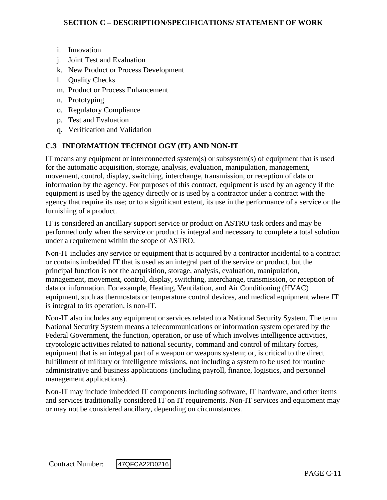- i. Innovation
- j. Joint Test and Evaluation
- k. New Product or Process Development
- l. Quality Checks
- m. Product or Process Enhancement
- n. Prototyping
- o. Regulatory Compliance
- p. Test and Evaluation
- q. Verification and Validation

## **C.3 INFORMATION TECHNOLOGY (IT) AND NON-IT**

IT means any equipment or interconnected system(s) or subsystem(s) of equipment that is used for the automatic acquisition, storage, analysis, evaluation, manipulation, management, movement, control, display, switching, interchange, transmission, or reception of data or information by the agency. For purposes of this contract, equipment is used by an agency if the equipment is used by the agency directly or is used by a contractor under a contract with the agency that require its use; or to a significant extent, its use in the performance of a service or the furnishing of a product.

IT is considered an ancillary support service or product on ASTRO task orders and may be performed only when the service or product is integral and necessary to complete a total solution under a requirement within the scope of ASTRO.

Non-IT includes any service or equipment that is acquired by a contractor incidental to a contract or contains imbedded IT that is used as an integral part of the service or product, but the principal function is not the acquisition, storage, analysis, evaluation, manipulation, management, movement, control, display, switching, interchange, transmission, or reception of data or information. For example, Heating, Ventilation, and Air Conditioning (HVAC) equipment, such as thermostats or temperature control devices, and medical equipment where IT is integral to its operation, is non-IT.

Non-IT also includes any equipment or services related to a National Security System. The term National Security System means a telecommunications or information system operated by the Federal Government, the function, operation, or use of which involves intelligence activities, cryptologic activities related to national security, command and control of military forces, equipment that is an integral part of a weapon or weapons system; or, is critical to the direct fulfillment of military or intelligence missions, not including a system to be used for routine administrative and business applications (including payroll, finance, logistics, and personnel management applications).

Non-IT may include imbedded IT components including software, IT hardware, and other items and services traditionally considered IT on IT requirements. Non-IT services and equipment may or may not be considered ancillary, depending on circumstances.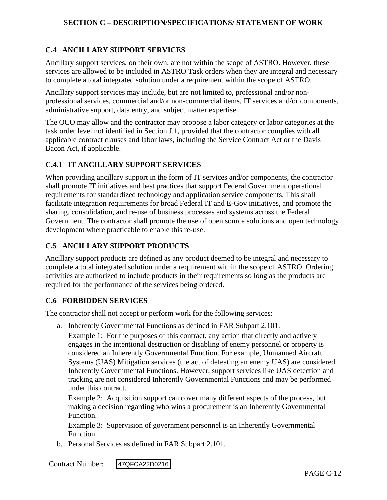## **C.4 ANCILLARY SUPPORT SERVICES**

Ancillary support services, on their own, are not within the scope of ASTRO. However, these services are allowed to be included in ASTRO Task orders when they are integral and necessary to complete a total integrated solution under a requirement within the scope of ASTRO.

Ancillary support services may include, but are not limited to, professional and/or nonprofessional services, commercial and/or non-commercial items, IT services and/or components, administrative support, data entry, and subject matter expertise.

The OCO may allow and the contractor may propose a labor category or labor categories at the task order level not identified in Section J.1, provided that the contractor complies with all applicable contract clauses and labor laws, including the Service Contract Act or the Davis Bacon Act, if applicable.

#### **C.4.1 IT ANCILLARY SUPPORT SERVICES**

When providing ancillary support in the form of IT services and/or components, the contractor shall promote IT initiatives and best practices that support Federal Government operational requirements for standardized technology and application service components. This shall facilitate integration requirements for broad Federal IT and E-Gov initiatives, and promote the sharing, consolidation, and re-use of business processes and systems across the Federal Government. The contractor shall promote the use of open source solutions and open technology development where practicable to enable this re-use.

## **C.5 ANCILLARY SUPPORT PRODUCTS**

Ancillary support products are defined as any product deemed to be integral and necessary to complete a total integrated solution under a requirement within the scope of ASTRO. Ordering activities are authorized to include products in their requirements so long as the products are required for the performance of the services being ordered.

#### **C.6 FORBIDDEN SERVICES**

The contractor shall not accept or perform work for the following services:

a. Inherently Governmental Functions as defined in FAR Subpart 2.101.

Example 1: For the purposes of this contract, any action that directly and actively engages in the intentional destruction or disabling of enemy personnel or property is considered an Inherently Governmental Function. For example, Unmanned Aircraft Systems (UAS) Mitigation services (the act of defeating an enemy UAS) are considered Inherently Governmental Functions. However, support services like UAS detection and tracking are not considered Inherently Governmental Functions and may be performed under this contract.

Example 2: Acquisition support can cover many different aspects of the process, but making a decision regarding who wins a procurement is an Inherently Governmental Function.

Example 3: Supervision of government personnel is an Inherently Governmental Function.

b. Personal Services as defined in FAR Subpart 2.101.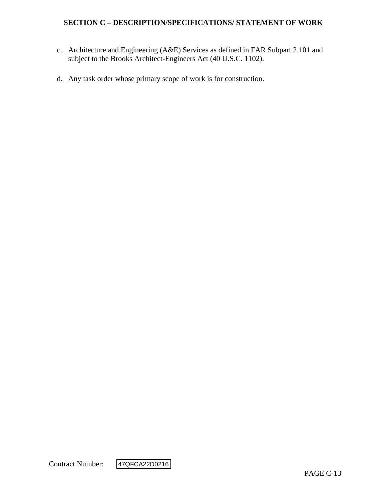- c. Architecture and Engineering (A&E) Services as defined in FAR Subpart 2.101 and subject to the Brooks Architect-Engineers Act (40 U.S.C. 1102).
- d. Any task order whose primary scope of work is for construction.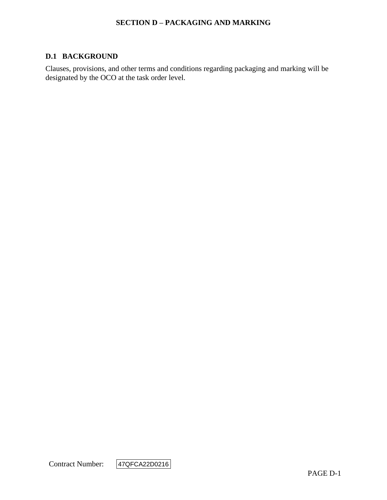#### **SECTION D – PACKAGING AND MARKING**

#### **D.1 BACKGROUND**

Clauses, provisions, and other terms and conditions regarding packaging and marking will be designated by the OCO at the task order level.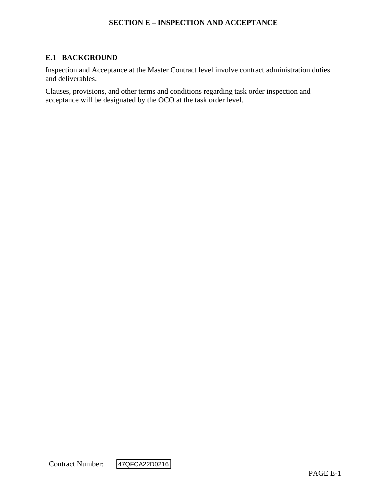#### **SECTION E – INSPECTION AND ACCEPTANCE**

## **E.1 BACKGROUND**

Inspection and Acceptance at the Master Contract level involve contract administration duties and deliverables.

Clauses, provisions, and other terms and conditions regarding task order inspection and acceptance will be designated by the OCO at the task order level.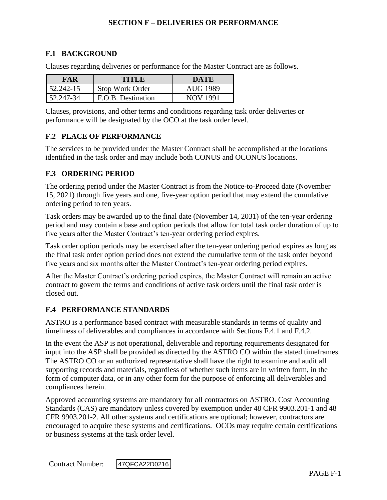## **F.1 BACKGROUND**

Clauses regarding deliveries or performance for the Master Contract are as follows.

| FAR       | TITLE              | DATE     |
|-----------|--------------------|----------|
| 52.242-15 | Stop Work Order    | AUG 1989 |
| 52.247-34 | F.O.B. Destination | NOV 1991 |

Clauses, provisions, and other terms and conditions regarding task order deliveries or performance will be designated by the OCO at the task order level.

#### **F.2 PLACE OF PERFORMANCE**

The services to be provided under the Master Contract shall be accomplished at the locations identified in the task order and may include both CONUS and OCONUS locations.

#### **F.3 ORDERING PERIOD**

The ordering period under the Master Contract is from the Notice-to-Proceed date (November 15, 2021) through five years and one, five-year option period that may extend the cumulative ordering period to ten years.

Task orders may be awarded up to the final date (November 14, 2031) of the ten-year ordering period and may contain a base and option periods that allow for total task order duration of up to five years after the Master Contract's ten-year ordering period expires.

Task order option periods may be exercised after the ten-year ordering period expires as long as the final task order option period does not extend the cumulative term of the task order beyond five years and six months after the Master Contract's ten-year ordering period expires.

After the Master Contract's ordering period expires, the Master Contract will remain an active contract to govern the terms and conditions of active task orders until the final task order is closed out.

#### **F.4 PERFORMANCE STANDARDS**

ASTRO is a performance based contract with measurable standards in terms of quality and timeliness of deliverables and compliances in accordance with Sections F.4.1 and F.4.2.

In the event the ASP is not operational, deliverable and reporting requirements designated for input into the ASP shall be provided as directed by the ASTRO CO within the stated timeframes. The ASTRO CO or an authorized representative shall have the right to examine and audit all supporting records and materials, regardless of whether such items are in written form, in the form of computer data, or in any other form for the purpose of enforcing all deliverables and compliances herein.

Approved accounting systems are mandatory for all contractors on ASTRO. Cost Accounting Standards (CAS) are mandatory unless covered by exemption under 48 CFR 9903.201-1 and 48 CFR 9903.201-2. All other systems and certifications are optional; however, contractors are encouraged to acquire these systems and certifications. OCOs may require certain certifications or business systems at the task order level.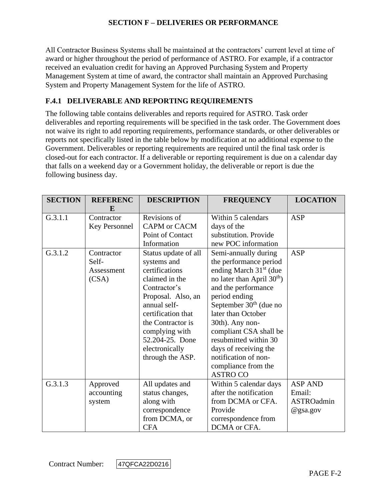All Contractor Business Systems shall be maintained at the contractors' current level at time of award or higher throughout the period of performance of ASTRO. For example, if a contractor received an evaluation credit for having an Approved Purchasing System and Property Management System at time of award, the contractor shall maintain an Approved Purchasing System and Property Management System for the life of ASTRO.

## **F.4.1 DELIVERABLE AND REPORTING REQUIREMENTS**

The following table contains deliverables and reports required for ASTRO. Task order deliverables and reporting requirements will be specified in the task order. The Government does not waive its right to add reporting requirements, performance standards, or other deliverables or reports not specifically listed in the table below by modification at no additional expense to the Government. Deliverables or reporting requirements are required until the final task order is closed-out for each contractor. If a deliverable or reporting requirement is due on a calendar day that falls on a weekend day or a Government holiday, the deliverable or report is due the following business day.

| <b>SECTION</b> | <b>REFERENC</b><br>E                       | <b>DESCRIPTION</b>                                                                                                                                                                                                                                  | <b>FREQUENCY</b>                                                                                                                                                                                                                                                                                                                                                                | <b>LOCATION</b>                                    |
|----------------|--------------------------------------------|-----------------------------------------------------------------------------------------------------------------------------------------------------------------------------------------------------------------------------------------------------|---------------------------------------------------------------------------------------------------------------------------------------------------------------------------------------------------------------------------------------------------------------------------------------------------------------------------------------------------------------------------------|----------------------------------------------------|
| G.3.1.1        | Contractor<br>Key Personnel                | Revisions of<br>CAPM or CACM<br>Point of Contact<br>Information                                                                                                                                                                                     | Within 5 calendars<br>days of the<br>substitution. Provide<br>new POC information                                                                                                                                                                                                                                                                                               | <b>ASP</b>                                         |
| G.3.1.2        | Contractor<br>Self-<br>Assessment<br>(CSA) | Status update of all<br>systems and<br>certifications<br>claimed in the<br>Contractor's<br>Proposal. Also, an<br>annual self-<br>certification that<br>the Contractor is<br>complying with<br>52.204-25. Done<br>electronically<br>through the ASP. | Semi-annually during<br>the performance period<br>ending March $31st$ (due<br>no later than April 30 <sup>th</sup> )<br>and the performance<br>period ending<br>September $30th$ (due no<br>later than October<br>30th). Any non-<br>compliant CSA shall be<br>resubmitted within 30<br>days of receiving the<br>notification of non-<br>compliance from the<br><b>ASTRO CO</b> | <b>ASP</b>                                         |
| G.3.1.3        | Approved<br>accounting<br>system           | All updates and<br>status changes,<br>along with<br>correspondence<br>from DCMA, or<br><b>CFA</b>                                                                                                                                                   | Within 5 calendar days<br>after the notification<br>from DCMA or CFA.<br>Provide<br>correspondence from<br>DCMA or CFA.                                                                                                                                                                                                                                                         | <b>ASP AND</b><br>Email:<br>ASTROadmin<br>@gsa.gov |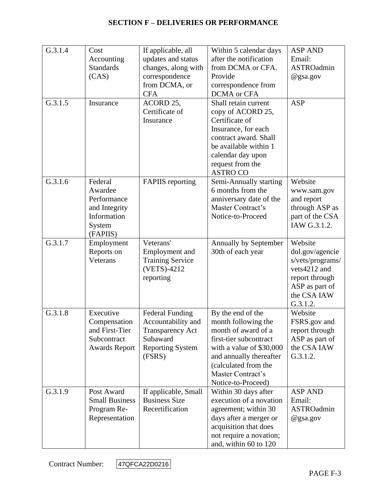| G.3.1.4 | Cost<br>Accounting<br><b>Standards</b><br>(CAS)                                         | If applicable, all<br>updates and status<br>changes, along with<br>correspondence<br>from DCMA, or<br><b>CFA</b>         | Within 5 calendar days<br>after the notification<br>from DCMA or CFA.<br>Provide<br>correspondence from<br>DCMA or CFA                                                                                              | <b>ASP AND</b><br>Email:<br>ASTROadmin<br>@gsa.gov                                                                            |
|---------|-----------------------------------------------------------------------------------------|--------------------------------------------------------------------------------------------------------------------------|---------------------------------------------------------------------------------------------------------------------------------------------------------------------------------------------------------------------|-------------------------------------------------------------------------------------------------------------------------------|
| G.3.1.5 | Insurance                                                                               | ACORD 25,<br>Certificate of<br>Insurance                                                                                 | Shall retain current<br>copy of ACORD 25,<br>Certificate of<br>Insurance, for each<br>contract award. Shall<br>be available within 1<br>calendar day upon<br>request from the<br><b>ASTRO CO</b>                    | <b>ASP</b>                                                                                                                    |
| G.3.1.6 | Federal<br>Awardee<br>Performance<br>and Integrity<br>Information<br>System<br>(FAPIIS) | <b>FAPIIS</b> reporting                                                                                                  | Semi-Annually starting<br>6 months from the<br>anniversary date of the<br>Master Contract's<br>Notice-to-Proceed                                                                                                    | Website<br>www.sam.gov<br>and report<br>through ASP as<br>part of the CSA<br>IAW G.3.1.2.                                     |
| G.3.1.7 | Employment<br>Reports on<br>Veterans                                                    | Veterans'<br>Employment and<br><b>Training Service</b><br>(VETS)-4212<br>reporting                                       | Annually by September<br>30th of each year                                                                                                                                                                          | Website<br>dol.gov/agencie<br>s/vets/programs/<br>vets4212 and<br>report through<br>ASP as part of<br>the CSA IAW<br>G.3.1.2. |
| G.3.1.8 | Executive<br>Compensation<br>and First-Tier<br>Subcontract<br><b>Awards Report</b>      | <b>Federal Funding</b><br>Accountability and<br><b>Transparency Act</b><br>Subaward<br><b>Reporting System</b><br>(FSRS) | By the end of the<br>month following the<br>month of award of a<br>first-tier subcontract<br>with a value of \$30,000<br>and annually thereafter<br>(calculated from the<br>Master Contract's<br>Notice-to-Proceed) | Website<br>FSRS.gov and<br>report through<br>ASP as part of<br>the CSA IAW<br>G.3.1.2.                                        |
| G.3.1.9 | Post Award<br><b>Small Business</b><br>Program Re-<br>Representation                    | If applicable, Small<br><b>Business Size</b><br>Recertification                                                          | Within 30 days after<br>execution of a novation<br>agreement; within 30<br>days after a merger or<br>acquisition that does<br>not require a novation;<br>and, within 60 to 120                                      | <b>ASP AND</b><br>Email:<br>ASTROadmin<br>@gsa.gov                                                                            |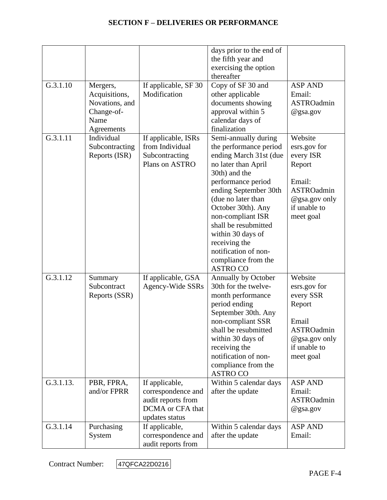|           |                                                                                 |                                                                                                  | days prior to the end of<br>the fifth year and<br>exercising the option<br>thereafter                                                                                                                                                                                                                                                                            |                                                                                                                             |
|-----------|---------------------------------------------------------------------------------|--------------------------------------------------------------------------------------------------|------------------------------------------------------------------------------------------------------------------------------------------------------------------------------------------------------------------------------------------------------------------------------------------------------------------------------------------------------------------|-----------------------------------------------------------------------------------------------------------------------------|
| G.3.1.10  | Mergers,<br>Acquisitions,<br>Novations, and<br>Change-of-<br>Name<br>Agreements | If applicable, SF 30<br>Modification                                                             | Copy of SF 30 and<br>other applicable<br>documents showing<br>approval within 5<br>calendar days of<br>finalization                                                                                                                                                                                                                                              | <b>ASP AND</b><br>Email:<br>ASTROadmin<br>@gsa.gov                                                                          |
| G.3.1.11  | Individual<br>Subcontracting<br>Reports (ISR)                                   | If applicable, ISRs<br>from Individual<br>Subcontracting<br>Plans on ASTRO                       | Semi-annually during<br>the performance period<br>ending March 31st (due<br>no later than April<br>30th) and the<br>performance period<br>ending September 30th<br>(due no later than<br>October 30th). Any<br>non-compliant ISR<br>shall be resubmitted<br>within 30 days of<br>receiving the<br>notification of non-<br>compliance from the<br><b>ASTRO CO</b> | Website<br>esrs.gov for<br>every ISR<br>Report<br>Email:<br><b>ASTROadmin</b><br>@gsa.gov only<br>if unable to<br>meet goal |
| G.3.1.12  | Summary<br>Subcontract<br>Reports (SSR)                                         | If applicable, GSA<br>Agency-Wide SSRs                                                           | Annually by October<br>30th for the twelve-<br>month performance<br>period ending<br>September 30th. Any<br>non-compliant SSR<br>shall be resubmitted<br>within 30 days of<br>receiving the<br>notification of non-<br>compliance from the<br><b>ASTRO CO</b>                                                                                                    | Website<br>esrs.gov for<br>every SSR<br>Report<br>Email<br><b>ASTROadmin</b><br>@gsa.gov only<br>if unable to<br>meet goal  |
| G.3.1.13. | PBR, FPRA,<br>and/or FPRR                                                       | If applicable,<br>correspondence and<br>audit reports from<br>DCMA or CFA that<br>updates status | Within 5 calendar days<br>after the update                                                                                                                                                                                                                                                                                                                       | <b>ASP AND</b><br>Email:<br>ASTROadmin<br>@gsa.gov                                                                          |
| G.3.1.14  | Purchasing<br>System                                                            | If applicable,<br>correspondence and<br>audit reports from                                       | Within 5 calendar days<br>after the update                                                                                                                                                                                                                                                                                                                       | <b>ASP AND</b><br>Email:                                                                                                    |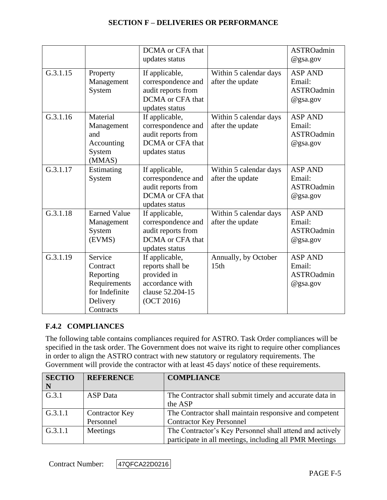|          |                                                                                             | DCMA or CFA that<br>updates status                                                                     |                                            | <b>ASTROadmin</b><br>$@$ gsa.gov                             |
|----------|---------------------------------------------------------------------------------------------|--------------------------------------------------------------------------------------------------------|--------------------------------------------|--------------------------------------------------------------|
| G.3.1.15 | Property<br>Management<br>System                                                            | If applicable,<br>correspondence and<br>audit reports from<br>DCMA or CFA that<br>updates status       | Within 5 calendar days<br>after the update | <b>ASP AND</b><br>Email:<br><b>ASTROadmin</b><br>@gsa.gov    |
| G.3.1.16 | Material<br>Management<br>and<br>Accounting<br>System<br>(MMAS)                             | If applicable,<br>correspondence and<br>audit reports from<br>DCMA or CFA that<br>updates status       | Within 5 calendar days<br>after the update | <b>ASP AND</b><br>Email:<br><b>ASTROadmin</b><br>@gsa.gov    |
| G.3.1.17 | Estimating<br>System                                                                        | If applicable,<br>correspondence and<br>audit reports from<br>DCMA or CFA that<br>updates status       | Within 5 calendar days<br>after the update | <b>ASP AND</b><br>Email:<br><b>ASTROadmin</b><br>$@$ gsa.gov |
| G.3.1.18 | <b>Earned Value</b><br>Management<br>System<br>(EVMS)                                       | If applicable,<br>correspondence and<br>audit reports from<br>DCMA or CFA that<br>updates status       | Within 5 calendar days<br>after the update | <b>ASP AND</b><br>Email:<br><b>ASTROadmin</b><br>$@$ gsa.gov |
| G.3.1.19 | Service<br>Contract<br>Reporting<br>Requirements<br>for Indefinite<br>Delivery<br>Contracts | If applicable,<br>reports shall be<br>provided in<br>accordance with<br>clause 52.204-15<br>(OCT 2016) | Annually, by October<br>15th               | <b>ASP AND</b><br>Email:<br><b>ASTROadmin</b><br>@gsa.gov    |

#### **F.4.2 COMPLIANCES**

The following table contains compliances required for ASTRO. Task Order compliances will be specified in the task order. The Government does not waive its right to require other compliances in order to align the ASTRO contract with new statutory or regulatory requirements. The Government will provide the contractor with at least 45 days' notice of these requirements.

| <b>SECTIO</b> | <b>REFERENCE</b>      | <b>COMPLIANCE</b>                                        |
|---------------|-----------------------|----------------------------------------------------------|
| $\mid N$      |                       |                                                          |
| G.3.1         | <b>ASP</b> Data       | The Contractor shall submit timely and accurate data in  |
|               |                       | the ASP                                                  |
| G.3.1.1       | <b>Contractor Key</b> | The Contractor shall maintain responsive and competent   |
|               | Personnel             | <b>Contractor Key Personnel</b>                          |
| G.3.1.1       | Meetings              | The Contractor's Key Personnel shall attend and actively |
|               |                       | participate in all meetings, including all PMR Meetings  |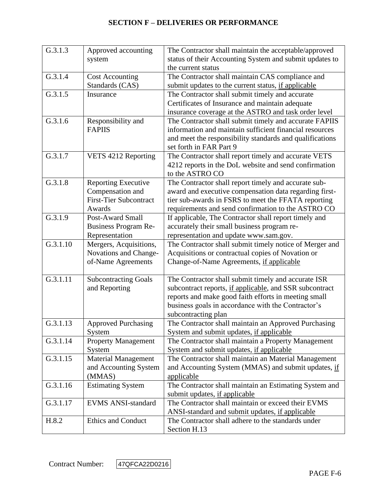| G.3.1.3  | Approved accounting           | The Contractor shall maintain the acceptable/approved    |
|----------|-------------------------------|----------------------------------------------------------|
|          | system                        | status of their Accounting System and submit updates to  |
|          |                               | the current status                                       |
| G.3.1.4  | <b>Cost Accounting</b>        | The Contractor shall maintain CAS compliance and         |
|          | Standards (CAS)               | submit updates to the current status, if applicable      |
| G.3.1.5  | Insurance                     | The Contractor shall submit timely and accurate          |
|          |                               | Certificates of Insurance and maintain adequate          |
|          |                               | insurance coverage at the ASTRO and task order level     |
| G.3.1.6  | Responsibility and            | The Contractor shall submit timely and accurate FAPIIS   |
|          | <b>FAPIIS</b>                 | information and maintain sufficient financial resources  |
|          |                               | and meet the responsibility standards and qualifications |
|          |                               | set forth in FAR Part 9                                  |
| G.3.1.7  | VETS 4212 Reporting           | The Contractor shall report timely and accurate VETS     |
|          |                               | 4212 reports in the DoL website and send confirmation    |
|          |                               | to the ASTRO CO                                          |
| G.3.1.8  | <b>Reporting Executive</b>    | The Contractor shall report timely and accurate sub-     |
|          | Compensation and              | award and executive compensation data regarding first-   |
|          | <b>First-Tier Subcontract</b> | tier sub-awards in FSRS to meet the FFATA reporting      |
|          | Awards                        | requirements and send confirmation to the ASTRO CO       |
| G.3.1.9  | <b>Post-Award Small</b>       | If applicable, The Contractor shall report timely and    |
|          | <b>Business Program Re-</b>   | accurately their small business program re-              |
|          | Representation                | representation and update www.sam.gov.                   |
| G.3.1.10 | Mergers, Acquisitions,        | The Contractor shall submit timely notice of Merger and  |
|          | Novations and Change-         | Acquisitions or contractual copies of Novation or        |
|          | of-Name Agreements            | Change-of-Name Agreements, if applicable                 |
|          |                               |                                                          |
| G.3.1.11 | <b>Subcontracting Goals</b>   | The Contractor shall submit timely and accurate ISR      |
|          | and Reporting                 | subcontract reports, if applicable, and SSR subcontract  |
|          |                               | reports and make good faith efforts in meeting small     |
|          |                               | business goals in accordance with the Contractor's       |
|          |                               | subcontracting plan                                      |
| G.3.1.13 | <b>Approved Purchasing</b>    | The Contractor shall maintain an Approved Purchasing     |
|          | System                        | System and submit updates, if applicable                 |
| G.3.1.14 | <b>Property Management</b>    | The Contractor shall maintain a Property Management      |
|          | System                        | System and submit updates, if applicable                 |
| G.3.1.15 | <b>Material Management</b>    | The Contractor shall maintain an Material Management     |
|          | and Accounting System         | and Accounting System (MMAS) and submit updates, if      |
|          | (MMAS)                        | applicable                                               |
| G.3.1.16 | <b>Estimating System</b>      | The Contractor shall maintain an Estimating System and   |
|          |                               | submit updates, if applicable                            |
| G.3.1.17 | <b>EVMS ANSI-standard</b>     | The Contractor shall maintain or exceed their EVMS       |
|          |                               | ANSI-standard and submit updates, if applicable          |
| H.8.2    | Ethics and Conduct            | The Contractor shall adhere to the standards under       |
|          |                               | Section H.13                                             |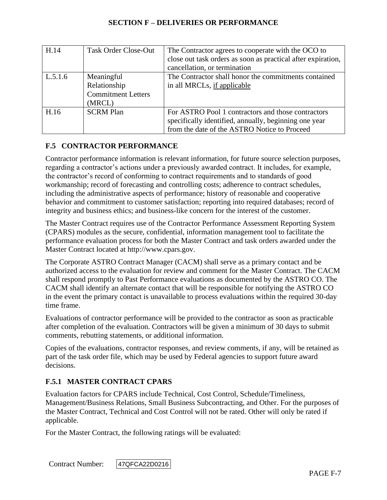| H.14    | <b>Task Order Close-Out</b>                                       | The Contractor agrees to cooperate with the OCO to<br>close out task orders as soon as practical after expiration,<br>cancellation, or termination          |
|---------|-------------------------------------------------------------------|-------------------------------------------------------------------------------------------------------------------------------------------------------------|
| L.5.1.6 | Meaningful<br>Relationship<br><b>Commitment Letters</b><br>(MRCL) | The Contractor shall honor the commitments contained<br>in all MRCLs, if applicable                                                                         |
| H.16    | <b>SCRM Plan</b>                                                  | For ASTRO Pool 1 contractors and those contractors<br>specifically identified, annually, beginning one year<br>from the date of the ASTRO Notice to Proceed |

## **F.5 CONTRACTOR PERFORMANCE**

Contractor performance information is relevant information, for future source selection purposes, regarding a contractor's actions under a previously awarded contract. It includes, for example, the contractor's record of conforming to contract requirements and to standards of good workmanship; record of forecasting and controlling costs; adherence to contract schedules, including the administrative aspects of performance; history of reasonable and cooperative behavior and commitment to customer satisfaction; reporting into required databases; record of integrity and business ethics; and business-like concern for the interest of the customer.

The Master Contract requires use of the Contractor Performance Assessment Reporting System (CPARS) modules as the secure, confidential, information management tool to facilitate the performance evaluation process for both the Master Contract and task orders awarded under the Master Contract located at http://www.cpars.gov.

The Corporate ASTRO Contract Manager (CACM) shall serve as a primary contact and be authorized access to the evaluation for review and comment for the Master Contract. The CACM shall respond promptly to Past Performance evaluations as documented by the ASTRO CO. The CACM shall identify an alternate contact that will be responsible for notifying the ASTRO CO in the event the primary contact is unavailable to process evaluations within the required 30-day time frame.

Evaluations of contractor performance will be provided to the contractor as soon as practicable after completion of the evaluation. Contractors will be given a minimum of 30 days to submit comments, rebutting statements, or additional information.

Copies of the evaluations, contractor responses, and review comments, if any, will be retained as part of the task order file, which may be used by Federal agencies to support future award decisions.

#### **F.5.1 MASTER CONTRACT CPARS**

Evaluation factors for CPARS include Technical, Cost Control, Schedule/Timeliness, Management/Business Relations, Small Business Subcontracting, and Other. For the purposes of the Master Contract, Technical and Cost Control will not be rated. Other will only be rated if applicable.

For the Master Contract, the following ratings will be evaluated: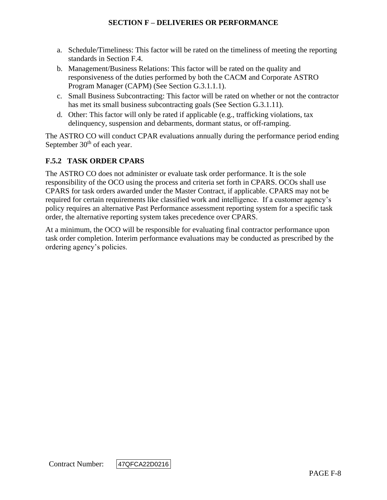- a. Schedule/Timeliness: This factor will be rated on the timeliness of meeting the reporting standards in Section F.4.
- b. Management/Business Relations: This factor will be rated on the quality and responsiveness of the duties performed by both the CACM and Corporate ASTRO Program Manager (CAPM) (See Section G.3.1.1.1).
- c. Small Business Subcontracting: This factor will be rated on whether or not the contractor has met its small business subcontracting goals (See Section G.3.1.11).
- d. Other: This factor will only be rated if applicable (e.g., trafficking violations, tax delinquency, suspension and debarments, dormant status, or off-ramping.

The ASTRO CO will conduct CPAR evaluations annually during the performance period ending September  $30<sup>th</sup>$  of each year.

## **F.5.2 TASK ORDER CPARS**

The ASTRO CO does not administer or evaluate task order performance. It is the sole responsibility of the OCO using the process and criteria set forth in CPARS. OCOs shall use CPARS for task orders awarded under the Master Contract, if applicable. CPARS may not be required for certain requirements like classified work and intelligence. If a customer agency's policy requires an alternative Past Performance assessment reporting system for a specific task order, the alternative reporting system takes precedence over CPARS.

At a minimum, the OCO will be responsible for evaluating final contractor performance upon task order completion. Interim performance evaluations may be conducted as prescribed by the ordering agency's policies.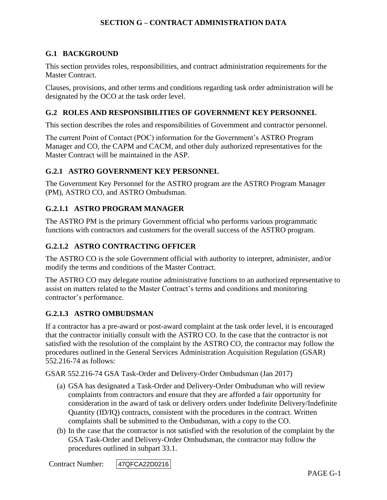#### **G.1 BACKGROUND**

This section provides roles, responsibilities, and contract administration requirements for the Master Contract.

Clauses, provisions, and other terms and conditions regarding task order administration will be designated by the OCO at the task order level.

#### **G.2 ROLES AND RESPONSIBILITIES OF GOVERNMENT KEY PERSONNEL**

This section describes the roles and responsibilities of Government and contractor personnel.

The current Point of Contact (POC) information for the Government's ASTRO Program Manager and CO, the CAPM and CACM, and other duly authorized representatives for the Master Contract will be maintained in the ASP.

#### **G.2.1 ASTRO GOVERNMENT KEY PERSONNEL**

The Government Key Personnel for the ASTRO program are the ASTRO Program Manager (PM), ASTRO CO, and ASTRO Ombudsman.

#### **G.2.1.1 ASTRO PROGRAM MANAGER**

The ASTRO PM is the primary Government official who performs various programmatic functions with contractors and customers for the overall success of the ASTRO program.

#### **G.2.1.2 ASTRO CONTRACTING OFFICER**

The ASTRO CO is the sole Government official with authority to interpret, administer, and/or modify the terms and conditions of the Master Contract.

The ASTRO CO may delegate routine administrative functions to an authorized representative to assist on matters related to the Master Contract's terms and conditions and monitoring contractor's performance.

#### **G.2.1.3 ASTRO OMBUDSMAN**

If a contractor has a pre-award or post-award complaint at the task order level, it is encouraged that the contractor initially consult with the ASTRO CO. In the case that the contractor is not satisfied with the resolution of the complaint by the ASTRO CO, the contractor may follow the procedures outlined in the General Services Administration Acquisition Regulation (GSAR) 552.216-74 as follows:

GSAR 552.216-74 GSA Task-Order and Delivery-Order Ombudsman (Jan 2017)

- (a) GSA has designated a Task-Order and Delivery-Order Ombudsman who will review complaints from contractors and ensure that they are afforded a fair opportunity for consideration in the award of task or delivery orders under Indefinite Delivery/Indefinite Quantity (ID/IQ) contracts, consistent with the procedures in the contract. Written complaints shall be submitted to the Ombudsman, with a copy to the CO.
- (b) In the case that the contractor is not satisfied with the resolution of the complaint by the GSA Task-Order and Delivery-Order Ombudsman, the contractor may follow the procedures outlined in subpart 33.1.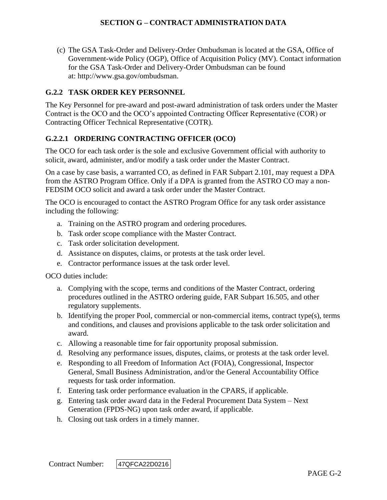(c) The GSA Task-Order and Delivery-Order Ombudsman is located at the GSA, Office of Government-wide Policy (OGP), Office of Acquisition Policy (MV). Contact information for the GSA Task-Order and Delivery-Order Ombudsman can be found at: http://www.gsa.gov/ombudsman.

### **G.2.2 TASK ORDER KEY PERSONNEL**

The Key Personnel for pre-award and post-award administration of task orders under the Master Contract is the OCO and the OCO's appointed Contracting Officer Representative (COR) or Contracting Officer Technical Representative (COTR).

#### **G.2.2.1 ORDERING CONTRACTING OFFICER (OCO)**

The OCO for each task order is the sole and exclusive Government official with authority to solicit, award, administer, and/or modify a task order under the Master Contract.

On a case by case basis, a warranted CO, as defined in FAR Subpart 2.101, may request a DPA from the ASTRO Program Office. Only if a DPA is granted from the ASTRO CO may a non-FEDSIM OCO solicit and award a task order under the Master Contract.

The OCO is encouraged to contact the ASTRO Program Office for any task order assistance including the following:

- a. Training on the ASTRO program and ordering procedures.
- b. Task order scope compliance with the Master Contract.
- c. Task order solicitation development.
- d. Assistance on disputes, claims, or protests at the task order level.
- e. Contractor performance issues at the task order level.

OCO duties include:

- a. Complying with the scope, terms and conditions of the Master Contract, ordering procedures outlined in the ASTRO ordering guide, FAR Subpart 16.505, and other regulatory supplements.
- b. Identifying the proper Pool, commercial or non-commercial items, contract type(s), terms and conditions, and clauses and provisions applicable to the task order solicitation and award.
- c. Allowing a reasonable time for fair opportunity proposal submission.
- d. Resolving any performance issues, disputes, claims, or protests at the task order level.
- e. Responding to all Freedom of Information Act (FOIA), Congressional, Inspector General, Small Business Administration, and/or the General Accountability Office requests for task order information.
- f. Entering task order performance evaluation in the CPARS, if applicable.
- g. Entering task order award data in the Federal Procurement Data System Next Generation (FPDS-NG) upon task order award, if applicable.
- h. Closing out task orders in a timely manner.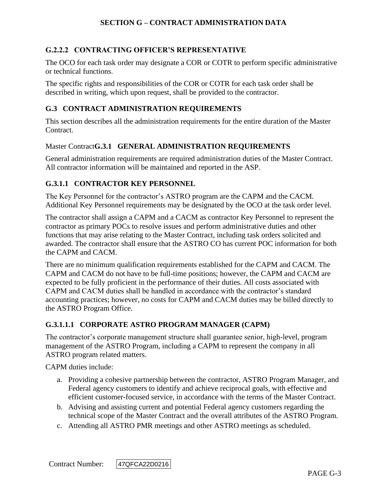## **G.2.2.2 CONTRACTING OFFICER'S REPRESENTATIVE**

The OCO for each task order may designate a COR or COTR to perform specific administrative or technical functions.

The specific rights and responsibilities of the COR or COTR for each task order shall be described in writing, which upon request, shall be provided to the contractor.

#### **G.3 CONTRACT ADMINISTRATION REQUIREMENTS**

This section describes all the administration requirements for the entire duration of the Master Contract.

#### Master Contract**G.3.1 GENERAL ADMINISTRATION REQUIREMENTS**

General administration requirements are required administration duties of the Master Contract. All contractor information will be maintained and reported in the ASP.

## **G.3.1.1 CONTRACTOR KEY PERSONNEL**

The Key Personnel for the contractor's ASTRO program are the CAPM and the CACM. Additional Key Personnel requirements may be designated by the OCO at the task order level.

The contractor shall assign a CAPM and a CACM as contractor Key Personnel to represent the contractor as primary POCs to resolve issues and perform administrative duties and other functions that may arise relating to the Master Contract, including task orders solicited and awarded. The contractor shall ensure that the ASTRO CO has current POC information for both the CAPM and CACM.

There are no minimum qualification requirements established for the CAPM and CACM. The CAPM and CACM do not have to be full-time positions; however, the CAPM and CACM are expected to be fully proficient in the performance of their duties. All costs associated with CAPM and CACM duties shall be handled in accordance with the contractor's standard accounting practices; however, no costs for CAPM and CACM duties may be billed directly to the ASTRO Program Office.

#### **G.3.1.1.1 CORPORATE ASTRO PROGRAM MANAGER (CAPM)**

The contractor's corporate management structure shall guarantee senior, high-level, program management of the ASTRO Program, including a CAPM to represent the company in all ASTRO program related matters.

CAPM duties include:

- a. Providing a cohesive partnership between the contractor, ASTRO Program Manager, and Federal agency customers to identify and achieve reciprocal goals, with effective and efficient customer-focused service, in accordance with the terms of the Master Contract.
- b. Advising and assisting current and potential Federal agency customers regarding the technical scope of the Master Contract and the overall attributes of the ASTRO Program.
- c. Attending all ASTRO PMR meetings and other ASTRO meetings as scheduled.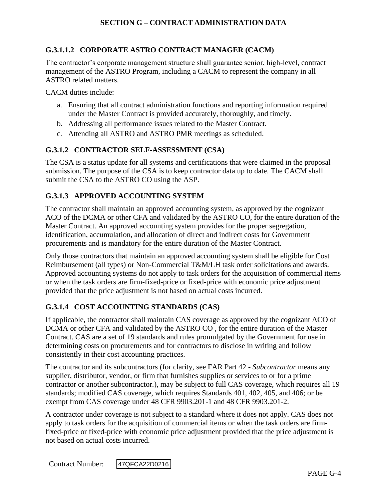## **G.3.1.1.2 CORPORATE ASTRO CONTRACT MANAGER (CACM)**

The contractor's corporate management structure shall guarantee senior, high-level, contract management of the ASTRO Program, including a CACM to represent the company in all ASTRO related matters.

CACM duties include:

- a. Ensuring that all contract administration functions and reporting information required under the Master Contract is provided accurately, thoroughly, and timely.
- b. Addressing all performance issues related to the Master Contract.
- c. Attending all ASTRO and ASTRO PMR meetings as scheduled.

#### **G.3.1.2 CONTRACTOR SELF-ASSESSMENT (CSA)**

The CSA is a status update for all systems and certifications that were claimed in the proposal submission. The purpose of the CSA is to keep contractor data up to date. The CACM shall submit the CSA to the ASTRO CO using the ASP.

#### **G.3.1.3 APPROVED ACCOUNTING SYSTEM**

The contractor shall maintain an approved accounting system, as approved by the cognizant ACO of the DCMA or other CFA and validated by the ASTRO CO, for the entire duration of the Master Contract. An approved accounting system provides for the proper segregation, identification, accumulation, and allocation of direct and indirect costs for Government procurements and is mandatory for the entire duration of the Master Contract.

Only those contractors that maintain an approved accounting system shall be eligible for Cost Reimbursement (all types) or Non-Commercial T&M/LH task order solicitations and awards. Approved accounting systems do not apply to task orders for the acquisition of commercial items or when the task orders are firm-fixed-price or fixed-price with economic price adjustment provided that the price adjustment is not based on actual costs incurred.

#### **G.3.1.4 COST ACCOUNTING STANDARDS (CAS)**

If applicable, the contractor shall maintain CAS coverage as approved by the cognizant ACO of DCMA or other CFA and validated by the ASTRO CO , for the entire duration of the Master Contract. CAS are a set of 19 standards and rules promulgated by the Government for use in determining costs on procurements and for contractors to disclose in writing and follow consistently in their cost accounting practices.

The contractor and its subcontractors (for clarity, see FAR Part 42 - *Subcontractor* means any supplier, distributor, vendor, or firm that furnishes supplies or services to or for a prime contractor or another subcontractor.), may be subject to full CAS coverage, which requires all 19 standards; modified CAS coverage, which requires Standards 401, 402, 405, and 406; or be exempt from CAS coverage under 48 CFR 9903.201-1 and 48 CFR 9903.201-2.

A contractor under coverage is not subject to a standard where it does not apply. CAS does not apply to task orders for the acquisition of commercial items or when the task orders are firmfixed-price or fixed-price with economic price adjustment provided that the price adjustment is not based on actual costs incurred.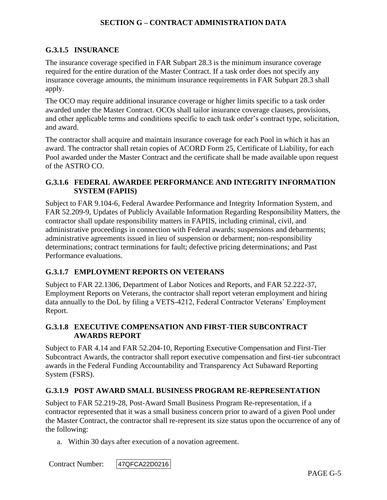## **G.3.1.5 INSURANCE**

The insurance coverage specified in FAR Subpart 28.3 is the minimum insurance coverage required for the entire duration of the Master Contract. If a task order does not specify any insurance coverage amounts, the minimum insurance requirements in FAR Subpart 28.3 shall apply.

The OCO may require additional insurance coverage or higher limits specific to a task order awarded under the Master Contract. OCOs shall tailor insurance coverage clauses, provisions, and other applicable terms and conditions specific to each task order's contract type, solicitation, and award.

The contractor shall acquire and maintain insurance coverage for each Pool in which it has an award. The contractor shall retain copies of ACORD Form 25, Certificate of Liability, for each Pool awarded under the Master Contract and the certificate shall be made available upon request of the ASTRO CO.

## **G.3.1.6 FEDERAL AWARDEE PERFORMANCE AND INTEGRITY INFORMATION SYSTEM (FAPIIS)**

Subject to FAR 9.104-6, Federal Awardee Performance and Integrity Information System, and FAR 52.209-9, Updates of Publicly Available Information Regarding Responsibility Matters, the contractor shall update responsibility matters in FAPIIS, including criminal, civil, and administrative proceedings in connection with Federal awards; suspensions and debarments; administrative agreements issued in lieu of suspension or debarment; non-responsibility determinations; contract terminations for fault; defective pricing determinations; and Past Performance evaluations.

## **G.3.1.7 EMPLOYMENT REPORTS ON VETERANS**

Subject to FAR 22.1306, Department of Labor Notices and Reports, and FAR 52.222-37, Employment Reports on Veterans, the contractor shall report veteran employment and hiring data annually to the DoL by filing a VETS-4212, Federal Contractor Veterans' Employment Report.

### **G.3.1.8 EXECUTIVE COMPENSATION AND FIRST-TIER SUBCONTRACT AWARDS REPORT**

Subject to FAR 4.14 and FAR 52.204-10, Reporting Executive Compensation and First-Tier Subcontract Awards, the contractor shall report executive compensation and first-tier subcontract awards in the Federal Funding Accountability and Transparency Act Subaward Reporting System (FSRS).

## **G.3.1.9 POST AWARD SMALL BUSINESS PROGRAM RE-REPRESENTATION**

Subject to FAR 52.219-28, Post-Award Small Business Program Re-representation, if a contractor represented that it was a small business concern prior to award of a given Pool under the Master Contract, the contractor shall re-represent its size status upon the occurrence of any of the following:

a. Within 30 days after execution of a novation agreement.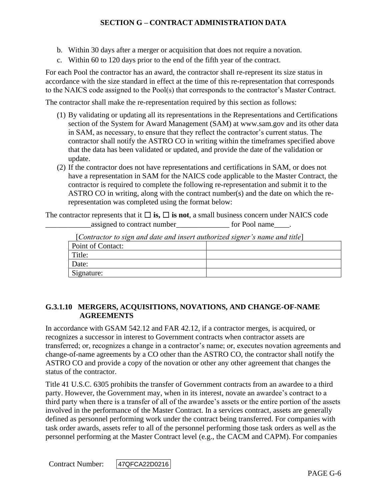- b. Within 30 days after a merger or acquisition that does not require a novation.
- c. Within 60 to 120 days prior to the end of the fifth year of the contract.

For each Pool the contractor has an award, the contractor shall re-represent its size status in accordance with the size standard in effect at the time of this re-representation that corresponds to the NAICS code assigned to the Pool(s) that corresponds to the contractor's Master Contract.

The contractor shall make the re-representation required by this section as follows:

- (1) By validating or updating all its representations in the Representations and Certifications section of the System for Award Management (SAM) at www.sam.gov and its other data in SAM, as necessary, to ensure that they reflect the contractor's current status. The contractor shall notify the ASTRO CO in writing within the timeframes specified above that the data has been validated or updated, and provide the date of the validation or update.
- (2) If the contractor does not have representations and certifications in SAM, or does not have a representation in SAM for the NAICS code applicable to the Master Contract, the contractor is required to complete the following re-representation and submit it to the ASTRO CO in writing, along with the contract number(s) and the date on which the rerepresentation was completed using the format below:

The contractor represents that it  $\Box$  **is,**  $\Box$  **is not**, a small business concern under NAICS code assigned to contract number<br>
<u>equals</u> for Pool name

| $\lceil$ Contractor to sign and date and insert dumorized signer s name and title $\lceil$ |  |
|--------------------------------------------------------------------------------------------|--|
| Point of Contact:                                                                          |  |
| Title:                                                                                     |  |
| Date:                                                                                      |  |
| Signature:                                                                                 |  |

[*Contractor to sign and date and insert authorized signer's name and title*]

## **G.3.1.10 MERGERS, ACQUISITIONS, NOVATIONS, AND CHANGE-OF-NAME AGREEMENTS**

In accordance with GSAM 542.12 and FAR 42.12, if a contractor merges, is acquired, or recognizes a successor in interest to Government contracts when contractor assets are transferred; or, recognizes a change in a contractor's name; or, executes novation agreements and change-of-name agreements by a CO other than the ASTRO CO, the contractor shall notify the ASTRO CO and provide a copy of the novation or other any other agreement that changes the status of the contractor.

Title 41 U.S.C. 6305 prohibits the transfer of Government contracts from an awardee to a third party. However, the Government may, when in its interest, novate an awardee's contract to a third party when there is a transfer of all of the awardee's assets or the entire portion of the assets involved in the performance of the Master Contract. In a services contract, assets are generally defined as personnel performing work under the contract being transferred. For companies with task order awards, assets refer to all of the personnel performing those task orders as well as the personnel performing at the Master Contract level (e.g., the CACM and CAPM). For companies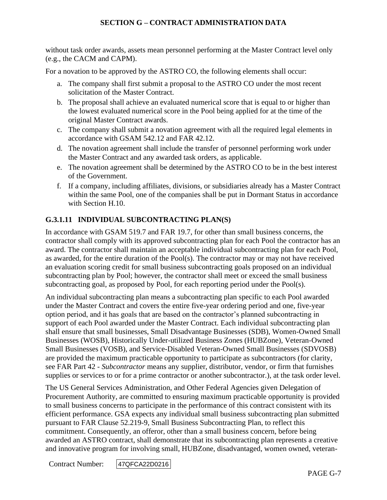without task order awards, assets mean personnel performing at the Master Contract level only (e.g., the CACM and CAPM).

For a novation to be approved by the ASTRO CO, the following elements shall occur:

- a. The company shall first submit a proposal to the ASTRO CO under the most recent solicitation of the Master Contract.
- b. The proposal shall achieve an evaluated numerical score that is equal to or higher than the lowest evaluated numerical score in the Pool being applied for at the time of the original Master Contract awards.
- c. The company shall submit a novation agreement with all the required legal elements in accordance with GSAM 542.12 and FAR 42.12.
- d. The novation agreement shall include the transfer of personnel performing work under the Master Contract and any awarded task orders, as applicable.
- e. The novation agreement shall be determined by the ASTRO CO to be in the best interest of the Government.
- f. If a company, including affiliates, divisions, or subsidiaries already has a Master Contract within the same Pool, one of the companies shall be put in Dormant Status in accordance with Section H.10.

## **G.3.1.11 INDIVIDUAL SUBCONTRACTING PLAN(S)**

In accordance with GSAM 519.7 and FAR 19.7, for other than small business concerns, the contractor shall comply with its approved subcontracting plan for each Pool the contractor has an award. The contractor shall maintain an acceptable individual subcontracting plan for each Pool, as awarded, for the entire duration of the Pool(s). The contractor may or may not have received an evaluation scoring credit for small business subcontracting goals proposed on an individual subcontracting plan by Pool; however, the contractor shall meet or exceed the small business subcontracting goal, as proposed by Pool, for each reporting period under the Pool(s).

An individual subcontracting plan means a subcontracting plan specific to each Pool awarded under the Master Contract and covers the entire five-year ordering period and one, five-year option period, and it has goals that are based on the contractor's planned subcontracting in support of each Pool awarded under the Master Contract. Each individual subcontracting plan shall ensure that small businesses, Small Disadvantage Businesses (SDB), Women-Owned Small Businesses (WOSB), Historically Under-utilized Business Zones (HUBZone), Veteran-Owned Small Businesses (VOSB), and Service-Disabled Veteran-Owned Small Businesses (SDVOSB) are provided the maximum practicable opportunity to participate as subcontractors (for clarity, see FAR Part 42 - *Subcontractor* means any supplier, distributor, vendor, or firm that furnishes supplies or services to or for a prime contractor or another subcontractor.), at the task order level.

The US General Services Administration, and Other Federal Agencies given Delegation of Procurement Authority, are committed to ensuring maximum practicable opportunity is provided to small business concerns to participate in the performance of this contract consistent with its efficient performance. GSA expects any individual small business subcontracting plan submitted pursuant to FAR Clause 52.219-9, Small Business Subcontracting Plan, to reflect this commitment. Consequently, an offeror, other than a small business concern, before being awarded an ASTRO contract, shall demonstrate that its subcontracting plan represents a creative and innovative program for involving small, HUBZone, disadvantaged, women owned, veteran-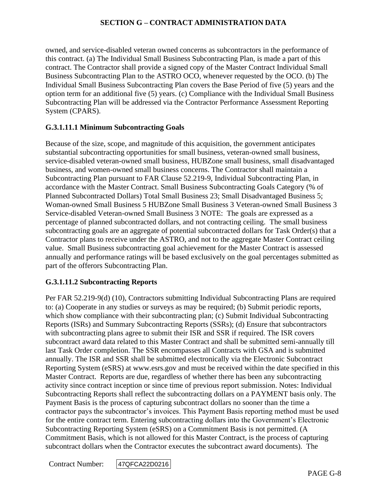owned, and service-disabled veteran owned concerns as subcontractors in the performance of this contract. (a) The Individual Small Business Subcontracting Plan, is made a part of this contract. The Contractor shall provide a signed copy of the Master Contract Individual Small Business Subcontracting Plan to the ASTRO OCO, whenever requested by the OCO. (b) The Individual Small Business Subcontracting Plan covers the Base Period of five (5) years and the option term for an additional five (5) years. (c) Compliance with the Individual Small Business Subcontracting Plan will be addressed via the Contractor Performance Assessment Reporting System (CPARS).

## **G.3.1.11.1 Minimum Subcontracting Goals**

Because of the size, scope, and magnitude of this acquisition, the government anticipates substantial subcontracting opportunities for small business, veteran-owned small business, service-disabled veteran-owned small business, HUBZone small business, small disadvantaged business, and women-owned small business concerns. The Contractor shall maintain a Subcontracting Plan pursuant to FAR Clause 52.219-9, Individual Subcontracting Plan, in accordance with the Master Contract. Small Business Subcontracting Goals Category (% of Planned Subcontracted Dollars) Total Small Business 23; Small Disadvantaged Business 5; Woman-owned Small Business 5 HUBZone Small Business 3 Veteran-owned Small Business 3 Service-disabled Veteran-owned Small Business 3 NOTE: The goals are expressed as a percentage of planned subcontracted dollars, and not contracting ceiling. The small business subcontracting goals are an aggregate of potential subcontracted dollars for Task Order(s) that a Contractor plans to receive under the ASTRO, and not to the aggregate Master Contract ceiling value. Small Business subcontracting goal achievement for the Master Contract is assessed annually and performance ratings will be based exclusively on the goal percentages submitted as part of the offerors Subcontracting Plan.

#### **G.3.1.11.2 Subcontracting Reports**

Per FAR 52.219-9(d) (10), Contractors submitting Individual Subcontracting Plans are required to: (a) Cooperate in any studies or surveys as may be required; (b) Submit periodic reports, which show compliance with their subcontracting plan; (c) Submit Individual Subcontracting Reports (ISRs) and Summary Subcontracting Reports (SSRs); (d) Ensure that subcontractors with subcontracting plans agree to submit their ISR and SSR if required. The ISR covers subcontract award data related to this Master Contract and shall be submitted semi-annually till last Task Order completion. The SSR encompasses all Contracts with GSA and is submitted annually. The ISR and SSR shall be submitted electronically via the Electronic Subcontract Reporting System (eSRS) at www.esrs.gov and must be received within the date specified in this Master Contract. Reports are due, regardless of whether there has been any subcontracting activity since contract inception or since time of previous report submission. Notes: Individual Subcontracting Reports shall reflect the subcontracting dollars on a PAYMENT basis only. The Payment Basis is the process of capturing subcontract dollars no sooner than the time a contractor pays the subcontractor's invoices. This Payment Basis reporting method must be used for the entire contract term. Entering subcontracting dollars into the Government's Electronic Subcontracting Reporting System (eSRS) on a Commitment Basis is not permitted. (A Commitment Basis, which is not allowed for this Master Contract, is the process of capturing subcontract dollars when the Contractor executes the subcontract award documents). The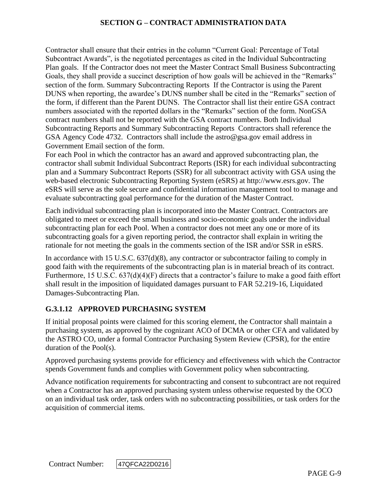Contractor shall ensure that their entries in the column "Current Goal: Percentage of Total Subcontract Awards", is the negotiated percentages as cited in the Individual Subcontracting Plan goals. If the Contractor does not meet the Master Contract Small Business Subcontracting Goals, they shall provide a succinct description of how goals will be achieved in the "Remarks" section of the form. Summary Subcontracting Reports If the Contractor is using the Parent DUNS when reporting, the awardee's DUNS number shall be cited in the "Remarks" section of the form, if different than the Parent DUNS. The Contractor shall list their entire GSA contract numbers associated with the reported dollars in the "Remarks" section of the form. NonGSA contract numbers shall not be reported with the GSA contract numbers. Both Individual Subcontracting Reports and Summary Subcontracting Reports Contractors shall reference the GSA Agency Code 4732. Contractors shall include the astro@gsa.gov email address in Government Email section of the form.

For each Pool in which the contractor has an award and approved subcontracting plan, the contractor shall submit Individual Subcontract Reports (ISR) for each individual subcontracting plan and a Summary Subcontract Reports (SSR) for all subcontract activity with GSA using the web-based electronic Subcontracting Reporting System (eSRS) at http://www.esrs.gov*.* The eSRS will serve as the sole secure and confidential information management tool to manage and evaluate subcontracting goal performance for the duration of the Master Contract.

Each individual subcontracting plan is incorporated into the Master Contract. Contractors are obligated to meet or exceed the small business and socio-economic goals under the individual subcontracting plan for each Pool. When a contractor does not meet any one or more of its subcontracting goals for a given reporting period, the contractor shall explain in writing the rationale for not meeting the goals in the comments section of the ISR and/or SSR in eSRS.

In accordance with 15 U.S.C. 637(d)(8), any contractor or subcontractor failing to comply in good faith with the requirements of the subcontracting plan is in material breach of its contract. Furthermore, 15 U.S.C. 637(d)(4)(F) directs that a contractor's failure to make a good faith effort shall result in the imposition of liquidated damages pursuant to FAR 52.219-16, Liquidated Damages-Subcontracting Plan.

## **G.3.1.12 APPROVED PURCHASING SYSTEM**

If initial proposal points were claimed for this scoring element, the Contractor shall maintain a purchasing system, as approved by the cognizant ACO of DCMA or other CFA and validated by the ASTRO CO, under a formal Contractor Purchasing System Review (CPSR), for the entire duration of the Pool(s).

Approved purchasing systems provide for efficiency and effectiveness with which the Contractor spends Government funds and complies with Government policy when subcontracting.

Advance notification requirements for subcontracting and consent to subcontract are not required when a Contractor has an approved purchasing system unless otherwise requested by the OCO on an individual task order, task orders with no subcontracting possibilities, or task orders for the acquisition of commercial items.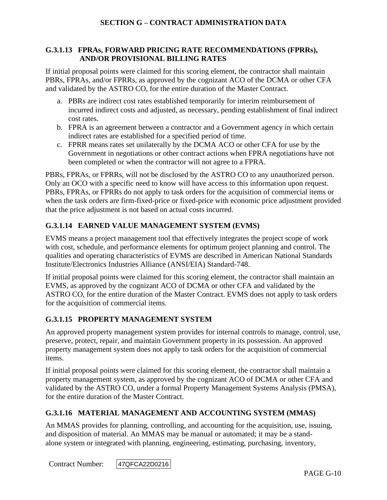### **G.3.1.13 FPRAs, FORWARD PRICING RATE RECOMMENDATIONS (FPRRs), AND/OR PROVISIONAL BILLING RATES**

If initial proposal points were claimed for this scoring element, the contractor shall maintain PBRs, FPRAs, and/or FPRRs, as approved by the cognizant ACO of the DCMA or other CFA and validated by the ASTRO CO, for the entire duration of the Master Contract.

- a. PBRs are indirect cost rates established temporarily for interim reimbursement of incurred indirect costs and adjusted, as necessary, pending establishment of final indirect cost rates.
- b. FPRA is an agreement between a contractor and a Government agency in which certain indirect rates are established for a specified period of time.
- c. FPRR means rates set unilaterally by the DCMA ACO or other CFA for use by the Government in negotiations or other contract actions when FPRA negotiations have not been completed or when the contractor will not agree to a FPRA.

PBRs, FPRAs, or FPRRs, will not be disclosed by the ASTRO CO to any unauthorized person. Only an OCO with a specific need to know will have access to this information upon request. PBRs, FPRAs, or FPRRs do not apply to task orders for the acquisition of commercial items or when the task orders are firm-fixed-price or fixed-price with economic price adjustment provided that the price adjustment is not based on actual costs incurred.

# **G.3.1.14 EARNED VALUE MANAGEMENT SYSTEM (EVMS)**

EVMS means a project management tool that effectively integrates the project scope of work with cost, schedule, and performance elements for optimum project planning and control. The qualities and operating characteristics of EVMS are described in American National Standards Institute/Electronics Industries Alliance (ANSI/EIA) Standard-748.

If initial proposal points were claimed for this scoring element, the contractor shall maintain an EVMS, as approved by the cognizant ACO of DCMA or other CFA and validated by the ASTRO CO, for the entire duration of the Master Contract. EVMS does not apply to task orders for the acquisition of commercial items.

# **G.3.1.15 PROPERTY MANAGEMENT SYSTEM**

An approved property management system provides for internal controls to manage, control, use, preserve, protect, repair, and maintain Government property in its possession. An approved property management system does not apply to task orders for the acquisition of commercial items.

If initial proposal points were claimed for this scoring element, the contractor shall maintain a property management system, as approved by the cognizant ACO of DCMA or other CFA and validated by the ASTRO CO, under a formal Property Management Systems Analysis (PMSA), for the entire duration of the Master Contract.

# **G.3.1.16 MATERIAL MANAGEMENT AND ACCOUNTING SYSTEM (MMAS)**

An MMAS provides for planning, controlling, and accounting for the acquisition, use, issuing, and disposition of material. An MMAS may be manual or automated; it may be a standalone system or integrated with planning, engineering, estimating, purchasing, inventory,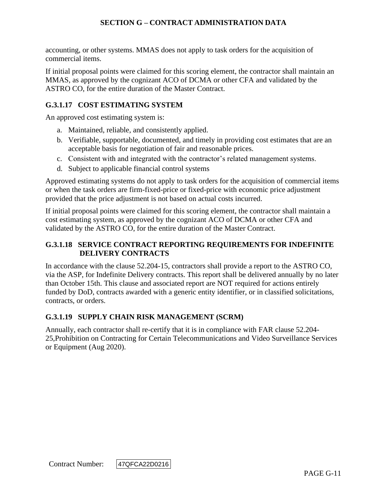accounting, or other systems. MMAS does not apply to task orders for the acquisition of commercial items.

If initial proposal points were claimed for this scoring element, the contractor shall maintain an MMAS, as approved by the cognizant ACO of DCMA or other CFA and validated by the ASTRO CO, for the entire duration of the Master Contract.

## **G.3.1.17 COST ESTIMATING SYSTEM**

An approved cost estimating system is:

- a. Maintained, reliable, and consistently applied.
- b. Verifiable, supportable, documented, and timely in providing cost estimates that are an acceptable basis for negotiation of fair and reasonable prices.
- c. Consistent with and integrated with the contractor's related management systems.
- d. Subject to applicable financial control systems

Approved estimating systems do not apply to task orders for the acquisition of commercial items or when the task orders are firm-fixed-price or fixed-price with economic price adjustment provided that the price adjustment is not based on actual costs incurred.

If initial proposal points were claimed for this scoring element, the contractor shall maintain a cost estimating system, as approved by the cognizant ACO of DCMA or other CFA and validated by the ASTRO CO, for the entire duration of the Master Contract.

## **G.3.1.18 SERVICE CONTRACT REPORTING REQUIREMENTS FOR INDEFINITE DELIVERY CONTRACTS**

In accordance with the clause 52.204-15, contractors shall provide a report to the ASTRO CO, via the ASP, for Indefinite Delivery contracts. This report shall be delivered annually by no later than October 15th. This clause and associated report are NOT required for actions entirely funded by DoD, contracts awarded with a generic entity identifier, or in classified solicitations, contracts, or orders.

## **G.3.1.19 SUPPLY CHAIN RISK MANAGEMENT (SCRM)**

Annually, each contractor shall re-certify that it is in compliance with FAR clause 52.204- 25,Prohibition on Contracting for Certain Telecommunications and Video Surveillance Services or Equipment (Aug 2020).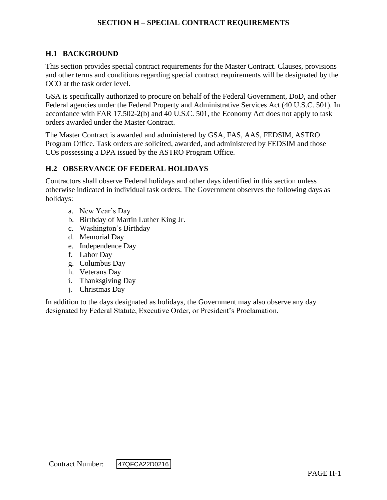## **H.1 BACKGROUND**

This section provides special contract requirements for the Master Contract. Clauses, provisions and other terms and conditions regarding special contract requirements will be designated by the OCO at the task order level.

GSA is specifically authorized to procure on behalf of the Federal Government, DoD, and other Federal agencies under the Federal Property and Administrative Services Act (40 U.S.C. 501). In accordance with FAR 17.502-2(b) and 40 U.S.C. 501, the Economy Act does not apply to task orders awarded under the Master Contract.

The Master Contract is awarded and administered by GSA, FAS, AAS, FEDSIM, ASTRO Program Office. Task orders are solicited, awarded, and administered by FEDSIM and those COs possessing a DPA issued by the ASTRO Program Office.

#### **H.2 OBSERVANCE OF FEDERAL HOLIDAYS**

Contractors shall observe Federal holidays and other days identified in this section unless otherwise indicated in individual task orders. The Government observes the following days as holidays:

- a. New Year's Day
- b. Birthday of Martin Luther King Jr.
- c. Washington's Birthday
- d. Memorial Day
- e. Independence Day
- f. Labor Day
- g. Columbus Day
- h. Veterans Day
- i. Thanksgiving Day
- j. Christmas Day

In addition to the days designated as holidays, the Government may also observe any day designated by Federal Statute, Executive Order, or President's Proclamation.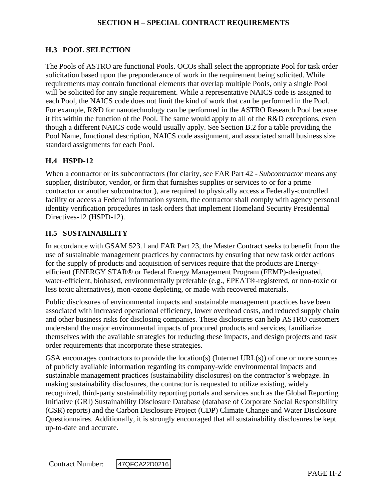## **H.3 POOL SELECTION**

The Pools of ASTRO are functional Pools. OCOs shall select the appropriate Pool for task order solicitation based upon the preponderance of work in the requirement being solicited. While requirements may contain functional elements that overlap multiple Pools, only a single Pool will be solicited for any single requirement. While a representative NAICS code is assigned to each Pool, the NAICS code does not limit the kind of work that can be performed in the Pool. For example, R&D for nanotechnology can be performed in the ASTRO Research Pool because it fits within the function of the Pool. The same would apply to all of the R&D exceptions, even though a different NAICS code would usually apply. See Section B.2 for a table providing the Pool Name, functional description, NAICS code assignment, and associated small business size standard assignments for each Pool.

### **H.4 HSPD-12**

When a contractor or its subcontractors (for clarity, see FAR Part 42 - *Subcontractor* means any supplier, distributor, vendor, or firm that furnishes supplies or services to or for a prime contractor or another subcontractor.), are required to physically access a Federally-controlled facility or access a Federal information system, the contractor shall comply with agency personal identity verification procedures in task orders that implement Homeland Security Presidential Directives-12 (HSPD-12).

### **H.5 SUSTAINABILITY**

In accordance with GSAM 523.1 and FAR Part 23, the Master Contract seeks to benefit from the use of sustainable management practices by contractors by ensuring that new task order actions for the supply of products and acquisition of services require that the products are Energyefficient (ENERGY STAR® or Federal Energy Management Program (FEMP)-designated, water-efficient, biobased, environmentally preferable (e.g., EPEAT®-registered, or non-toxic or less toxic alternatives), mon-ozone depleting, or made with recovered materials.

Public disclosures of environmental impacts and sustainable management practices have been associated with increased operational efficiency, lower overhead costs, and reduced supply chain and other business risks for disclosing companies. These disclosures can help ASTRO customers understand the major environmental impacts of procured products and services, familiarize themselves with the available strategies for reducing these impacts, and design projects and task order requirements that incorporate these strategies.

GSA encourages contractors to provide the location(s) (Internet  $URL(s)$ ) of one or more sources of publicly available information regarding its company-wide environmental impacts and sustainable management practices (sustainability disclosures) on the contractor's webpage. In making sustainability disclosures, the contractor is requested to utilize existing, widely recognized, third-party sustainability reporting portals and services such as the Global Reporting Initiative (GRI) Sustainability Disclosure Database (database of Corporate Social Responsibility (CSR) reports) and the Carbon Disclosure Project (CDP) Climate Change and Water Disclosure Questionnaires. Additionally, it is strongly encouraged that all sustainability disclosures be kept up-to-date and accurate.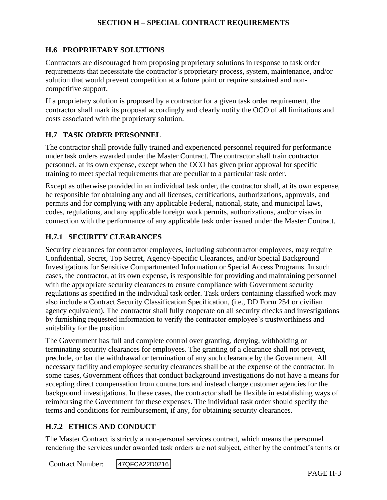### **H.6 PROPRIETARY SOLUTIONS**

Contractors are discouraged from proposing proprietary solutions in response to task order requirements that necessitate the contractor's proprietary process, system, maintenance, and/or solution that would prevent competition at a future point or require sustained and noncompetitive support.

If a proprietary solution is proposed by a contractor for a given task order requirement, the contractor shall mark its proposal accordingly and clearly notify the OCO of all limitations and costs associated with the proprietary solution.

#### **H.7 TASK ORDER PERSONNEL**

The contractor shall provide fully trained and experienced personnel required for performance under task orders awarded under the Master Contract. The contractor shall train contractor personnel, at its own expense, except when the OCO has given prior approval for specific training to meet special requirements that are peculiar to a particular task order.

Except as otherwise provided in an individual task order, the contractor shall, at its own expense, be responsible for obtaining any and all licenses, certifications, authorizations, approvals, and permits and for complying with any applicable Federal, national, state, and municipal laws, codes, regulations, and any applicable foreign work permits, authorizations, and/or visas in connection with the performance of any applicable task order issued under the Master Contract.

#### **H.7.1 SECURITY CLEARANCES**

Security clearances for contractor employees, including subcontractor employees, may require Confidential, Secret, Top Secret, Agency-Specific Clearances, and/or Special Background Investigations for Sensitive Compartmented Information or Special Access Programs. In such cases, the contractor, at its own expense, is responsible for providing and maintaining personnel with the appropriate security clearances to ensure compliance with Government security regulations as specified in the individual task order. Task orders containing classified work may also include a Contract Security Classification Specification, (i.e., DD Form 254 or civilian agency equivalent). The contractor shall fully cooperate on all security checks and investigations by furnishing requested information to verify the contractor employee's trustworthiness and suitability for the position.

The Government has full and complete control over granting, denying, withholding or terminating security clearances for employees. The granting of a clearance shall not prevent, preclude, or bar the withdrawal or termination of any such clearance by the Government. All necessary facility and employee security clearances shall be at the expense of the contractor. In some cases, Government offices that conduct background investigations do not have a means for accepting direct compensation from contractors and instead charge customer agencies for the background investigations. In these cases, the contractor shall be flexible in establishing ways of reimbursing the Government for these expenses. The individual task order should specify the terms and conditions for reimbursement, if any, for obtaining security clearances.

### **H.7.2 ETHICS AND CONDUCT**

The Master Contract is strictly a non-personal services contract, which means the personnel rendering the services under awarded task orders are not subject, either by the contract's terms or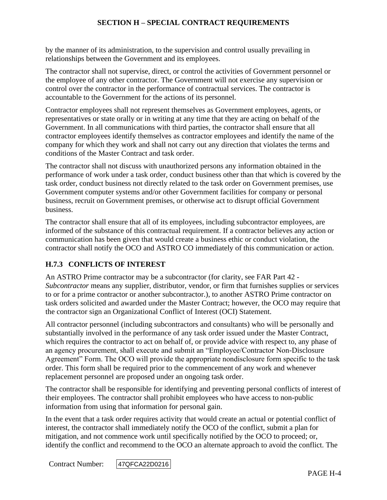by the manner of its administration, to the supervision and control usually prevailing in relationships between the Government and its employees.

The contractor shall not supervise, direct, or control the activities of Government personnel or the employee of any other contractor. The Government will not exercise any supervision or control over the contractor in the performance of contractual services. The contractor is accountable to the Government for the actions of its personnel.

Contractor employees shall not represent themselves as Government employees, agents, or representatives or state orally or in writing at any time that they are acting on behalf of the Government. In all communications with third parties, the contractor shall ensure that all contractor employees identify themselves as contractor employees and identify the name of the company for which they work and shall not carry out any direction that violates the terms and conditions of the Master Contract and task order.

The contractor shall not discuss with unauthorized persons any information obtained in the performance of work under a task order, conduct business other than that which is covered by the task order, conduct business not directly related to the task order on Government premises, use Government computer systems and/or other Government facilities for company or personal business, recruit on Government premises, or otherwise act to disrupt official Government business.

The contractor shall ensure that all of its employees, including subcontractor employees, are informed of the substance of this contractual requirement. If a contractor believes any action or communication has been given that would create a business ethic or conduct violation, the contractor shall notify the OCO and ASTRO CO immediately of this communication or action.

# **H.7.3 CONFLICTS OF INTEREST**

An ASTRO Prime contractor may be a subcontractor (for clarity, see FAR Part 42 - *Subcontractor* means any supplier, distributor, vendor, or firm that furnishes supplies or services to or for a prime contractor or another subcontractor.), to another ASTRO Prime contractor on task orders solicited and awarded under the Master Contract; however, the OCO may require that the contractor sign an Organizational Conflict of Interest (OCI) Statement.

All contractor personnel (including subcontractors and consultants) who will be personally and substantially involved in the performance of any task order issued under the Master Contract, which requires the contractor to act on behalf of, or provide advice with respect to, any phase of an agency procurement, shall execute and submit an "Employee/Contractor Non-Disclosure Agreement" Form. The OCO will provide the appropriate nondisclosure form specific to the task order. This form shall be required prior to the commencement of any work and whenever replacement personnel are proposed under an ongoing task order.

The contractor shall be responsible for identifying and preventing personal conflicts of interest of their employees. The contractor shall prohibit employees who have access to non-public information from using that information for personal gain.

In the event that a task order requires activity that would create an actual or potential conflict of interest, the contractor shall immediately notify the OCO of the conflict, submit a plan for mitigation, and not commence work until specifically notified by the OCO to proceed; or, identify the conflict and recommend to the OCO an alternate approach to avoid the conflict. The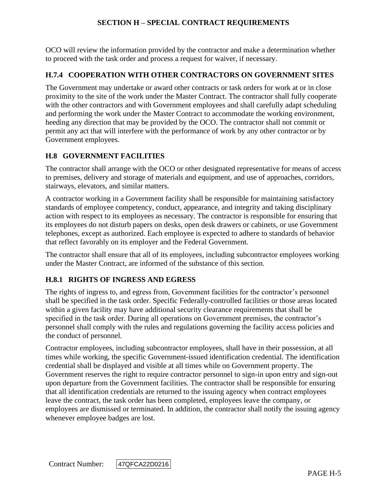OCO will review the information provided by the contractor and make a determination whether to proceed with the task order and process a request for waiver, if necessary.

### **H.7.4 COOPERATION WITH OTHER CONTRACTORS ON GOVERNMENT SITES**

The Government may undertake or award other contracts or task orders for work at or in close proximity to the site of the work under the Master Contract. The contractor shall fully cooperate with the other contractors and with Government employees and shall carefully adapt scheduling and performing the work under the Master Contract to accommodate the working environment, heeding any direction that may be provided by the OCO. The contractor shall not commit or permit any act that will interfere with the performance of work by any other contractor or by Government employees.

## **H.8 GOVERNMENT FACILITIES**

The contractor shall arrange with the OCO or other designated representative for means of access to premises, delivery and storage of materials and equipment, and use of approaches, corridors, stairways, elevators, and similar matters.

A contractor working in a Government facility shall be responsible for maintaining satisfactory standards of employee competency, conduct, appearance, and integrity and taking disciplinary action with respect to its employees as necessary. The contractor is responsible for ensuring that its employees do not disturb papers on desks, open desk drawers or cabinets, or use Government telephones, except as authorized. Each employee is expected to adhere to standards of behavior that reflect favorably on its employer and the Federal Government.

The contractor shall ensure that all of its employees, including subcontractor employees working under the Master Contract, are informed of the substance of this section.

## **H.8.1 RIGHTS OF INGRESS AND EGRESS**

The rights of ingress to, and egress from, Government facilities for the contractor's personnel shall be specified in the task order. Specific Federally-controlled facilities or those areas located within a given facility may have additional security clearance requirements that shall be specified in the task order. During all operations on Government premises, the contractor's personnel shall comply with the rules and regulations governing the facility access policies and the conduct of personnel.

Contractor employees, including subcontractor employees, shall have in their possession, at all times while working, the specific Government-issued identification credential. The identification credential shall be displayed and visible at all times while on Government property. The Government reserves the right to require contractor personnel to sign-in upon entry and sign-out upon departure from the Government facilities. The contractor shall be responsible for ensuring that all identification credentials are returned to the issuing agency when contract employees leave the contract, the task order has been completed, employees leave the company, or employees are dismissed or terminated. In addition, the contractor shall notify the issuing agency whenever employee badges are lost.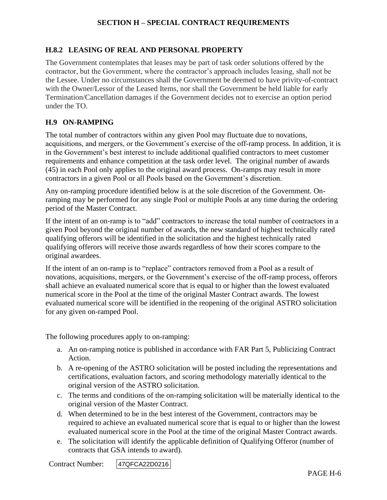### **H.8.2 LEASING OF REAL AND PERSONAL PROPERTY**

The Government contemplates that leases may be part of task order solutions offered by the contractor, but the Government, where the contractor's approach includes leasing, shall not be the Lessee. Under no circumstances shall the Government be deemed to have privity-of-contract with the Owner/Lessor of the Leased Items, nor shall the Government be held liable for early Termination/Cancellation damages if the Government decides not to exercise an option period under the TO.

#### **H.9 ON-RAMPING**

The total number of contractors within any given Pool may fluctuate due to novations, acquisitions, and mergers, or the Government's exercise of the off-ramp process. In addition, it is in the Government's best interest to include additional qualified contractors to meet customer requirements and enhance competition at the task order level. The original number of awards (45) in each Pool only applies to the original award process. On-ramps may result in more contractors in a given Pool or all Pools based on the Government's discretion.

Any on-ramping procedure identified below is at the sole discretion of the Government. Onramping may be performed for any single Pool or multiple Pools at any time during the ordering period of the Master Contract.

If the intent of an on-ramp is to "add" contractors to increase the total number of contractors in a given Pool beyond the original number of awards, the new standard of highest technically rated qualifying offerors will be identified in the solicitation and the highest technically rated qualifying offerors will receive those awards regardless of how their scores compare to the original awardees.

If the intent of an on-ramp is to "replace" contractors removed from a Pool as a result of novations, acquisitions, mergers, or the Government's exercise of the off-ramp process, offerors shall achieve an evaluated numerical score that is equal to or higher than the lowest evaluated numerical score in the Pool at the time of the original Master Contract awards. The lowest evaluated numerical score will be identified in the reopening of the original ASTRO solicitation for any given on-ramped Pool.

The following procedures apply to on-ramping:

- a. An on-ramping notice is published in accordance with FAR Part 5, Publicizing Contract Action.
- b. A re-opening of the ASTRO solicitation will be posted including the representations and certifications, evaluation factors, and scoring methodology materially identical to the original version of the ASTRO solicitation.
- c. The terms and conditions of the on-ramping solicitation will be materially identical to the original version of the Master Contract.
- d. When determined to be in the best interest of the Government, contractors may be required to achieve an evaluated numerical score that is equal to or higher than the lowest evaluated numerical score in the Pool at the time of the original Master Contract awards.
- e. The solicitation will identify the applicable definition of Qualifying Offeror (number of contracts that GSA intends to award).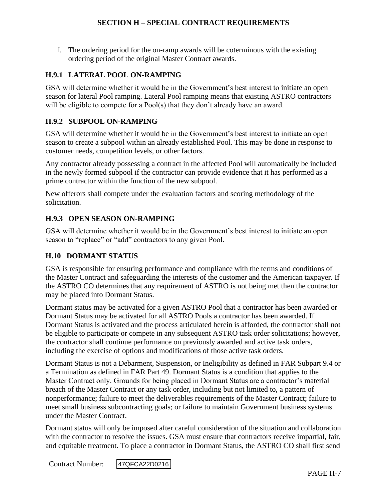f. The ordering period for the on-ramp awards will be coterminous with the existing ordering period of the original Master Contract awards.

### **H.9.1 LATERAL POOL ON-RAMPING**

GSA will determine whether it would be in the Government's best interest to initiate an open season for lateral Pool ramping. Lateral Pool ramping means that existing ASTRO contractors will be eligible to compete for a Pool(s) that they don't already have an award.

## **H.9.2 SUBPOOL ON-RAMPING**

GSA will determine whether it would be in the Government's best interest to initiate an open season to create a subpool within an already established Pool. This may be done in response to customer needs, competition levels, or other factors.

Any contractor already possessing a contract in the affected Pool will automatically be included in the newly formed subpool if the contractor can provide evidence that it has performed as a prime contractor within the function of the new subpool.

New offerors shall compete under the evaluation factors and scoring methodology of the solicitation.

## **H.9.3 OPEN SEASON ON-RAMPING**

GSA will determine whether it would be in the Government's best interest to initiate an open season to "replace" or "add" contractors to any given Pool.

## **H.10 DORMANT STATUS**

GSA is responsible for ensuring performance and compliance with the terms and conditions of the Master Contract and safeguarding the interests of the customer and the American taxpayer. If the ASTRO CO determines that any requirement of ASTRO is not being met then the contractor may be placed into Dormant Status.

Dormant status may be activated for a given ASTRO Pool that a contractor has been awarded or Dormant Status may be activated for all ASTRO Pools a contractor has been awarded. If Dormant Status is activated and the process articulated herein is afforded, the contractor shall not be eligible to participate or compete in any subsequent ASTRO task order solicitations; however, the contractor shall continue performance on previously awarded and active task orders, including the exercise of options and modifications of those active task orders.

Dormant Status is not a Debarment, Suspension, or Ineligibility as defined in FAR Subpart 9.4 or a Termination as defined in FAR Part 49. Dormant Status is a condition that applies to the Master Contract only. Grounds for being placed in Dormant Status are a contractor's material breach of the Master Contract or any task order, including but not limited to, a pattern of nonperformance; failure to meet the deliverables requirements of the Master Contract; failure to meet small business subcontracting goals; or failure to maintain Government business systems under the Master Contract.

Dormant status will only be imposed after careful consideration of the situation and collaboration with the contractor to resolve the issues. GSA must ensure that contractors receive impartial, fair, and equitable treatment. To place a contractor in Dormant Status, the ASTRO CO shall first send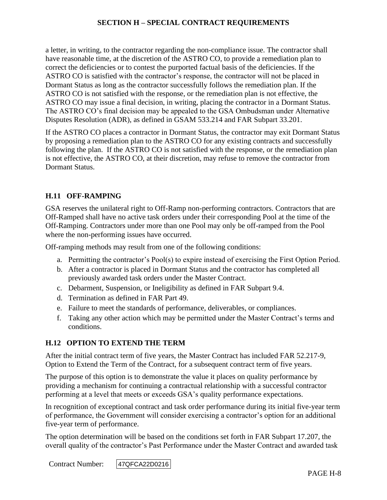a letter, in writing, to the contractor regarding the non-compliance issue. The contractor shall have reasonable time, at the discretion of the ASTRO CO, to provide a remediation plan to correct the deficiencies or to contest the purported factual basis of the deficiencies. If the ASTRO CO is satisfied with the contractor's response, the contractor will not be placed in Dormant Status as long as the contractor successfully follows the remediation plan. If the ASTRO CO is not satisfied with the response, or the remediation plan is not effective, the ASTRO CO may issue a final decision, in writing, placing the contractor in a Dormant Status. The ASTRO CO's final decision may be appealed to the GSA Ombudsman under Alternative Disputes Resolution (ADR), as defined in GSAM 533.214 and FAR Subpart 33.201.

If the ASTRO CO places a contractor in Dormant Status, the contractor may exit Dormant Status by proposing a remediation plan to the ASTRO CO for any existing contracts and successfully following the plan. If the ASTRO CO is not satisfied with the response, or the remediation plan is not effective, the ASTRO CO, at their discretion, may refuse to remove the contractor from Dormant Status.

### **H.11 OFF-RAMPING**

GSA reserves the unilateral right to Off-Ramp non-performing contractors. Contractors that are Off-Ramped shall have no active task orders under their corresponding Pool at the time of the Off-Ramping. Contractors under more than one Pool may only be off-ramped from the Pool where the non-performing issues have occurred.

Off-ramping methods may result from one of the following conditions:

- a. Permitting the contractor's Pool(s) to expire instead of exercising the First Option Period.
- b. After a contractor is placed in Dormant Status and the contractor has completed all previously awarded task orders under the Master Contract.
- c. Debarment, Suspension, or Ineligibility as defined in FAR Subpart 9.4.
- d. Termination as defined in FAR Part 49.
- e. Failure to meet the standards of performance, deliverables, or compliances.
- f. Taking any other action which may be permitted under the Master Contract's terms and conditions.

#### **H.12 OPTION TO EXTEND THE TERM**

After the initial contract term of five years, the Master Contract has included FAR 52.217-9, Option to Extend the Term of the Contract, for a subsequent contract term of five years.

The purpose of this option is to demonstrate the value it places on quality performance by providing a mechanism for continuing a contractual relationship with a successful contractor performing at a level that meets or exceeds GSA's quality performance expectations.

In recognition of exceptional contract and task order performance during its initial five-year term of performance, the Government will consider exercising a contractor's option for an additional five-year term of performance.

The option determination will be based on the conditions set forth in FAR Subpart 17.207, the overall quality of the contractor's Past Performance under the Master Contract and awarded task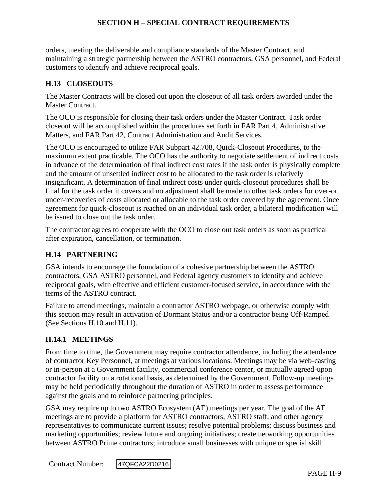orders, meeting the deliverable and compliance standards of the Master Contract, and maintaining a strategic partnership between the ASTRO contractors, GSA personnel, and Federal customers to identify and achieve reciprocal goals.

### **H.13 CLOSEOUTS**

The Master Contracts will be closed out upon the closeout of all task orders awarded under the Master Contract.

The OCO is responsible for closing their task orders under the Master Contract. Task order closeout will be accomplished within the procedures set forth in FAR Part 4, Administrative Matters, and FAR Part 42, Contract Administration and Audit Services.

The OCO is encouraged to utilize FAR Subpart 42.708, Quick-Closeout Procedures, to the maximum extent practicable. The OCO has the authority to negotiate settlement of indirect costs in advance of the determination of final indirect cost rates if the task order is physically complete and the amount of unsettled indirect cost to be allocated to the task order is relatively insignificant. A determination of final indirect costs under quick-closeout procedures shall be final for the task order it covers and no adjustment shall be made to other task orders for over-or under-recoveries of costs allocated or allocable to the task order covered by the agreement. Once agreement for quick-closeout is reached on an individual task order, a bilateral modification will be issued to close out the task order.

The contractor agrees to cooperate with the OCO to close out task orders as soon as practical after expiration, cancellation, or termination.

#### **H.14 PARTNERING**

GSA intends to encourage the foundation of a cohesive partnership between the ASTRO contractors, GSA ASTRO personnel, and Federal agency customers to identify and achieve reciprocal goals, with effective and efficient customer-focused service, in accordance with the terms of the ASTRO contract.

Failure to attend meetings, maintain a contractor ASTRO webpage, or otherwise comply with this section may result in activation of Dormant Status and/or a contractor being Off-Ramped (See Sections H.10 and H.11).

#### **H.14.1 MEETINGS**

From time to time, the Government may require contractor attendance, including the attendance of contractor Key Personnel, at meetings at various locations. Meetings may be via web-casting or in-person at a Government facility, commercial conference center, or mutually agreed-upon contractor facility on a rotational basis, as determined by the Government. Follow-up meetings may be held periodically throughout the duration of ASTRO in order to assess performance against the goals and to reinforce partnering principles.

GSA may require up to two ASTRO Ecosystem (AE) meetings per year. The goal of the AE meetings are to provide a platform for ASTRO contractors, ASTRO staff, and other agency representatives to communicate current issues; resolve potential problems; discuss business and marketing opportunities; review future and ongoing initiatives; create networking opportunities between ASTRO Prime contractors; introduce small businesses with unique or special skill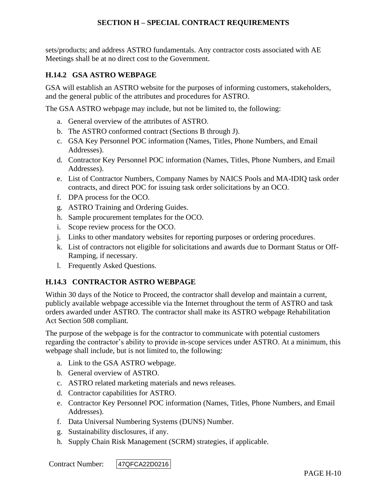sets/products; and address ASTRO fundamentals. Any contractor costs associated with AE Meetings shall be at no direct cost to the Government.

## **H.14.2 GSA ASTRO WEBPAGE**

GSA will establish an ASTRO website for the purposes of informing customers, stakeholders, and the general public of the attributes and procedures for ASTRO.

The GSA ASTRO webpage may include, but not be limited to, the following:

- a. General overview of the attributes of ASTRO.
- b. The ASTRO conformed contract (Sections B through J).
- c. GSA Key Personnel POC information (Names, Titles, Phone Numbers, and Email Addresses).
- d. Contractor Key Personnel POC information (Names, Titles, Phone Numbers, and Email Addresses).
- e. List of Contractor Numbers, Company Names by NAICS Pools and MA-IDIQ task order contracts, and direct POC for issuing task order solicitations by an OCO.
- f. DPA process for the OCO.
- g. ASTRO Training and Ordering Guides.
- h. Sample procurement templates for the OCO.
- i. Scope review process for the OCO.
- j. Links to other mandatory websites for reporting purposes or ordering procedures.
- k. List of contractors not eligible for solicitations and awards due to Dormant Status or Off-Ramping, if necessary.
- l. Frequently Asked Questions.

## **H.14.3 CONTRACTOR ASTRO WEBPAGE**

Within 30 days of the Notice to Proceed, the contractor shall develop and maintain a current, publicly available webpage accessible via the Internet throughout the term of ASTRO and task orders awarded under ASTRO. The contractor shall make its ASTRO webpage Rehabilitation Act Section 508 compliant.

The purpose of the webpage is for the contractor to communicate with potential customers regarding the contractor's ability to provide in-scope services under ASTRO. At a minimum, this webpage shall include, but is not limited to, the following:

- a. Link to the GSA ASTRO webpage.
- b. General overview of ASTRO.
- c. ASTRO related marketing materials and news releases.
- d. Contractor capabilities for ASTRO.
- e. Contractor Key Personnel POC information (Names, Titles, Phone Numbers, and Email Addresses).
- f. Data Universal Numbering Systems (DUNS) Number.
- g. Sustainability disclosures, if any.
- h. Supply Chain Risk Management (SCRM) strategies, if applicable.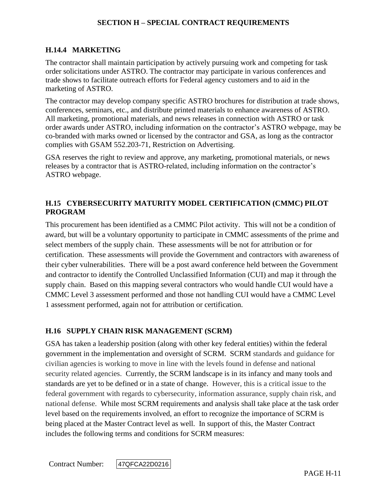## **H.14.4 MARKETING**

The contractor shall maintain participation by actively pursuing work and competing for task order solicitations under ASTRO. The contractor may participate in various conferences and trade shows to facilitate outreach efforts for Federal agency customers and to aid in the marketing of ASTRO.

The contractor may develop company specific ASTRO brochures for distribution at trade shows, conferences, seminars, etc., and distribute printed materials to enhance awareness of ASTRO. All marketing, promotional materials, and news releases in connection with ASTRO or task order awards under ASTRO, including information on the contractor's ASTRO webpage, may be co-branded with marks owned or licensed by the contractor and GSA, as long as the contractor complies with GSAM 552.203-71, Restriction on Advertising.

GSA reserves the right to review and approve, any marketing, promotional materials, or news releases by a contractor that is ASTRO-related, including information on the contractor's ASTRO webpage.

## **H.15 CYBERSECURITY MATURITY MODEL CERTIFICATION (CMMC) PILOT PROGRAM**

This procurement has been identified as a CMMC Pilot activity. This will not be a condition of award, but will be a voluntary opportunity to participate in CMMC assessments of the prime and select members of the supply chain. These assessments will be not for attribution or for certification. These assessments will provide the Government and contractors with awareness of their cyber vulnerabilities. There will be a post award conference held between the Government and contractor to identify the Controlled Unclassified Information (CUI) and map it through the supply chain. Based on this mapping several contractors who would handle CUI would have a CMMC Level 3 assessment performed and those not handling CUI would have a CMMC Level 1 assessment performed, again not for attribution or certification.

# **H.16 SUPPLY CHAIN RISK MANAGEMENT (SCRM)**

GSA has taken a leadership position (along with other key federal entities) within the federal government in the implementation and oversight of SCRM. SCRM standards and guidance for civilian agencies is working to move in line with the levels found in defense and national security related agencies. Currently, the SCRM landscape is in its infancy and many tools and standards are yet to be defined or in a state of change. However, this is a critical issue to the federal government with regards to cybersecurity, information assurance, supply chain risk, and national defense. While most SCRM requirements and analysis shall take place at the task order level based on the requirements involved, an effort to recognize the importance of SCRM is being placed at the Master Contract level as well. In support of this, the Master Contract includes the following terms and conditions for SCRM measures: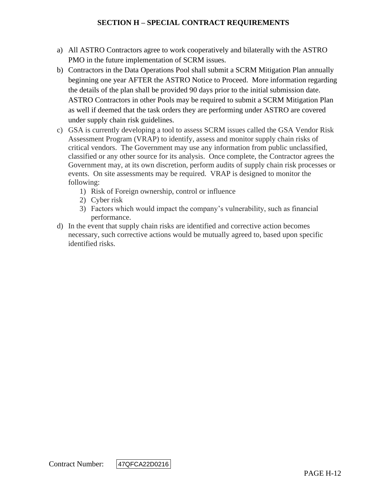- a) All ASTRO Contractors agree to work cooperatively and bilaterally with the ASTRO PMO in the future implementation of SCRM issues.
- b) Contractors in the Data Operations Pool shall submit a SCRM Mitigation Plan annually beginning one year AFTER the ASTRO Notice to Proceed. More information regarding the details of the plan shall be provided 90 days prior to the initial submission date. ASTRO Contractors in other Pools may be required to submit a SCRM Mitigation Plan as well if deemed that the task orders they are performing under ASTRO are covered under supply chain risk guidelines.
- c) GSA is currently developing a tool to assess SCRM issues called the GSA Vendor Risk Assessment Program (VRAP) to identify, assess and monitor supply chain risks of critical vendors. The Government may use any information from public unclassified, classified or any other source for its analysis. Once complete, the Contractor agrees the Government may, at its own discretion, perform audits of supply chain risk processes or events. On site assessments may be required. VRAP is designed to monitor the following:
	- 1) Risk of Foreign ownership, control or influence
	- 2) Cyber risk
	- 3) Factors which would impact the company's vulnerability, such as financial performance.
- d) In the event that supply chain risks are identified and corrective action becomes necessary, such corrective actions would be mutually agreed to, based upon specific identified risks.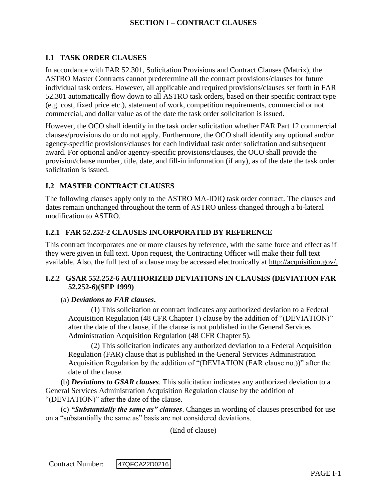## **I.1 TASK ORDER CLAUSES**

In accordance with FAR 52.301, Solicitation Provisions and Contract Clauses (Matrix), the ASTRO Master Contracts cannot predetermine all the contract provisions/clauses for future individual task orders. However, all applicable and required provisions/clauses set forth in FAR 52.301 automatically flow down to all ASTRO task orders, based on their specific contract type (e.g. cost, fixed price etc.), statement of work, competition requirements, commercial or not commercial, and dollar value as of the date the task order solicitation is issued.

However, the OCO shall identify in the task order solicitation whether FAR Part 12 commercial clauses/provisions do or do not apply. Furthermore, the OCO shall identify any optional and/or agency-specific provisions/clauses for each individual task order solicitation and subsequent award. For optional and/or agency-specific provisions/clauses, the OCO shall provide the provision/clause number, title, date, and fill-in information (if any), as of the date the task order solicitation is issued.

## **I.2 MASTER CONTRACT CLAUSES**

The following clauses apply only to the ASTRO MA-IDIQ task order contract. The clauses and dates remain unchanged throughout the term of ASTRO unless changed through a bi-lateral modification to ASTRO.

## **I.2.1 FAR 52.252-2 CLAUSES INCORPORATED BY REFERENCE**

This contract incorporates one or more clauses by reference, with the same force and effect as if they were given in full text. Upon request, the Contracting Officer will make their full text available. Also, the full text of a clause may be accessed electronically at [http://acquisition.gov/.](http://acquisition.gov/)

## **I.2.2 GSAR 552.252-6 AUTHORIZED DEVIATIONS IN CLAUSES (DEVIATION FAR 52.252-6)(SEP 1999)**

#### (a) *Deviations to FAR clauses***.**

(1) This solicitation or contract indicates any authorized deviation to a Federal Acquisition Regulation (48 CFR Chapter 1) clause by the addition of "(DEVIATION)" after the date of the clause, if the clause is not published in the General Services Administration Acquisition Regulation (48 CFR Chapter 5).

(2) This solicitation indicates any authorized deviation to a Federal Acquisition Regulation (FAR) clause that is published in the General Services Administration Acquisition Regulation by the addition of "(DEVIATION (FAR clause no.))" after the date of the clause.

(b) *Deviations to GSAR clauses*. This solicitation indicates any authorized deviation to a General Services Administration Acquisition Regulation clause by the addition of "(DEVIATION)" after the date of the clause.

(c) *"Substantially the same as" clauses*. Changes in wording of clauses prescribed for use on a "substantially the same as" basis are not considered deviations.

(End of clause)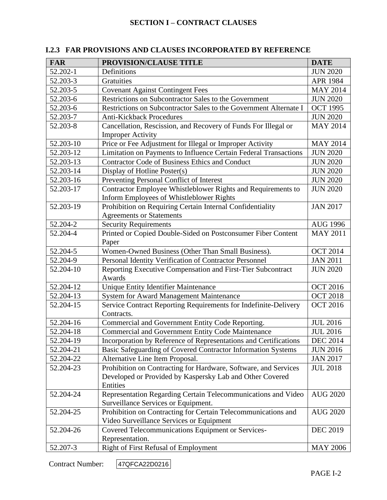| <b>FAR</b> | PROVISION/CLAUSE TITLE                                                                                    | <b>DATE</b>     |
|------------|-----------------------------------------------------------------------------------------------------------|-----------------|
| 52.202-1   | Definitions                                                                                               | <b>JUN 2020</b> |
| 52.203-3   | Gratuities                                                                                                | APR 1984        |
| 52.203-5   | <b>Covenant Against Contingent Fees</b>                                                                   | <b>MAY 2014</b> |
| 52.203-6   | Restrictions on Subcontractor Sales to the Government                                                     | <b>JUN 2020</b> |
| 52.203-6   | Restrictions on Subcontractor Sales to the Government Alternate I                                         | <b>OCT 1995</b> |
| 52.203-7   | <b>Anti-Kickback Procedures</b>                                                                           | <b>JUN 2020</b> |
| 52.203-8   | Cancellation, Rescission, and Recovery of Funds For Illegal or<br><b>Improper Activity</b>                | <b>MAY 2014</b> |
| 52.203-10  | Price or Fee Adjustment for Illegal or Improper Activity                                                  | <b>MAY 2014</b> |
| 52.203-12  | Limitation on Payments to Influence Certain Federal Transactions                                          | <b>JUN 2020</b> |
| 52.203-13  | Contractor Code of Business Ethics and Conduct                                                            | <b>JUN 2020</b> |
| 52.203-14  | Display of Hotline Poster(s)                                                                              | <b>JUN 2020</b> |
| 52.203-16  | Preventing Personal Conflict of Interest                                                                  | <b>JUN 2020</b> |
| 52.203-17  | Contractor Employee Whistleblower Rights and Requirements to<br>Inform Employees of Whistleblower Rights  | <b>JUN 2020</b> |
| 52.203-19  | Prohibition on Requiring Certain Internal Confidentiality<br><b>Agreements or Statements</b>              | <b>JAN 2017</b> |
| 52.204-2   | <b>Security Requirements</b>                                                                              | <b>AUG 1996</b> |
| 52.204-4   | Printed or Copied Double-Sided on Postconsumer Fiber Content<br>Paper                                     | <b>MAY 2011</b> |
| 52.204-5   | Women-Owned Business (Other Than Small Business).                                                         | <b>OCT 2014</b> |
| 52.204-9   | Personal Identity Verification of Contractor Personnel                                                    | <b>JAN 2011</b> |
| 52.204-10  | Reporting Executive Compensation and First-Tier Subcontract<br>Awards                                     | <b>JUN 2020</b> |
| 52.204-12  | Unique Entity Identifier Maintenance<br><b>OCT 2016</b>                                                   |                 |
| 52.204-13  | System for Award Management Maintenance<br><b>OCT 2018</b>                                                |                 |
| 52.204-15  | Service Contract Reporting Requirements for Indefinite-Delivery<br>Contracts.                             | <b>OCT 2016</b> |
| 52.204-16  | Commercial and Government Entity Code Reporting.                                                          | <b>JUL 2016</b> |
| 52.204-18  | <b>Commercial and Government Entity Code Maintenance</b>                                                  | <b>JUL 2016</b> |
| 52.204-19  | Incorporation by Reference of Representations and Certifications                                          | <b>DEC 2014</b> |
| 52.204-21  | Basic Safeguarding of Covered Contractor Information Systems                                              | <b>JUN 2016</b> |
| 52.204-22  | Alternative Line Item Proposal.                                                                           | <b>JAN 2017</b> |
| 52.204-23  | Prohibition on Contracting for Hardware, Software, and Services                                           | <b>JUL 2018</b> |
|            | Developed or Provided by Kaspersky Lab and Other Covered<br>Entities                                      |                 |
| 52.204-24  | Representation Regarding Certain Telecommunications and Video<br>Surveillance Services or Equipment.      | <b>AUG 2020</b> |
| 52.204-25  | Prohibition on Contracting for Certain Telecommunications and<br>Video Surveillance Services or Equipment | <b>AUG 2020</b> |
| 52.204-26  | Covered Telecommunications Equipment or Services-<br>Representation.                                      | <b>DEC 2019</b> |
| 52.207-3   | Right of First Refusal of Employment                                                                      | <b>MAY 2006</b> |

# **I.2.3 FAR PROVISIONS AND CLAUSES INCORPORATED BY REFERENCE**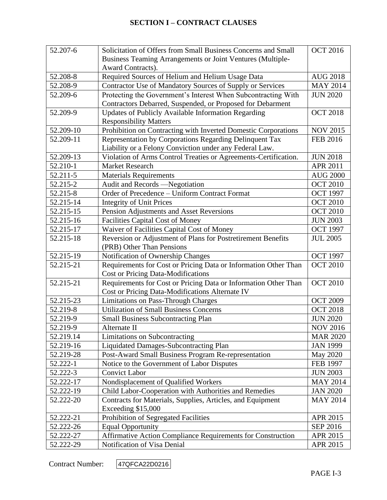| 52.207-6  | <b>OCT 2016</b><br>Solicitation of Offers from Small Business Concerns and Small   |                 |
|-----------|------------------------------------------------------------------------------------|-----------------|
|           | Business Teaming Arrangements or Joint Ventures (Multiple-                         |                 |
|           | Award Contracts).                                                                  |                 |
| 52.208-8  | Required Sources of Helium and Helium Usage Data                                   | <b>AUG 2018</b> |
| 52.208-9  | Contractor Use of Mandatory Sources of Supply or Services                          | <b>MAY 2014</b> |
| 52.209-6  | Protecting the Government's Interest When Subcontracting With                      | <b>JUN 2020</b> |
|           | Contractors Debarred, Suspended, or Proposed for Debarment                         |                 |
| 52.209-9  | Updates of Publicly Available Information Regarding                                | <b>OCT 2018</b> |
|           | <b>Responsibility Matters</b>                                                      |                 |
| 52.209-10 | Prohibition on Contracting with Inverted Domestic Corporations                     | <b>NOV 2015</b> |
| 52.209-11 | Representation by Corporations Regarding Delinquent Tax                            | <b>FEB 2016</b> |
|           | Liability or a Felony Conviction under any Federal Law.                            |                 |
| 52.209-13 | Violation of Arms Control Treaties or Agreements-Certification.                    | <b>JUN 2018</b> |
| 52.210-1  | <b>Market Research</b>                                                             | <b>APR 2011</b> |
| 52.211-5  | <b>Materials Requirements</b>                                                      | <b>AUG 2000</b> |
| 52.215-2  | Audit and Records -Negotiation                                                     | <b>OCT 2010</b> |
| 52.215-8  | Order of Precedence - Uniform Contract Format                                      | <b>OCT 1997</b> |
| 52.215-14 | <b>Integrity of Unit Prices</b>                                                    | <b>OCT 2010</b> |
| 52.215-15 | Pension Adjustments and Asset Reversions                                           | <b>OCT 2010</b> |
| 52.215-16 | Facilities Capital Cost of Money                                                   | <b>JUN 2003</b> |
| 52.215-17 | Waiver of Facilities Capital Cost of Money<br><b>OCT 1997</b>                      |                 |
| 52.215-18 | Reversion or Adjustment of Plans for Postretirement Benefits                       | <b>JUL 2005</b> |
|           | (PRB) Other Than Pensions                                                          |                 |
| 52.215-19 | Notification of Ownership Changes                                                  | <b>OCT 1997</b> |
| 52.215-21 | Requirements for Cost or Pricing Data or Information Other Than                    | <b>OCT 2010</b> |
|           | <b>Cost or Pricing Data-Modifications</b>                                          |                 |
| 52.215-21 | Requirements for Cost or Pricing Data or Information Other Than<br><b>OCT 2010</b> |                 |
|           | Cost or Pricing Data-Modifications Alternate IV                                    |                 |
| 52.215-23 | <b>Limitations on Pass-Through Charges</b>                                         | <b>OCT 2009</b> |
| 52.219-8  | <b>Utilization of Small Business Concerns</b>                                      | <b>OCT 2018</b> |
| 52.219-9  | <b>Small Business Subcontracting Plan</b>                                          | <b>JUN 2020</b> |
| 52.219-9  | Alternate II                                                                       | <b>NOV 2016</b> |
| 52.219.14 | Limitations on Subcontracting                                                      | <b>MAR 2020</b> |
| 52.219-16 | Liquidated Damages-Subcontracting Plan                                             | <b>JAN 1999</b> |
| 52.219-28 | Post-Award Small Business Program Re-representation                                | May 2020        |
| 52.222-1  | Notice to the Government of Labor Disputes                                         | <b>FEB 1997</b> |
| 52.222-3  | <b>Convict Labor</b>                                                               | <b>JUN 2003</b> |
| 52.222-17 | Nondisplacement of Qualified Workers                                               | <b>MAY 2014</b> |
| 52.222-19 | Child Labor-Cooperation with Authorities and Remedies                              | <b>JAN 2020</b> |
| 52.222-20 | Contracts for Materials, Supplies, Articles, and Equipment                         | <b>MAY 2014</b> |
|           | Exceeding \$15,000                                                                 |                 |
| 52.222-21 | Prohibition of Segregated Facilities                                               | APR 2015        |
| 52.222-26 | <b>Equal Opportunity</b>                                                           | SEP 2016        |
| 52.222-27 | Affirmative Action Compliance Requirements for Construction                        | APR 2015        |
| 52.222-29 | Notification of Visa Denial                                                        | APR 2015        |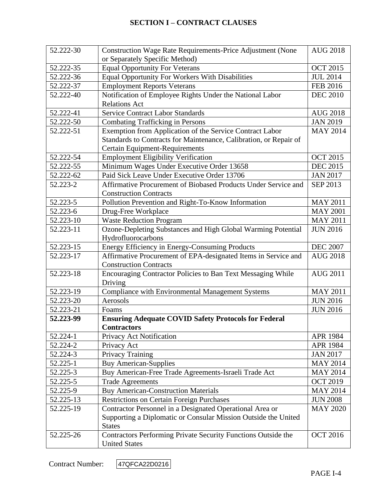| 52.222-30 | Construction Wage Rate Requirements-Price Adjustment (None                  | <b>AUG 2018</b> |
|-----------|-----------------------------------------------------------------------------|-----------------|
|           | or Separately Specific Method)                                              |                 |
| 52.222-35 | <b>Equal Opportunity For Veterans</b>                                       | <b>OCT 2015</b> |
| 52.222-36 | Equal Opportunity For Workers With Disabilities                             | <b>JUL 2014</b> |
| 52.222-37 | <b>Employment Reports Veterans</b>                                          | <b>FEB 2016</b> |
| 52.222-40 | Notification of Employee Rights Under the National Labor<br><b>DEC 2010</b> |                 |
|           | <b>Relations Act</b>                                                        |                 |
| 52.222-41 | <b>Service Contract Labor Standards</b>                                     | <b>AUG 2018</b> |
| 52.222-50 | <b>Combating Trafficking in Persons</b>                                     | <b>JAN 2019</b> |
| 52.222-51 | Exemption from Application of the Service Contract Labor                    | <b>MAY 2014</b> |
|           | Standards to Contracts for Maintenance, Calibration, or Repair of           |                 |
|           | Certain Equipment-Requirements                                              |                 |
| 52.222-54 | <b>Employment Eligibility Verification</b>                                  | <b>OCT 2015</b> |
| 52.222-55 | Minimum Wages Under Executive Order 13658                                   | <b>DEC 2015</b> |
| 52.222-62 | Paid Sick Leave Under Executive Order 13706                                 | <b>JAN 2017</b> |
| 52.223-2  | Affirmative Procurement of Biobased Products Under Service and              | SEP 2013        |
|           | <b>Construction Contracts</b>                                               |                 |
| 52.223-5  | Pollution Prevention and Right-To-Know Information                          | <b>MAY 2011</b> |
| 52.223-6  | Drug-Free Workplace                                                         | <b>MAY 2001</b> |
| 52.223-10 | <b>Waste Reduction Program</b>                                              | <b>MAY 2011</b> |
| 52.223-11 | Ozone-Depleting Substances and High Global Warming Potential                | <b>JUN 2016</b> |
|           | Hydrofluorocarbons                                                          |                 |
| 52.223-15 | Energy Efficiency in Energy-Consuming Products<br><b>DEC 2007</b>           |                 |
| 52.223-17 | Affirmative Procurement of EPA-designated Items in Service and              | <b>AUG 2018</b> |
|           | <b>Construction Contracts</b>                                               |                 |
| 52.223-18 | Encouraging Contractor Policies to Ban Text Messaging While                 | <b>AUG 2011</b> |
|           | Driving                                                                     |                 |
| 52.223-19 | <b>Compliance with Environmental Management Systems</b>                     | <b>MAY 2011</b> |
| 52.223-20 | Aerosols                                                                    | <b>JUN 2016</b> |
| 52.223-21 | Foams                                                                       | <b>JUN 2016</b> |
| 52.223-99 | <b>Ensuring Adequate COVID Safety Protocols for Federal</b>                 |                 |
|           | <b>Contractors</b>                                                          |                 |
| 52.224-1  | Privacy Act Notification                                                    | <b>APR 1984</b> |
| 52.224-2  | Privacy Act                                                                 | <b>APR 1984</b> |
| 52.224-3  | Privacy Training                                                            | <b>JAN 2017</b> |
| 52.225-1  | <b>Buy American-Supplies</b>                                                | <b>MAY 2014</b> |
| 52.225-3  | Buy American-Free Trade Agreements-Israeli Trade Act                        | <b>MAY 2014</b> |
| 52.225-5  | <b>Trade Agreements</b>                                                     | <b>OCT 2019</b> |
| 52.225-9  | <b>Buy American-Construction Materials</b>                                  | <b>MAY 2014</b> |
| 52.225-13 | <b>Restrictions on Certain Foreign Purchases</b>                            | <b>JUN 2008</b> |
| 52.225-19 | Contractor Personnel in a Designated Operational Area or                    | <b>MAY 2020</b> |
|           | Supporting a Diplomatic or Consular Mission Outside the United              |                 |
|           | <b>States</b>                                                               |                 |
| 52.225-26 | Contractors Performing Private Security Functions Outside the               | <b>OCT 2016</b> |
|           | <b>United States</b>                                                        |                 |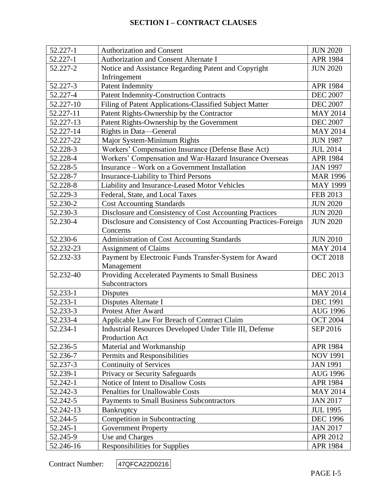| 52.227-1                                                      | <b>Authorization and Consent</b>                                | <b>JUN 2020</b> |
|---------------------------------------------------------------|-----------------------------------------------------------------|-----------------|
| 52.227-1                                                      | Authorization and Consent Alternate I                           | <b>APR 1984</b> |
| 52.227-2                                                      | Notice and Assistance Regarding Patent and Copyright            | <b>JUN 2020</b> |
|                                                               | Infringement                                                    |                 |
| 52.227-3                                                      | <b>Patent Indemnity</b>                                         | <b>APR 1984</b> |
| 52.227-4                                                      | <b>Patent Indemnity-Construction Contracts</b>                  | <b>DEC 2007</b> |
| 52.227-10                                                     | Filing of Patent Applications-Classified Subject Matter         | <b>DEC 2007</b> |
| 52.227-11                                                     | Patent Rights-Ownership by the Contractor                       | <b>MAY 2014</b> |
| 52.227-13                                                     | Patent Rights-Ownership by the Government                       | <b>DEC 2007</b> |
| 52.227-14                                                     | Rights in Data—General                                          | <b>MAY 2014</b> |
| 52.227-22                                                     | Major System-Minimum Rights                                     | <b>JUN 1987</b> |
| 52.228-3                                                      | Workers' Compensation Insurance (Defense Base Act)              | <b>JUL 2014</b> |
| 52.228-4                                                      | Workers' Compensation and War-Hazard Insurance Overseas         | <b>APR 1984</b> |
| 52.228-5                                                      | Insurance - Work on a Government Installation                   | <b>JAN 1997</b> |
| 52.228-7                                                      | <b>Insurance-Liability to Third Persons</b>                     | <b>MAR 1996</b> |
| 52.228-8                                                      | Liability and Insurance-Leased Motor Vehicles                   | <b>MAY 1999</b> |
| 52.229-3                                                      | Federal, State, and Local Taxes                                 | FEB 2013        |
| 52.230-2                                                      | <b>Cost Accounting Standards</b>                                | <b>JUN 2020</b> |
| 52.230-3                                                      | Disclosure and Consistency of Cost Accounting Practices         | <b>JUN 2020</b> |
| 52.230-4                                                      | Disclosure and Consistency of Cost Accounting Practices-Foreign | <b>JUN 2020</b> |
|                                                               | Concerns                                                        |                 |
| 52.230-6                                                      | Administration of Cost Accounting Standards                     | <b>JUN 2010</b> |
| 52.232-23                                                     | <b>Assignment of Claims</b><br><b>MAY 2014</b>                  |                 |
| 52.232-33                                                     | Payment by Electronic Funds Transfer-System for Award           | <b>OCT 2018</b> |
|                                                               | Management                                                      |                 |
| Providing Accelerated Payments to Small Business<br>52.232-40 |                                                                 | <b>DEC 2013</b> |
|                                                               | Subcontractors                                                  |                 |
| 52.233-1                                                      | <b>Disputes</b>                                                 | <b>MAY 2014</b> |
| 52.233-1                                                      | Disputes Alternate I                                            | <b>DEC 1991</b> |
| 52.233-3                                                      | Protest After Award                                             | <b>AUG 1996</b> |
| 52.233-4                                                      | Applicable Law For Breach of Contract Claim                     | <b>OCT 2004</b> |
| 52.234-1                                                      | Industrial Resources Developed Under Title III, Defense         | SEP 2016        |
|                                                               | Production Act                                                  |                 |
| 52.236-5                                                      | Material and Workmanship                                        | APR 1984        |
| 52.236-7                                                      | Permits and Responsibilities                                    | <b>NOV 1991</b> |
| 52.237-3                                                      | <b>Continuity of Services</b>                                   | <b>JAN 1991</b> |
| 52.239-1                                                      | Privacy or Security Safeguards                                  | <b>AUG 1996</b> |
| 52.242-1                                                      | Notice of Intent to Disallow Costs                              | APR 1984        |
| 52.242-3                                                      | Penalties for Unallowable Costs                                 | <b>MAY 2014</b> |
| 52.242-5                                                      | <b>Payments to Small Business Subcontractors</b>                | <b>JAN 2017</b> |
| 52.242-13                                                     | Bankruptcy                                                      | <b>JUL 1995</b> |
| 52.244-5                                                      | Competition in Subcontracting                                   | <b>DEC 1996</b> |
| 52.245-1                                                      | <b>Government Property</b>                                      | <b>JAN 2017</b> |
| 52.245-9                                                      | Use and Charges                                                 | APR 2012        |
| 52.246-16                                                     | <b>Responsibilities for Supplies</b>                            | APR 1984        |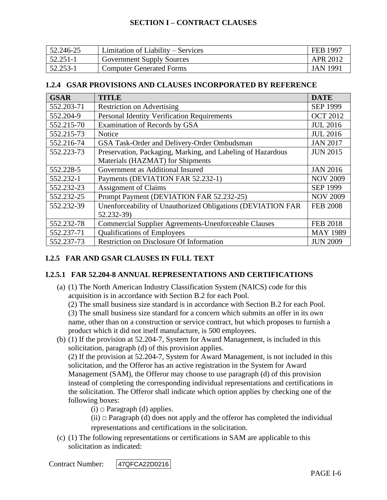| 52.246-25 | Limitation of Liability – Services | FEB 1997 |
|-----------|------------------------------------|----------|
| 52.251-1  | <b>Government Supply Sources</b>   | APR 2012 |
| 52.253-1  | <b>Computer Generated Forms</b>    | JAN 1991 |

### **1.2.4 GSAR PROVISIONS AND CLAUSES INCORPORATED BY REFERENCE**

| <b>GSAR</b> | <b>TITLE</b>                                                                   | <b>DATE</b>     |
|-------------|--------------------------------------------------------------------------------|-----------------|
| 552.203-71  | <b>Restriction on Advertising</b>                                              | <b>SEP 1999</b> |
| 552.204-9   | <b>Personal Identity Verification Requirements</b>                             | <b>OCT 2012</b> |
| 552.215-70  | Examination of Records by GSA                                                  | <b>JUL 2016</b> |
| 552.215-73  | <b>Notice</b>                                                                  | <b>JUL 2016</b> |
| 552.216-74  | GSA Task-Order and Delivery-Order Ombudsman                                    | <b>JAN 2017</b> |
| 552.223-73  | Preservation, Packaging, Marking, and Labeling of Hazardous                    | <b>JUN 2015</b> |
|             | Materials (HAZMAT) for Shipments                                               |                 |
| 552.228-5   | Government as Additional Insured<br><b>JAN 2016</b>                            |                 |
| 552.232-1   | Payments (DEVIATION FAR 52.232-1)<br><b>NOV 2009</b>                           |                 |
| 552.232-23  | <b>Assignment of Claims</b><br><b>SEP 1999</b>                                 |                 |
| 552.232-25  | Prompt Payment (DEVIATION FAR 52.232-25)<br><b>NOV 2009</b>                    |                 |
| 552.232-39  | Unenforceability of Unauthorized Obligations (DEVIATION FAR<br><b>FEB 2008</b> |                 |
|             | 52.232-39)                                                                     |                 |
| 552.232-78  | <b>Commercial Supplier Agreements-Unenforceable Clauses</b><br><b>FEB 2018</b> |                 |
| 552.237-71  | <b>Qualifications of Employees</b><br><b>MAY 1989</b>                          |                 |
| 552.237-73  | <b>Restriction on Disclosure Of Information</b><br><b>JUN 2009</b>             |                 |

# **I.2.5 FAR AND GSAR CLAUSES IN FULL TEXT**

## **I.2.5.1 FAR 52.204-8 ANNUAL REPRESENTATIONS AND CERTIFICATIONS**

(a) (1) The North American Industry Classification System (NAICS) code for this acquisition is in accordance with Section B.2 for each Pool.

(2) The small business size standard is in accordance with Section B.2 for each Pool.

(3) The small business size standard for a concern which submits an offer in its own name, other than on a construction or service contract, but which proposes to furnish a product which it did not itself manufacture, is 500 employees.

(b) (1) If the provision at [52.204-7,](https://acquisition.gov/far/52.204-7#FAR_52_204_7) System for Award Management, is included in this solicitation, paragraph (d) of this provision applies.

(2) If the provision at [52.204-7,](https://acquisition.gov/far/52.204-7#FAR_52_204_7) System for Award Management, is not included in this solicitation, and the Offeror has an active registration in the System for Award Management (SAM), the Offeror may choose to use paragraph (d) of this provision instead of completing the corresponding individual representations and certifications in the solicitation. The Offeror shall indicate which option applies by checking one of the following boxes:

(i) *□* Paragraph (d) applies.

(ii) *□* Paragraph (d) does not apply and the offeror has completed the individual representations and certifications in the solicitation.

(c) (1) The following representations or certifications in SAM are applicable to this solicitation as indicated: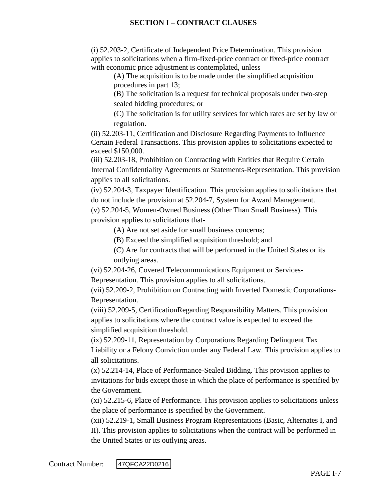(i) [52.203-2,](https://acquisition.gov/far/52.203-2#FAR_52_203_2) Certificate of Independent Price Determination. This provision applies to solicitations when a firm-fixed-price contract or fixed-price contract with economic price adjustment is contemplated, unless–

(A) The acquisition is to be made under the simplified acquisition procedures in [part 13;](https://acquisition.gov/far/Part_13.html#FAR_Part_13)

(B) The solicitation is a request for technical proposals under two-step sealed bidding procedures; or

(C) The solicitation is for utility services for which rates are set by law or regulation.

(ii) [52.203-11,](https://acquisition.gov/far/52.203-11#FAR_52_203_11) Certification and Disclosure Regarding Payments to Influence Certain Federal Transactions. This provision applies to solicitations expected to exceed \$150,000.

(iii) [52.203-18,](https://acquisition.gov/far/52.203-18#FAR_52_203_18) Prohibition on Contracting with Entities that Require Certain Internal Confidentiality Agreements or Statements-Representation. This provision applies to all solicitations.

(iv) [52.204-3,](https://acquisition.gov/far/52.204-3#FAR_52_204_3) Taxpayer Identification. This provision applies to solicitations that do not include the provision at [52.204-7,](https://acquisition.gov/far/52.204-7#FAR_52_204_7) System for Award Management.

(v) [52.204-5,](https://acquisition.gov/far/52.204-5#FAR_52_204_5) Women-Owned Business (Other Than Small Business). This provision applies to solicitations that-

(A) Are not set aside for small business concerns;

(B) Exceed the simplified acquisition threshold; and

(C) Are for contracts that will be performed in the United States or its outlying areas.

(vi) [52.204-26,](https://acquisition.gov/far/52.204-26#FAR_52_204_26) Covered Telecommunications Equipment or Services-

Representation. This provision applies to all solicitations.

(vii) [52.209-2,](https://acquisition.gov/far/52.209-2#FAR_52_209_2) Prohibition on Contracting with Inverted Domestic Corporations-Representation.

(viii) [52.209-5,](https://acquisition.gov/far/52.209-5#FAR_52_209_5) CertificationRegarding Responsibility Matters. This provision applies to solicitations where the contract value is expected to exceed the simplified acquisition threshold.

(ix) [52.209-11,](https://acquisition.gov/far/52.209-11#FAR_52_209_11) Representation by Corporations Regarding Delinquent Tax Liability or a Felony Conviction under any Federal Law. This provision applies to all solicitations.

(x) [52.214-14,](https://acquisition.gov/far/52.214-14#FAR_52_214_14) Place of Performance-Sealed Bidding. This provision applies to invitations for bids except those in which the place of performance is specified by the Government.

(xi) [52.215-6,](https://acquisition.gov/far/52.215-6#FAR_52_215_6) Place of Performance. This provision applies to solicitations unless the place of performance is specified by the Government.

(xii) [52.219-1,](https://acquisition.gov/far/52.219-1#FAR_52_219_1) Small Business Program Representations (Basic, Alternates I, and II). This provision applies to solicitations when the contract will be performed in the United States or its outlying areas.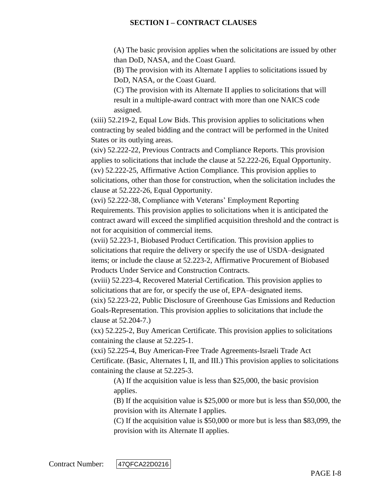(A) The basic provision applies when the solicitations are issued by other than DoD, NASA, and the Coast Guard.

(B) The provision with its Alternate I applies to solicitations issued by DoD, NASA, or the Coast Guard.

(C) The provision with its Alternate II applies to solicitations that will result in a multiple-award contract with more than one NAICS code assigned.

(xiii) [52.219-2,](https://acquisition.gov/far/52.219-2#FAR_52_219_2) Equal Low Bids. This provision applies to solicitations when contracting by sealed bidding and the contract will be performed in the United States or its outlying areas.

(xiv) [52.222-22,](https://acquisition.gov/far/52.222-22#FAR_52_222_22) Previous Contracts and Compliance Reports. This provision applies to solicitations that include the clause at [52.222-26,](https://acquisition.gov/far/52.222-26#FAR_52_222_26) Equal Opportunity. (xv) [52.222-25,](https://acquisition.gov/far/52.222-25#FAR_52_222_25) Affirmative Action Compliance. This provision applies to solicitations, other than those for construction, when the solicitation includes the clause at [52.222-26,](https://acquisition.gov/far/52.222-26#FAR_52_222_26) Equal Opportunity.

(xvi) [52.222-38,](https://acquisition.gov/far/52.222-38#FAR_52_222_38) Compliance with Veterans' Employment Reporting Requirements. This provision applies to solicitations when it is anticipated the contract award will exceed the simplified acquisition threshold and the contract is not for acquisition of commercial items.

(xvii) [52.223-1,](https://acquisition.gov/far/52.223-1#FAR_52_223_1) Biobased Product Certification. This provision applies to solicitations that require the delivery or specify the use of USDA–designated items; or include the clause at [52.223-2,](https://acquisition.gov/far/52.223-2#FAR_52_223_2) Affirmative Procurement of Biobased Products Under Service and Construction Contracts.

(xviii) [52.223-4,](https://acquisition.gov/far/52.223-4#FAR_52_223_4) Recovered Material Certification. This provision applies to solicitations that are for, or specify the use of, EPA–designated items.

(xix) [52.223-22,](https://acquisition.gov/far/52.223-22#FAR_52_223_22) Public Disclosure of Greenhouse Gas Emissions and Reduction Goals-Representation. This provision applies to solicitations that include the clause at [52.204-7.](https://acquisition.gov/far/52.204-7#FAR_52_204_7))

(xx) [52.225-2,](https://acquisition.gov/far/52.225-2#FAR_52_225_2) Buy American Certificate. This provision applies to solicitations containing the clause at [52.225-1.](https://acquisition.gov/far/52.225-1#FAR_52_225_1)

(xxi) [52.225-4,](https://acquisition.gov/far/52.225-4#FAR_52_225_4) Buy American-Free Trade Agreements-Israeli Trade Act Certificate. (Basic, Alternates I, II, and III.) This provision applies to solicitations containing the clause at [52.225-3.](https://acquisition.gov/far/52.225-3#FAR_52_225_3)

(A) If the acquisition value is less than \$25,000, the basic provision applies.

(B) If the acquisition value is \$25,000 or more but is less than \$50,000, the provision with its Alternate I applies.

(C) If the acquisition value is \$50,000 or more but is less than \$83,099, the provision with its Alternate II applies.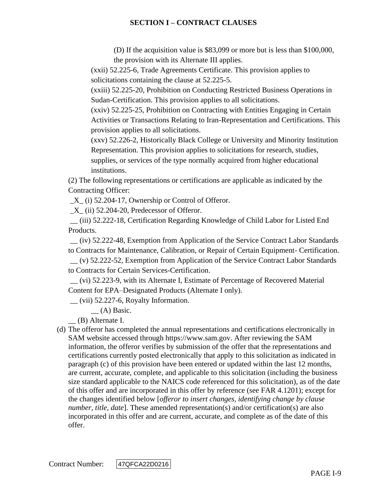(D) If the acquisition value is \$83,099 or more but is less than \$100,000, the provision with its Alternate III applies.

(xxii) [52.225-6,](https://acquisition.gov/far/52.225-6#FAR_52_225_6) Trade Agreements Certificate. This provision applies to solicitations containing the clause at [52.225-5.](https://acquisition.gov/far/52.225-5#FAR_52_225_5)

(xxiii) [52.225-20,](https://acquisition.gov/far/52.225-20#FAR_52_225_20) Prohibition on Conducting Restricted Business Operations in Sudan-Certification. This provision applies to all solicitations.

(xxiv) [52.225-25,](https://acquisition.gov/far/52.225-25#FAR_52_225_25) Prohibition on Contracting with Entities Engaging in Certain Activities or Transactions Relating to Iran-Representation and Certifications. This provision applies to all solicitations.

(xxv) [52.226-2,](https://acquisition.gov/far/52.226-2#FAR_52_226_2) Historically Black College or University and Minority Institution Representation. This provision applies to solicitations for research, studies, supplies, or services of the type normally acquired from higher educational institutions.

(2) The following representations or certifications are applicable as indicated by the Contracting Officer:

 $X_{1}$  (i) [52.204-17,](https://acquisition.gov/far/52.204-17#FAR_52_204_17) Ownership or Control of Offeror.

 $X$ <sub>(ii)</sub> [52.204-20,](https://acquisition.gov/far/52.204-20#FAR_52_204_20) Predecessor of Offeror.

\_\_ (iii) [52.222-18,](https://acquisition.gov/far/52.222-18#FAR_52_222_18) Certification Regarding Knowledge of Child Labor for Listed End Products.

\_\_ (iv) [52.222-48,](https://acquisition.gov/far/52.222-48#FAR_52_222_48) Exemption from Application of the Service Contract Labor Standards to Contracts for Maintenance, Calibration, or Repair of Certain Equipment- Certification. \_\_ (v) [52.222-52,](https://acquisition.gov/far/52.222-52#FAR_52_222_52) Exemption from Application of the Service Contract Labor Standards to Contracts for Certain Services-Certification.

\_\_ (vi) [52.223-9,](https://acquisition.gov/far/52.223-9#FAR_52_223_9) with its Alternate I, Estimate of Percentage of Recovered Material Content for EPA–Designated Products (Alternate I only).

 $\equiv$  (vii) [52.227-6,](https://acquisition.gov/far/52.227-6#FAR_52_227_6) Royalty Information.

\_\_ (A) Basic.

\_\_ (B) Alternate I.

(d) The offeror has completed the annual representations and certifications electronically in SAM website accessed through [https://www.sam.gov.](https://www.sam.gov/) After reviewing the SAM information, the offeror verifies by submission of the offer that the representations and certifications currently posted electronically that apply to this solicitation as indicated in paragraph (c) of this provision have been entered or updated within the last 12 months, are current, accurate, complete, and applicable to this solicitation (including the business size standard applicable to the NAICS code referenced for this solicitation), as of the date of this offer and are incorporated in this offer by reference (see FAR [4.1201\)](https://acquisition.gov/far/4.1201#FAR_4_1201); except for the changes identified below [*offeror to insert changes, identifying change by clause number, title, date*]. These amended representation(s) and/or certification(s) are also incorporated in this offer and are current, accurate, and complete as of the date of this offer.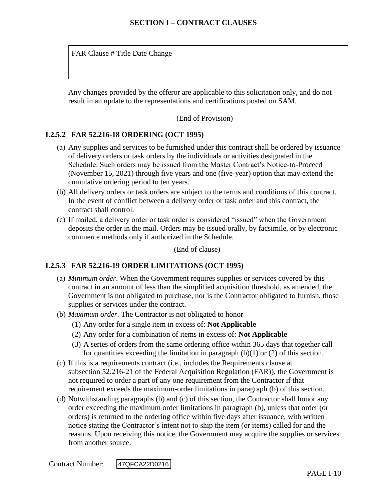FAR Clause # Title Date Change

\_\_\_\_\_\_\_\_\_\_\_\_\_

Any changes provided by the offeror are applicable to this solicitation only, and do not result in an update to the representations and certifications posted on SAM.

(End of Provision)

### **I.2.5.2 FAR 52.216-18 ORDERING (OCT 1995)**

- (a) Any supplies and services to be furnished under this contract shall be ordered by issuance of delivery orders or task orders by the individuals or activities designated in the Schedule. Such orders may be issued from the Master Contract's Notice-to-Proceed (November 15, 2021) through five years and one (five-year) option that may extend the cumulative ordering period to ten years.
- (b) All delivery orders or task orders are subject to the terms and conditions of this contract. In the event of conflict between a delivery order or task order and this contract, the contract shall control.
- (c) If mailed, a delivery order or task order is considered "issued" when the Government deposits the order in the mail. Orders may be issued orally, by facsimile, or by electronic commerce methods only if authorized in the Schedule.

(End of clause)

## **I.2.5.3 FAR 52.216-19 ORDER LIMITATIONS (OCT 1995)**

- (a) *Minimum order*. When the Government requires supplies or services covered by this contract in an amount of less than the simplified acquisition threshold, as amended, the Government is not obligated to purchase, nor is the Contractor obligated to furnish, those supplies or services under the contract.
- (b) *Maximum order*. The Contractor is not obligated to honor—
	- (1) Any order for a single item in excess of: **Not Applicable**
	- (2) Any order for a combination of items in excess of: **Not Applicable**
	- (3) A series of orders from the same ordering office within 365 days that together call for quantities exceeding the limitation in paragraph  $(b)(1)$  or  $(2)$  of this section.
- (c) If this is a requirements contract (i.e., includes the Requirements clause at subsection [52.216-21](https://www.acquisition.gov/far/current/html/52_216.html#wp1115057) of the Federal Acquisition Regulation (FAR)), the Government is not required to order a part of any one requirement from the Contractor if that requirement exceeds the maximum-order limitations in paragraph (b) of this section.
- (d) Notwithstanding paragraphs (b) and (c) of this section, the Contractor shall honor any order exceeding the maximum order limitations in paragraph (b), unless that order (or orders) is returned to the ordering office within five days after issuance, with written notice stating the Contractor's intent not to ship the item (or items) called for and the reasons. Upon receiving this notice, the Government may acquire the supplies or services from another source.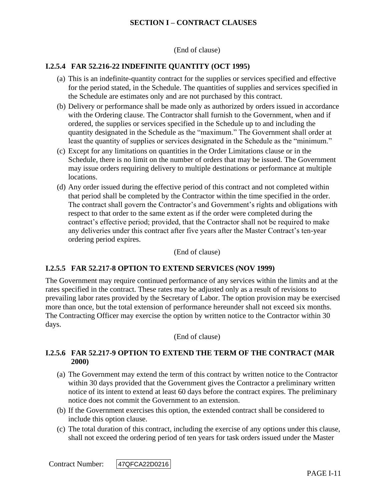(End of clause)

### **I.2.5.4 FAR 52.216-22 INDEFINITE QUANTITY (OCT 1995)**

- (a) This is an indefinite-quantity contract for the supplies or services specified and effective for the period stated, in the Schedule. The quantities of supplies and services specified in the Schedule are estimates only and are not purchased by this contract.
- (b) Delivery or performance shall be made only as authorized by orders issued in accordance with the Ordering clause. The Contractor shall furnish to the Government, when and if ordered, the supplies or services specified in the Schedule up to and including the quantity designated in the Schedule as the "maximum." The Government shall order at least the quantity of supplies or services designated in the Schedule as the "minimum."
- (c) Except for any limitations on quantities in the Order Limitations clause or in the Schedule, there is no limit on the number of orders that may be issued. The Government may issue orders requiring delivery to multiple destinations or performance at multiple locations.
- (d) Any order issued during the effective period of this contract and not completed within that period shall be completed by the Contractor within the time specified in the order. The contract shall govern the Contractor's and Government's rights and obligations with respect to that order to the same extent as if the order were completed during the contract's effective period; provided, that the Contractor shall not be required to make any deliveries under this contract after five years after the Master Contract's ten-year ordering period expires.

(End of clause)

#### **I.2.5.5 FAR 52.217-8 OPTION TO EXTEND SERVICES (NOV 1999)**

The Government may require continued performance of any services within the limits and at the rates specified in the contract. These rates may be adjusted only as a result of revisions to prevailing labor rates provided by the Secretary of Labor. The option provision may be exercised more than once, but the total extension of performance hereunder shall not exceed six months. The Contracting Officer may exercise the option by written notice to the Contractor within 30 days.

(End of clause)

### **I.2.5.6 FAR 52.217-9 OPTION TO EXTEND THE TERM OF THE CONTRACT (MAR 2000)**

- (a) The Government may extend the term of this contract by written notice to the Contractor within 30 days provided that the Government gives the Contractor a preliminary written notice of its intent to extend at least 60 days before the contract expires. The preliminary notice does not commit the Government to an extension.
- (b) If the Government exercises this option, the extended contract shall be considered to include this option clause.
- (c) The total duration of this contract, including the exercise of any options under this clause, shall not exceed the ordering period of ten years for task orders issued under the Master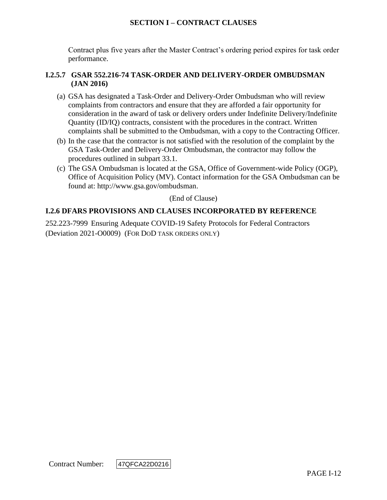Contract plus five years after the Master Contract's ordering period expires for task order performance.

### **I.2.5.7 GSAR 552.216-74 TASK-ORDER AND DELIVERY-ORDER OMBUDSMAN (JAN 2016)**

- (a) GSA has designated a Task-Order and Delivery-Order Ombudsman who will review complaints from contractors and ensure that they are afforded a fair opportunity for consideration in the award of task or delivery orders under Indefinite Delivery/Indefinite Quantity (ID/IQ) contracts, consistent with the procedures in the contract. Written complaints shall be submitted to the Ombudsman, with a copy to the Contracting Officer.
- (b) In the case that the contractor is not satisfied with the resolution of the complaint by the GSA Task-Order and Delivery-Order Ombudsman, the contractor may follow the procedures outlined in subpart 33.1.
- (c) The GSA Ombudsman is located at the GSA, Office of Government-wide Policy (OGP), Office of Acquisition Policy (MV). Contact information for the GSA Ombudsman can be found at: [http://www.gsa.gov/ombudsman.](http://www.gsa.gov/ombudsman)

(End of Clause)

## **I.2.6 DFARS PROVISIONS AND CLAUSES INCORPORATED BY REFERENCE**

252.223-7999 Ensuring Adequate COVID-19 Safety Protocols for Federal Contractors (Deviation 2021-O0009) (FOR DOD TASK ORDERS ONLY)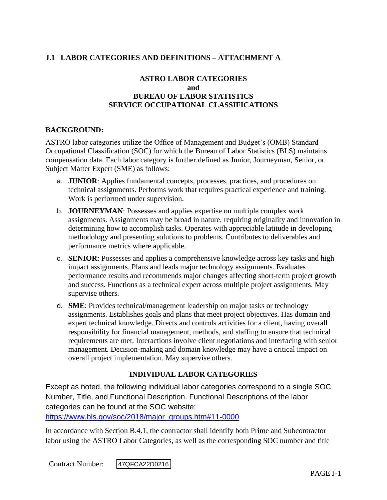# **J.1 LABOR CATEGORIES AND DEFINITIONS – ATTACHMENT A**

## **ASTRO LABOR CATEGORIES and BUREAU OF LABOR STATISTICS SERVICE OCCUPATIONAL CLASSIFICATIONS**

### **BACKGROUND:**

ASTRO labor categories utilize the Office of Management and Budget's (OMB) Standard Occupational Classification (SOC) for which the Bureau of Labor Statistics (BLS) maintains compensation data. Each labor category is further defined as Junior, Journeyman, Senior, or Subject Matter Expert (SME) as follows:

- a. **JUNIOR**: Applies fundamental concepts, processes, practices, and procedures on technical assignments. Performs work that requires practical experience and training. Work is performed under supervision.
- b. **JOURNEYMAN**: Possesses and applies expertise on multiple complex work assignments. Assignments may be broad in nature, requiring originality and innovation in determining how to accomplish tasks. Operates with appreciable latitude in developing methodology and presenting solutions to problems. Contributes to deliverables and performance metrics where applicable.
- c. **SENIOR**: Possesses and applies a comprehensive knowledge across key tasks and high impact assignments. Plans and leads major technology assignments. Evaluates performance results and recommends major changes affecting short-term project growth and success. Functions as a technical expert across multiple project assignments. May supervise others.
- d. **SME**: Provides technical/management leadership on major tasks or technology assignments. Establishes goals and plans that meet project objectives. Has domain and expert technical knowledge. Directs and controls activities for a client, having overall responsibility for financial management, methods, and staffing to ensure that technical requirements are met. Interactions involve client negotiations and interfacing with senior management. Decision-making and domain knowledge may have a critical impact on overall project implementation. May supervise others.

## **INDIVIDUAL LABOR CATEGORIES**

Except as noted, the following individual labor categories correspond to a single SOC Number, Title, and Functional Description. Functional Descriptions of the labor categories can be found at the SOC website:

[https://www.bls.gov/soc/2018/major\\_groups.htm#11-0000](https://www.bls.gov/soc/2018/major_groups.htm#11-0000)

In accordance with Section B.4.1, the contractor shall identify both Prime and Subcontractor labor using the ASTRO Labor Categories, as well as the corresponding SOC number and title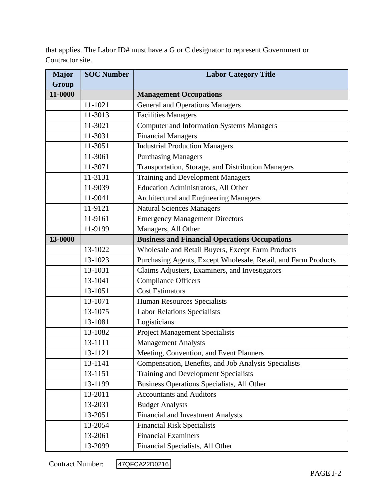that applies. The Labor ID# must have a G or C designator to represent Government or Contractor site.

| <b>Major</b> | <b>SOC Number</b> | <b>Labor Category Title</b>                                    |
|--------------|-------------------|----------------------------------------------------------------|
| <b>Group</b> |                   |                                                                |
| 11-0000      |                   | <b>Management Occupations</b>                                  |
|              | 11-1021           | <b>General and Operations Managers</b>                         |
|              | 11-3013           | <b>Facilities Managers</b>                                     |
|              | 11-3021           | <b>Computer and Information Systems Managers</b>               |
|              | 11-3031           | <b>Financial Managers</b>                                      |
|              | 11-3051           | <b>Industrial Production Managers</b>                          |
|              | 11-3061           | <b>Purchasing Managers</b>                                     |
|              | 11-3071           | Transportation, Storage, and Distribution Managers             |
|              | 11-3131           | <b>Training and Development Managers</b>                       |
|              | 11-9039           | Education Administrators, All Other                            |
|              | 11-9041           | Architectural and Engineering Managers                         |
|              | 11-9121           | Natural Sciences Managers                                      |
|              | 11-9161           | <b>Emergency Management Directors</b>                          |
|              | 11-9199           | Managers, All Other                                            |
| 13-0000      |                   | <b>Business and Financial Operations Occupations</b>           |
|              | 13-1022           | Wholesale and Retail Buyers, Except Farm Products              |
|              | 13-1023           | Purchasing Agents, Except Wholesale, Retail, and Farm Products |
|              | 13-1031           | Claims Adjusters, Examiners, and Investigators                 |
|              | 13-1041           | <b>Compliance Officers</b>                                     |
|              | 13-1051           | <b>Cost Estimators</b>                                         |
|              | 13-1071           | <b>Human Resources Specialists</b>                             |
|              | 13-1075           | <b>Labor Relations Specialists</b>                             |
|              | 13-1081           | Logisticians                                                   |
|              | 13-1082           | <b>Project Management Specialists</b>                          |
|              | 13-1111           | <b>Management Analysts</b>                                     |
|              | 13-1121           | Meeting, Convention, and Event Planners                        |
|              | 13-1141           | Compensation, Benefits, and Job Analysis Specialists           |
|              | 13-1151           | <b>Training and Development Specialists</b>                    |
|              | 13-1199           | Business Operations Specialists, All Other                     |
|              | 13-2011           | <b>Accountants and Auditors</b>                                |
|              | 13-2031           | <b>Budget Analysts</b>                                         |
|              | 13-2051           | <b>Financial and Investment Analysts</b>                       |
|              | 13-2054           | <b>Financial Risk Specialists</b>                              |
|              | 13-2061           | <b>Financial Examiners</b>                                     |
|              | 13-2099           | Financial Specialists, All Other                               |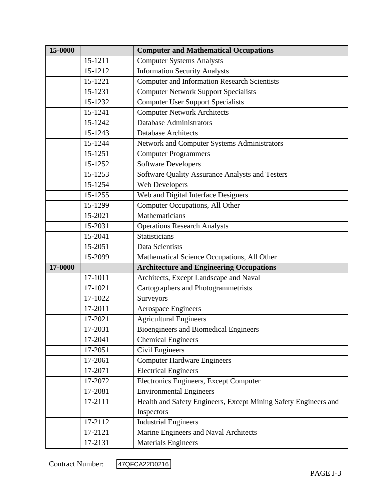| 15-0000 |         | <b>Computer and Mathematical Occupations</b>                    |
|---------|---------|-----------------------------------------------------------------|
|         | 15-1211 | <b>Computer Systems Analysts</b>                                |
|         | 15-1212 | <b>Information Security Analysts</b>                            |
|         | 15-1221 | <b>Computer and Information Research Scientists</b>             |
|         | 15-1231 | <b>Computer Network Support Specialists</b>                     |
|         | 15-1232 | <b>Computer User Support Specialists</b>                        |
|         | 15-1241 | <b>Computer Network Architects</b>                              |
|         | 15-1242 | <b>Database Administrators</b>                                  |
|         | 15-1243 | <b>Database Architects</b>                                      |
|         | 15-1244 | Network and Computer Systems Administrators                     |
|         | 15-1251 | <b>Computer Programmers</b>                                     |
|         | 15-1252 | <b>Software Developers</b>                                      |
|         | 15-1253 | Software Quality Assurance Analysts and Testers                 |
|         | 15-1254 | Web Developers                                                  |
|         | 15-1255 | Web and Digital Interface Designers                             |
|         | 15-1299 | Computer Occupations, All Other                                 |
|         | 15-2021 | Mathematicians                                                  |
|         | 15-2031 | <b>Operations Research Analysts</b>                             |
|         | 15-2041 | Statisticians                                                   |
|         | 15-2051 | Data Scientists                                                 |
|         | 15-2099 | Mathematical Science Occupations, All Other                     |
| 17-0000 |         | <b>Architecture and Engineering Occupations</b>                 |
|         | 17-1011 | Architects, Except Landscape and Naval                          |
|         | 17-1021 | Cartographers and Photogrammetrists                             |
|         | 17-1022 | Surveyors                                                       |
|         | 17-2011 | <b>Aerospace Engineers</b>                                      |
|         | 17-2021 | <b>Agricultural Engineers</b>                                   |
|         | 17-2031 | <b>Bioengineers and Biomedical Engineers</b>                    |
|         | 17-2041 | <b>Chemical Engineers</b>                                       |
|         | 17-2051 | Civil Engineers                                                 |
|         | 17-2061 | <b>Computer Hardware Engineers</b>                              |
|         | 17-2071 | <b>Electrical Engineers</b>                                     |
|         | 17-2072 | Electronics Engineers, Except Computer                          |
|         | 17-2081 | <b>Environmental Engineers</b>                                  |
|         | 17-2111 | Health and Safety Engineers, Except Mining Safety Engineers and |
|         |         | Inspectors                                                      |
|         | 17-2112 | <b>Industrial Engineers</b>                                     |
|         | 17-2121 | Marine Engineers and Naval Architects                           |
|         | 17-2131 | <b>Materials Engineers</b>                                      |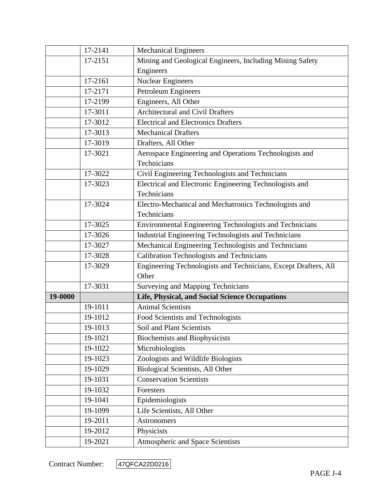|         | 17-2141 | <b>Mechanical Engineers</b>                                     |
|---------|---------|-----------------------------------------------------------------|
|         | 17-2151 | Mining and Geological Engineers, Including Mining Safety        |
|         |         | Engineers                                                       |
|         | 17-2161 | <b>Nuclear Engineers</b>                                        |
|         | 17-2171 | Petroleum Engineers                                             |
|         | 17-2199 | Engineers, All Other                                            |
|         | 17-3011 | <b>Architectural and Civil Drafters</b>                         |
|         | 17-3012 | <b>Electrical and Electronics Drafters</b>                      |
|         | 17-3013 | <b>Mechanical Drafters</b>                                      |
|         | 17-3019 | Drafters, All Other                                             |
|         | 17-3021 | Aerospace Engineering and Operations Technologists and          |
|         |         | Technicians                                                     |
|         | 17-3022 | Civil Engineering Technologists and Technicians                 |
|         | 17-3023 | Electrical and Electronic Engineering Technologists and         |
|         |         | Technicians                                                     |
|         | 17-3024 | Electro-Mechanical and Mechatronics Technologists and           |
|         |         | Technicians                                                     |
|         | 17-3025 | Environmental Engineering Technologists and Technicians         |
|         | 17-3026 | Industrial Engineering Technologists and Technicians            |
|         | 17-3027 | Mechanical Engineering Technologists and Technicians            |
|         | 17-3028 | <b>Calibration Technologists and Technicians</b>                |
|         | 17-3029 | Engineering Technologists and Technicians, Except Drafters, All |
|         |         | Other                                                           |
|         | 17-3031 | Surveying and Mapping Technicians                               |
| 19-0000 |         | Life, Physical, and Social Science Occupations                  |
|         | 19-1011 | <b>Animal Scientists</b>                                        |
|         | 19-1012 | Food Scientists and Technologists                               |
|         | 19-1013 | Soil and Plant Scientists                                       |
|         | 19-1021 | <b>Biochemists and Biophysicists</b>                            |
|         | 19-1022 | Microbiologists                                                 |
|         | 19-1023 | Zoologists and Wildlife Biologists                              |
|         | 19-1029 | Biological Scientists, All Other                                |
|         | 19-1031 | <b>Conservation Scientists</b>                                  |
|         | 19-1032 | Foresters                                                       |
|         | 19-1041 | Epidemiologists                                                 |
|         | 19-1099 | Life Scientists, All Other                                      |
|         | 19-2011 | Astronomers                                                     |
|         | 19-2012 | Physicists                                                      |
|         | 19-2021 | Atmospheric and Space Scientists                                |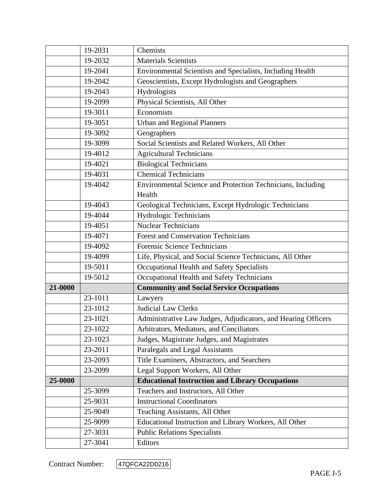|         | 19-2031 | Chemists                                                      |
|---------|---------|---------------------------------------------------------------|
|         | 19-2032 | <b>Materials Scientists</b>                                   |
|         | 19-2041 | Environmental Scientists and Specialists, Including Health    |
|         | 19-2042 | Geoscientists, Except Hydrologists and Geographers            |
|         | 19-2043 | Hydrologists                                                  |
|         | 19-2099 | Physical Scientists, All Other                                |
|         | 19-3011 | Economists                                                    |
|         | 19-3051 | <b>Urban and Regional Planners</b>                            |
|         | 19-3092 | Geographers                                                   |
|         | 19-3099 | Social Scientists and Related Workers, All Other              |
|         | 19-4012 | <b>Agricultural Technicians</b>                               |
|         | 19-4021 | <b>Biological Technicians</b>                                 |
|         | 19-4031 | <b>Chemical Technicians</b>                                   |
|         | 19-4042 | Environmental Science and Protection Technicians, Including   |
|         |         | Health                                                        |
|         | 19-4043 | Geological Technicians, Except Hydrologic Technicians         |
|         | 19-4044 | Hydrologic Technicians                                        |
|         | 19-4051 | <b>Nuclear Technicians</b>                                    |
|         | 19-4071 | <b>Forest and Conservation Technicians</b>                    |
|         | 19-4092 | <b>Forensic Science Technicians</b>                           |
|         | 19-4099 | Life, Physical, and Social Science Technicians, All Other     |
|         | 19-5011 | Occupational Health and Safety Specialists                    |
|         | 19-5012 | Occupational Health and Safety Technicians                    |
| 21-0000 |         | <b>Community and Social Service Occupations</b>               |
|         | 23-1011 | Lawyers                                                       |
|         | 23-1012 | <b>Judicial Law Clerks</b>                                    |
|         | 23-1021 | Administrative Law Judges, Adjudicators, and Hearing Officers |
|         | 23-1022 | Arbitrators, Mediators, and Conciliators                      |
|         | 23-1023 | Judges, Magistrate Judges, and Magistrates                    |
|         | 23-2011 | Paralegals and Legal Assistants                               |
|         | 23-2093 | Title Examiners, Abstractors, and Searchers                   |
|         | 23-2099 | Legal Support Workers, All Other                              |
| 25-0000 |         | <b>Educational Instruction and Library Occupations</b>        |
|         | 25-3099 | Teachers and Instructors, All Other                           |
|         | 25-9031 | <b>Instructional Coordinators</b>                             |
|         | 25-9049 | Teaching Assistants, All Other                                |
|         | 25-9099 | Educational Instruction and Library Workers, All Other        |
|         | 27-3031 | <b>Public Relations Specialists</b>                           |
|         | 27-3041 | Editors                                                       |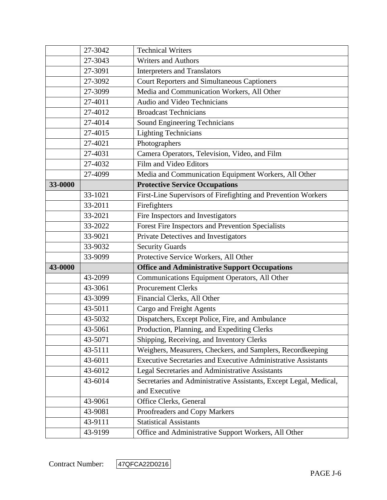|         | 27-3042 | <b>Technical Writers</b>                                             |
|---------|---------|----------------------------------------------------------------------|
|         | 27-3043 | <b>Writers and Authors</b>                                           |
|         | 27-3091 | <b>Interpreters and Translators</b>                                  |
|         | 27-3092 | <b>Court Reporters and Simultaneous Captioners</b>                   |
|         | 27-3099 | Media and Communication Workers, All Other                           |
|         | 27-4011 | Audio and Video Technicians                                          |
|         | 27-4012 | <b>Broadcast Technicians</b>                                         |
|         | 27-4014 | Sound Engineering Technicians                                        |
|         | 27-4015 | <b>Lighting Technicians</b>                                          |
|         | 27-4021 | Photographers                                                        |
|         | 27-4031 | Camera Operators, Television, Video, and Film                        |
|         | 27-4032 | Film and Video Editors                                               |
|         | 27-4099 | Media and Communication Equipment Workers, All Other                 |
| 33-0000 |         | <b>Protective Service Occupations</b>                                |
|         | 33-1021 | First-Line Supervisors of Firefighting and Prevention Workers        |
|         | 33-2011 | Firefighters                                                         |
|         | 33-2021 | Fire Inspectors and Investigators                                    |
|         | 33-2022 | Forest Fire Inspectors and Prevention Specialists                    |
|         | 33-9021 | Private Detectives and Investigators                                 |
|         | 33-9032 | <b>Security Guards</b>                                               |
|         | 33-9099 | Protective Service Workers, All Other                                |
| 43-0000 |         | <b>Office and Administrative Support Occupations</b>                 |
|         | 43-2099 | Communications Equipment Operators, All Other                        |
|         | 43-3061 | <b>Procurement Clerks</b>                                            |
|         | 43-3099 | Financial Clerks, All Other                                          |
|         | 43-5011 | Cargo and Freight Agents                                             |
|         | 43-5032 | Dispatchers, Except Police, Fire, and Ambulance                      |
|         | 43-5061 | Production, Planning, and Expediting Clerks                          |
|         | 43-5071 | Shipping, Receiving, and Inventory Clerks                            |
|         | 43-5111 | Weighers, Measurers, Checkers, and Samplers, Recordkeeping           |
|         | 43-6011 | <b>Executive Secretaries and Executive Administrative Assistants</b> |
|         | 43-6012 | Legal Secretaries and Administrative Assistants                      |
|         | 43-6014 | Secretaries and Administrative Assistants, Except Legal, Medical,    |
|         |         | and Executive                                                        |
|         | 43-9061 | Office Clerks, General                                               |
|         | 43-9081 | Proofreaders and Copy Markers                                        |
|         | 43-9111 | <b>Statistical Assistants</b>                                        |
|         |         |                                                                      |

Contract Number: 47QFCA22D0216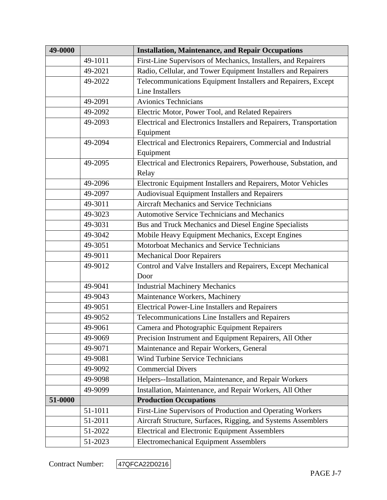| 49-0000 |         | <b>Installation, Maintenance, and Repair Occupations</b>            |
|---------|---------|---------------------------------------------------------------------|
|         | 49-1011 | First-Line Supervisors of Mechanics, Installers, and Repairers      |
|         | 49-2021 | Radio, Cellular, and Tower Equipment Installers and Repairers       |
|         | 49-2022 | Telecommunications Equipment Installers and Repairers, Except       |
|         |         | <b>Line Installers</b>                                              |
|         | 49-2091 | <b>Avionics Technicians</b>                                         |
|         | 49-2092 | Electric Motor, Power Tool, and Related Repairers                   |
|         | 49-2093 | Electrical and Electronics Installers and Repairers, Transportation |
|         |         | Equipment                                                           |
|         | 49-2094 | Electrical and Electronics Repairers, Commercial and Industrial     |
|         |         | Equipment                                                           |
|         | 49-2095 | Electrical and Electronics Repairers, Powerhouse, Substation, and   |
|         |         | Relay                                                               |
|         | 49-2096 | Electronic Equipment Installers and Repairers, Motor Vehicles       |
|         | 49-2097 | Audiovisual Equipment Installers and Repairers                      |
|         | 49-3011 | <b>Aircraft Mechanics and Service Technicians</b>                   |
|         | 49-3023 | <b>Automotive Service Technicians and Mechanics</b>                 |
|         | 49-3031 | Bus and Truck Mechanics and Diesel Engine Specialists               |
|         | 49-3042 | Mobile Heavy Equipment Mechanics, Except Engines                    |
|         | 49-3051 | Motorboat Mechanics and Service Technicians                         |
|         | 49-9011 | <b>Mechanical Door Repairers</b>                                    |
|         | 49-9012 | Control and Valve Installers and Repairers, Except Mechanical       |
|         |         | Door                                                                |
|         | 49-9041 | <b>Industrial Machinery Mechanics</b>                               |
|         | 49-9043 | Maintenance Workers, Machinery                                      |
|         | 49-9051 | <b>Electrical Power-Line Installers and Repairers</b>               |
|         | 49-9052 | Telecommunications Line Installers and Repairers                    |
|         | 49-9061 | Camera and Photographic Equipment Repairers                         |
|         | 49-9069 | Precision Instrument and Equipment Repairers, All Other             |
|         | 49-9071 | Maintenance and Repair Workers, General                             |
|         | 49-9081 | <b>Wind Turbine Service Technicians</b>                             |
|         | 49-9092 | <b>Commercial Divers</b>                                            |
|         | 49-9098 | Helpers--Installation, Maintenance, and Repair Workers              |
|         | 49-9099 | Installation, Maintenance, and Repair Workers, All Other            |
| 51-0000 |         | <b>Production Occupations</b>                                       |
|         | 51-1011 | First-Line Supervisors of Production and Operating Workers          |
|         | 51-2011 | Aircraft Structure, Surfaces, Rigging, and Systems Assemblers       |
|         | 51-2022 | <b>Electrical and Electronic Equipment Assemblers</b>               |
|         | 51-2023 | <b>Electromechanical Equipment Assemblers</b>                       |

Contract Number: 47QFCA22D0216